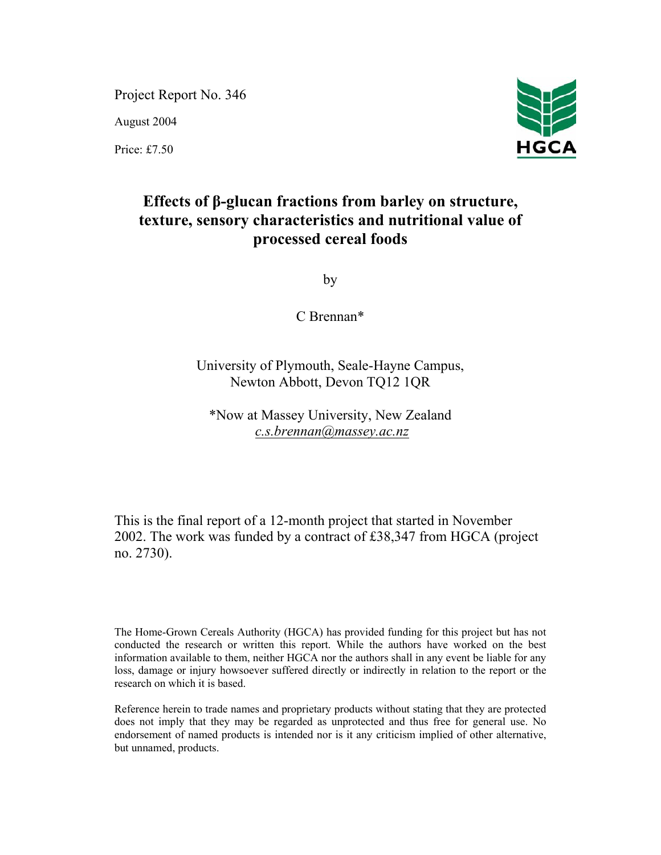Project Report No. 346

August 2004

Price: £7.50



# **Effects of β-glucan fractions from barley on structure, texture, sensory characteristics and nutritional value of processed cereal foods**

by

C Brennan\*

University of Plymouth, Seale-Hayne Campus, Newton Abbott, Devon TQ12 1QR

\*Now at Massey University, New Zealand *c.s.brennan@massey.ac.nz*

This is the final report of a 12-month project that started in November 2002. The work was funded by a contract of £38,347 from HGCA (project no. 2730).

The Home-Grown Cereals Authority (HGCA) has provided funding for this project but has not conducted the research or written this report. While the authors have worked on the best information available to them, neither HGCA nor the authors shall in any event be liable for any loss, damage or injury howsoever suffered directly or indirectly in relation to the report or the research on which it is based.

Reference herein to trade names and proprietary products without stating that they are protected does not imply that they may be regarded as unprotected and thus free for general use. No endorsement of named products is intended nor is it any criticism implied of other alternative, but unnamed, products.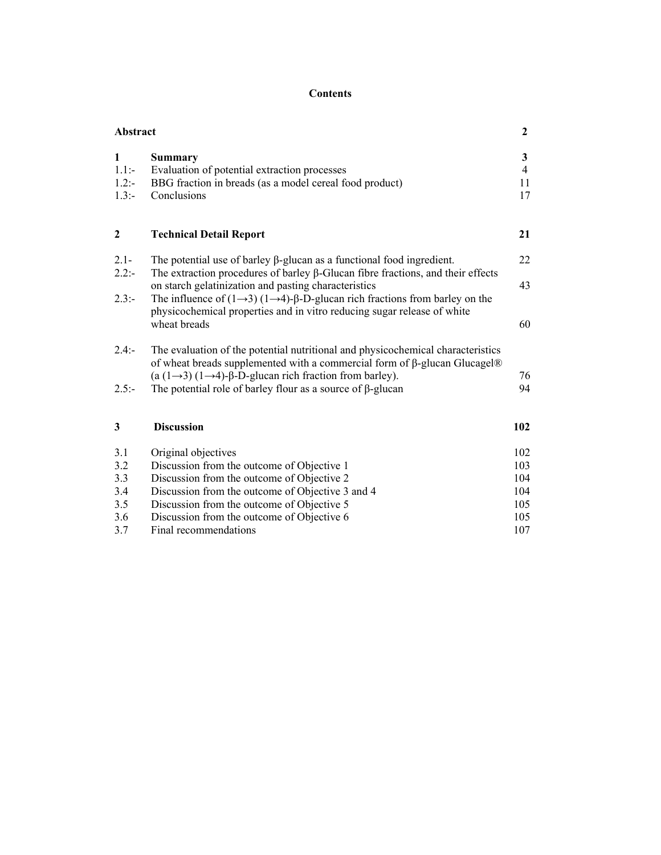# **Contents**

| <b>Abstract</b>               |                                                                                                                                                                                                                                                         | $\mathbf{2}$                    |
|-------------------------------|---------------------------------------------------------------------------------------------------------------------------------------------------------------------------------------------------------------------------------------------------------|---------------------------------|
| 1<br>$1.1: -$<br>1.2:<br>1.3: | <b>Summary</b><br>Evaluation of potential extraction processes<br>BBG fraction in breads (as a model cereal food product)<br>Conclusions                                                                                                                | 3<br>$\overline{4}$<br>11<br>17 |
| $\boldsymbol{2}$              | <b>Technical Detail Report</b>                                                                                                                                                                                                                          | 21                              |
| $2.1 -$<br>2.2:               | The potential use of barley $\beta$ -glucan as a functional food ingredient.<br>The extraction procedures of barley $\beta$ -Glucan fibre fractions, and their effects                                                                                  | 22                              |
| $2.3: -$                      | on starch gelatinization and pasting characteristics<br>The influence of $(1\rightarrow 3)$ $(1\rightarrow 4)$ - $\beta$ -D-glucan rich fractions from barley on the                                                                                    | 43                              |
|                               | physicochemical properties and in vitro reducing sugar release of white<br>wheat breads                                                                                                                                                                 | 60                              |
| $2.4: -$                      | The evaluation of the potential nutritional and physicochemical characteristics<br>of wheat breads supplemented with a commercial form of $\beta$ -glucan Glucagel®<br>(a $(1\rightarrow 3)$ $(1\rightarrow 4)$ -β-D-glucan rich fraction from barley). | 76                              |
| $2.5: -$                      | The potential role of barley flour as a source of $\beta$ -glucan                                                                                                                                                                                       | 94                              |
| 3                             | <b>Discussion</b>                                                                                                                                                                                                                                       | 102                             |
| 3.1                           | Original objectives                                                                                                                                                                                                                                     | 102                             |
| 3.2                           | Discussion from the outcome of Objective 1                                                                                                                                                                                                              | 103                             |
| 3.3                           | Discussion from the outcome of Objective 2                                                                                                                                                                                                              | 104                             |
| 3.4                           | Discussion from the outcome of Objective 3 and 4                                                                                                                                                                                                        | 104                             |
| 3.5                           | Discussion from the outcome of Objective 5                                                                                                                                                                                                              | 105                             |
| 3.6                           | Discussion from the outcome of Objective 6                                                                                                                                                                                                              | 105                             |
| 3.7                           | Final recommendations                                                                                                                                                                                                                                   | 107                             |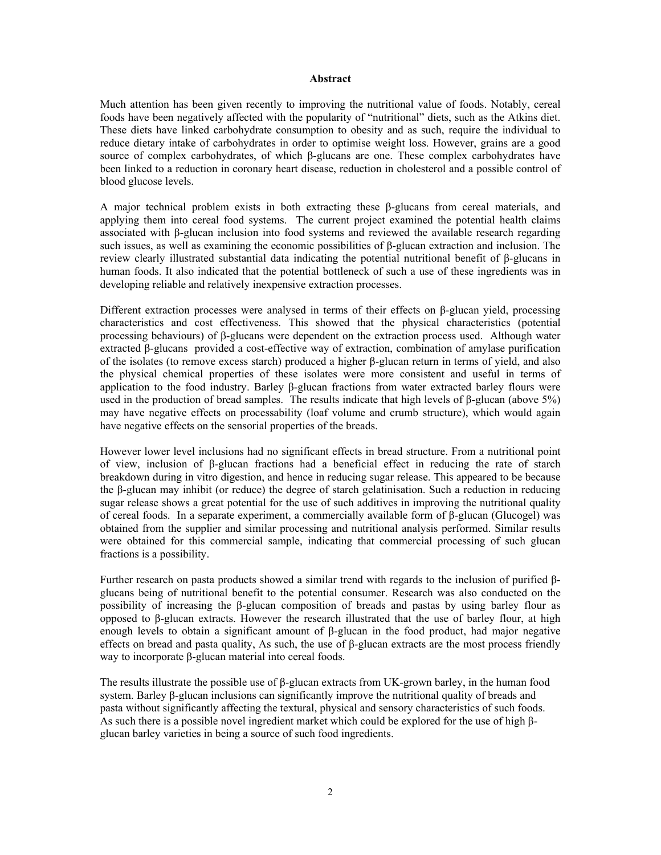#### **Abstract**

Much attention has been given recently to improving the nutritional value of foods. Notably, cereal foods have been negatively affected with the popularity of "nutritional" diets, such as the Atkins diet. These diets have linked carbohydrate consumption to obesity and as such, require the individual to reduce dietary intake of carbohydrates in order to optimise weight loss. However, grains are a good source of complex carbohydrates, of which β-glucans are one. These complex carbohydrates have been linked to a reduction in coronary heart disease, reduction in cholesterol and a possible control of blood glucose levels.

A major technical problem exists in both extracting these β-glucans from cereal materials, and applying them into cereal food systems. The current project examined the potential health claims associated with β-glucan inclusion into food systems and reviewed the available research regarding such issues, as well as examining the economic possibilities of β-glucan extraction and inclusion. The review clearly illustrated substantial data indicating the potential nutritional benefit of β-glucans in human foods. It also indicated that the potential bottleneck of such a use of these ingredients was in developing reliable and relatively inexpensive extraction processes.

Different extraction processes were analysed in terms of their effects on β-glucan yield, processing characteristics and cost effectiveness. This showed that the physical characteristics (potential processing behaviours) of β-glucans were dependent on the extraction process used. Although water extracted β-glucans provided a cost-effective way of extraction, combination of amylase purification of the isolates (to remove excess starch) produced a higher β-glucan return in terms of yield, and also the physical chemical properties of these isolates were more consistent and useful in terms of application to the food industry. Barley β-glucan fractions from water extracted barley flours were used in the production of bread samples. The results indicate that high levels of  $\beta$ -glucan (above 5%) may have negative effects on processability (loaf volume and crumb structure), which would again have negative effects on the sensorial properties of the breads.

However lower level inclusions had no significant effects in bread structure. From a nutritional point of view, inclusion of β-glucan fractions had a beneficial effect in reducing the rate of starch breakdown during in vitro digestion, and hence in reducing sugar release. This appeared to be because the β-glucan may inhibit (or reduce) the degree of starch gelatinisation. Such a reduction in reducing sugar release shows a great potential for the use of such additives in improving the nutritional quality of cereal foods. In a separate experiment, a commercially available form of β-glucan (Glucogel) was obtained from the supplier and similar processing and nutritional analysis performed. Similar results were obtained for this commercial sample, indicating that commercial processing of such glucan fractions is a possibility.

Further research on pasta products showed a similar trend with regards to the inclusion of purified βglucans being of nutritional benefit to the potential consumer. Research was also conducted on the possibility of increasing the β-glucan composition of breads and pastas by using barley flour as opposed to β-glucan extracts. However the research illustrated that the use of barley flour, at high enough levels to obtain a significant amount of β-glucan in the food product, had major negative effects on bread and pasta quality, As such, the use of β-glucan extracts are the most process friendly way to incorporate β-glucan material into cereal foods.

The results illustrate the possible use of β-glucan extracts from UK-grown barley, in the human food system. Barley β-glucan inclusions can significantly improve the nutritional quality of breads and pasta without significantly affecting the textural, physical and sensory characteristics of such foods. As such there is a possible novel ingredient market which could be explored for the use of high βglucan barley varieties in being a source of such food ingredients.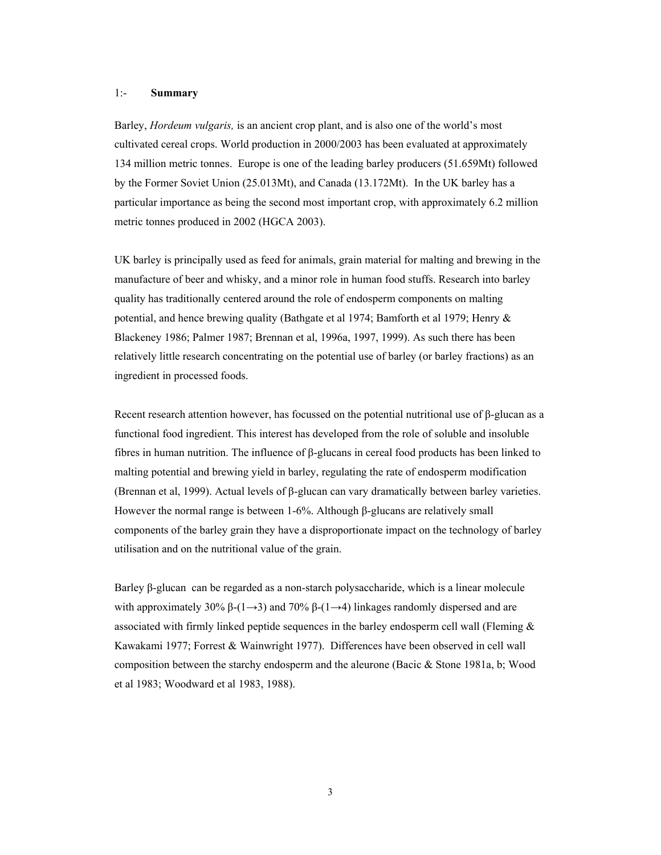## 1:- **Summary**

Barley, *Hordeum vulgaris,* is an ancient crop plant, and is also one of the world's most cultivated cereal crops. World production in 2000/2003 has been evaluated at approximately 134 million metric tonnes. Europe is one of the leading barley producers (51.659Mt) followed by the Former Soviet Union (25.013Mt), and Canada (13.172Mt). In the UK barley has a particular importance as being the second most important crop, with approximately 6.2 million metric tonnes produced in 2002 (HGCA 2003).

UK barley is principally used as feed for animals, grain material for malting and brewing in the manufacture of beer and whisky, and a minor role in human food stuffs. Research into barley quality has traditionally centered around the role of endosperm components on malting potential, and hence brewing quality (Bathgate et al 1974; Bamforth et al 1979; Henry & Blackeney 1986; Palmer 1987; Brennan et al, 1996a, 1997, 1999). As such there has been relatively little research concentrating on the potential use of barley (or barley fractions) as an ingredient in processed foods.

Recent research attention however, has focussed on the potential nutritional use of  $\beta$ -glucan as a functional food ingredient. This interest has developed from the role of soluble and insoluble fibres in human nutrition. The influence of β-glucans in cereal food products has been linked to malting potential and brewing yield in barley, regulating the rate of endosperm modification (Brennan et al, 1999). Actual levels of β-glucan can vary dramatically between barley varieties. However the normal range is between 1-6%. Although β-glucans are relatively small components of the barley grain they have a disproportionate impact on the technology of barley utilisation and on the nutritional value of the grain.

Barley β-glucan can be regarded as a non-starch polysaccharide, which is a linear molecule with approximately 30%  $\beta$ -(1→3) and 70%  $\beta$ -(1→4) linkages randomly dispersed and are associated with firmly linked peptide sequences in the barley endosperm cell wall (Fleming  $\&$ Kawakami 1977; Forrest & Wainwright 1977). Differences have been observed in cell wall composition between the starchy endosperm and the aleurone (Bacic & Stone 1981a, b; Wood et al 1983; Woodward et al 1983, 1988).

3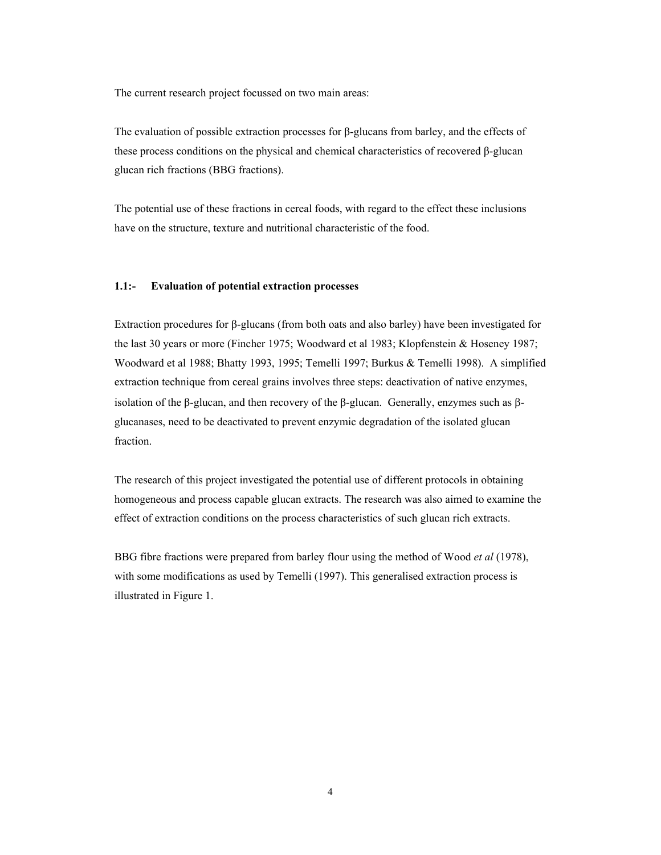The current research project focussed on two main areas:

The evaluation of possible extraction processes for β-glucans from barley, and the effects of these process conditions on the physical and chemical characteristics of recovered β-glucan glucan rich fractions (BBG fractions).

The potential use of these fractions in cereal foods, with regard to the effect these inclusions have on the structure, texture and nutritional characteristic of the food.

## **1.1:- Evaluation of potential extraction processes**

Extraction procedures for β-glucans (from both oats and also barley) have been investigated for the last 30 years or more (Fincher 1975; Woodward et al 1983; Klopfenstein & Hoseney 1987; Woodward et al 1988; Bhatty 1993, 1995; Temelli 1997; Burkus & Temelli 1998). A simplified extraction technique from cereal grains involves three steps: deactivation of native enzymes, isolation of the β-glucan, and then recovery of the β-glucan. Generally, enzymes such as βglucanases, need to be deactivated to prevent enzymic degradation of the isolated glucan fraction.

The research of this project investigated the potential use of different protocols in obtaining homogeneous and process capable glucan extracts. The research was also aimed to examine the effect of extraction conditions on the process characteristics of such glucan rich extracts.

BBG fibre fractions were prepared from barley flour using the method of Wood *et al* (1978), with some modifications as used by Temelli (1997). This generalised extraction process is illustrated in Figure 1.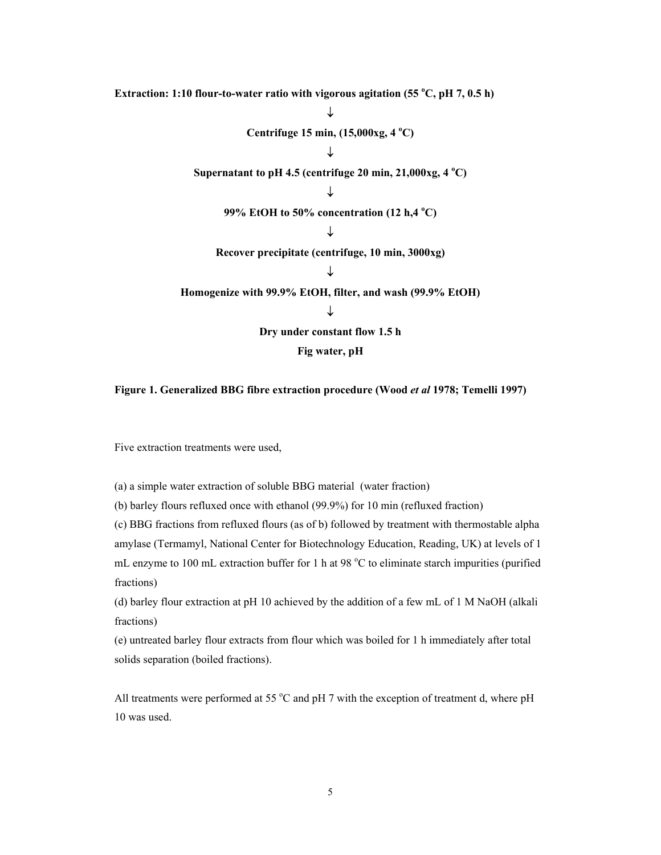Extraction: 1:10 flour-to-water ratio with vigorous agitation (55 °C, pH 7, 0.5 h) ↓ **Centrifuge 15 min, (15,000xg, 4 o C)**  ↓ Supernatant to pH 4.5 (centrifuge 20 min, 21,000xg, 4 °C) ↓ **99% EtOH to 50% concentration (12 h,4 <sup>o</sup> C)**  ↓ **Recover precipitate (centrifuge, 10 min, 3000xg)**  ↓ **Homogenize with 99.9% EtOH, filter, and wash (99.9% EtOH)**  ↓ **Dry under constant flow 1.5 h Fig water, pH** 

## **Figure 1. Generalized BBG fibre extraction procedure (Wood** *et al* **1978; Temelli 1997)**

Five extraction treatments were used,

(a) a simple water extraction of soluble BBG material (water fraction)

(b) barley flours refluxed once with ethanol (99.9%) for 10 min (refluxed fraction)

(c) BBG fractions from refluxed flours (as of b) followed by treatment with thermostable alpha amylase (Termamyl, National Center for Biotechnology Education, Reading, UK) at levels of 1 mL enzyme to 100 mL extraction buffer for 1 h at 98 °C to eliminate starch impurities (purified fractions)

(d) barley flour extraction at pH 10 achieved by the addition of a few mL of 1 M NaOH (alkali fractions)

(e) untreated barley flour extracts from flour which was boiled for 1 h immediately after total solids separation (boiled fractions).

All treatments were performed at 55  $\degree$ C and pH 7 with the exception of treatment d, where pH 10 was used.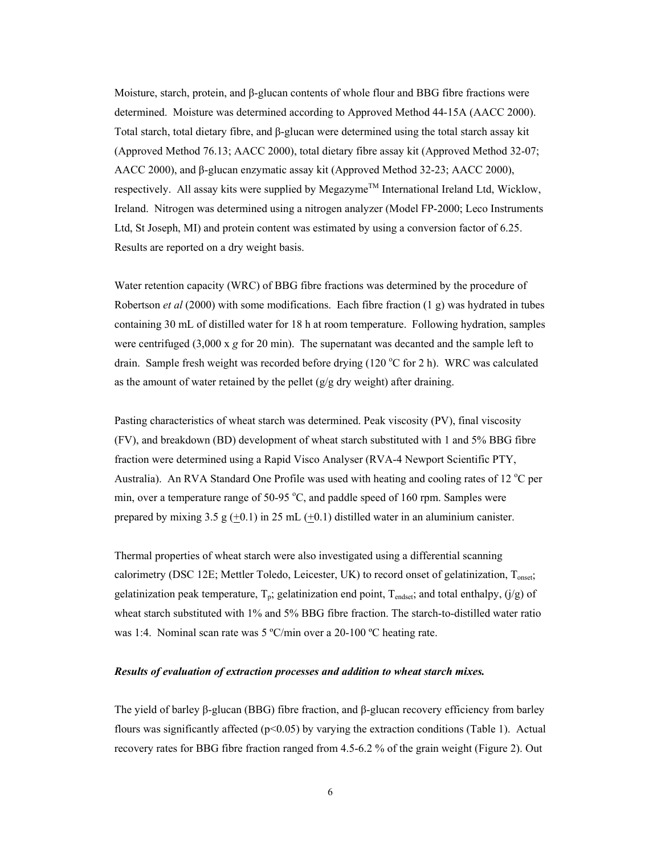Moisture, starch, protein, and β-glucan contents of whole flour and BBG fibre fractions were determined. Moisture was determined according to Approved Method 44-15A (AACC 2000). Total starch, total dietary fibre, and β-glucan were determined using the total starch assay kit (Approved Method 76.13; AACC 2000), total dietary fibre assay kit (Approved Method 32-07; AACC 2000), and β-glucan enzymatic assay kit (Approved Method 32-23; AACC 2000), respectively. All assay kits were supplied by Megazyme<sup>TM</sup> International Ireland Ltd, Wicklow, Ireland. Nitrogen was determined using a nitrogen analyzer (Model FP-2000; Leco Instruments Ltd, St Joseph, MI) and protein content was estimated by using a conversion factor of 6.25. Results are reported on a dry weight basis.

Water retention capacity (WRC) of BBG fibre fractions was determined by the procedure of Robertson *et al* (2000) with some modifications. Each fibre fraction (1 g) was hydrated in tubes containing 30 mL of distilled water for 18 h at room temperature. Following hydration, samples were centrifuged (3,000 x *g* for 20 min). The supernatant was decanted and the sample left to drain. Sample fresh weight was recorded before drying  $(120 °C)$  for 2 h). WRC was calculated as the amount of water retained by the pellet  $(g/g)$  dry weight) after draining.

Pasting characteristics of wheat starch was determined. Peak viscosity (PV), final viscosity (FV), and breakdown (BD) development of wheat starch substituted with 1 and 5% BBG fibre fraction were determined using a Rapid Visco Analyser (RVA-4 Newport Scientific PTY, Australia). An RVA Standard One Profile was used with heating and cooling rates of 12  $^{\circ}$ C per min, over a temperature range of 50-95  $^{\circ}$ C, and paddle speed of 160 rpm. Samples were prepared by mixing 3.5 g  $(+0.1)$  in 25 mL  $(+0.1)$  distilled water in an aluminium canister.

Thermal properties of wheat starch were also investigated using a differential scanning calorimetry (DSC 12E; Mettler Toledo, Leicester, UK) to record onset of gelatinization, Tonset; gelatinization peak temperature,  $T_p$ ; gelatinization end point,  $T_{endest}$ ; and total enthalpy,  $(j/g)$  of wheat starch substituted with 1% and 5% BBG fibre fraction. The starch-to-distilled water ratio was 1:4. Nominal scan rate was 5 °C/min over a 20-100 °C heating rate.

## *Results of evaluation of extraction processes and addition to wheat starch mixes.*

The yield of barley β-glucan (BBG) fibre fraction, and β-glucan recovery efficiency from barley flours was significantly affected ( $p<0.05$ ) by varying the extraction conditions (Table 1). Actual recovery rates for BBG fibre fraction ranged from 4.5-6.2 % of the grain weight (Figure 2). Out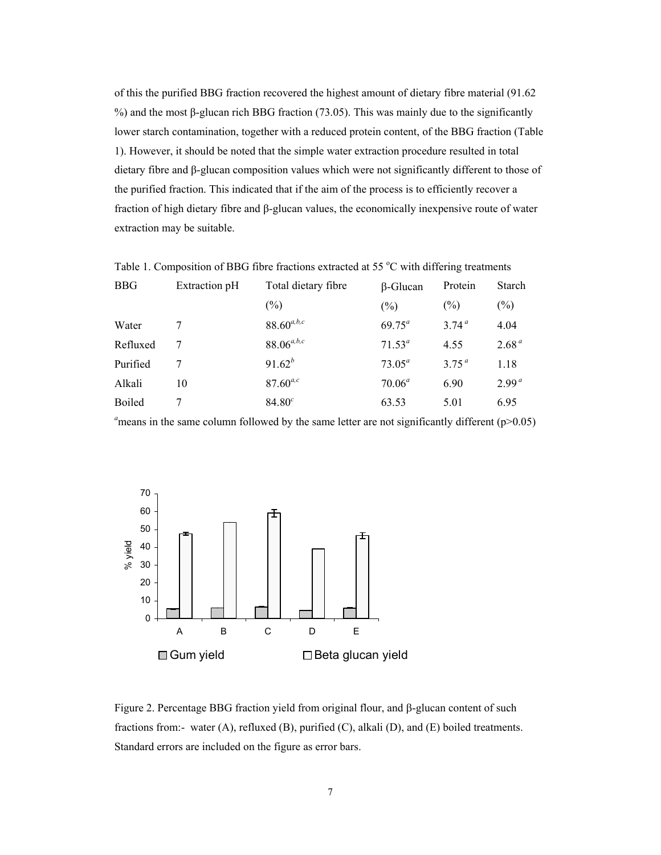of this the purified BBG fraction recovered the highest amount of dietary fibre material (91.62 %) and the most β-glucan rich BBG fraction (73.05). This was mainly due to the significantly lower starch contamination, together with a reduced protein content, of the BBG fraction (Table 1). However, it should be noted that the simple water extraction procedure resulted in total dietary fibre and β-glucan composition values which were not significantly different to those of the purified fraction. This indicated that if the aim of the process is to efficiently recover a fraction of high dietary fibre and β-glucan values, the economically inexpensive route of water extraction may be suitable.

| Twele 1. Composition of BBG hole haenons entracted at $\sigma \sigma$ of which antenna ironinents |               |                     |                 |                   |                   |
|---------------------------------------------------------------------------------------------------|---------------|---------------------|-----------------|-------------------|-------------------|
| <b>BBG</b>                                                                                        | Extraction pH | Total dietary fibre | $\beta$ -Glucan | Protein           | Starch            |
|                                                                                                   |               | $(\%)$              | $(\%)$          | $(\%)$            | $(\%)$            |
| Water                                                                                             |               | $88.60^{a,b,c}$     | $69.75^a$       | 3.74 <sup>a</sup> | 4.04              |
| Refluxed                                                                                          |               | $88.06^{a,b,c}$     | $71.53^a$       | 4.55              | 2.68 <sup>a</sup> |
| Purified                                                                                          |               | $91.62^{b}$         | $73.05^a$       | 375 <sup>a</sup>  | 1.18              |
| Alkali                                                                                            | 10            | $87.60^{a,c}$       | $70.06^a$       | 6.90              | 2.99 <sup>a</sup> |
| <b>Boiled</b>                                                                                     |               | $84.80^{c}$         | 63.53           | 5.01              | 6.95              |

Table 1. Composition of BBG fibre fractions extracted at 55  $^{\circ}$ C with differing treatments

<sup>a</sup> means in the same column followed by the same letter are not significantly different ( $p > 0.05$ )



Figure 2. Percentage BBG fraction yield from original flour, and β-glucan content of such fractions from:- water (A), refluxed (B), purified (C), alkali (D), and (E) boiled treatments. Standard errors are included on the figure as error bars.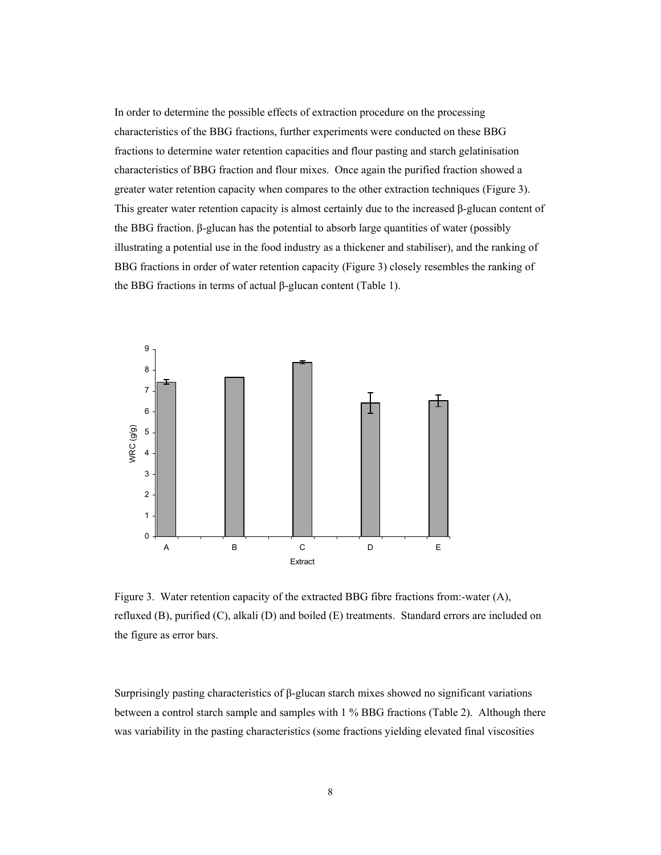In order to determine the possible effects of extraction procedure on the processing characteristics of the BBG fractions, further experiments were conducted on these BBG fractions to determine water retention capacities and flour pasting and starch gelatinisation characteristics of BBG fraction and flour mixes. Once again the purified fraction showed a greater water retention capacity when compares to the other extraction techniques (Figure 3). This greater water retention capacity is almost certainly due to the increased β-glucan content of the BBG fraction. β-glucan has the potential to absorb large quantities of water (possibly illustrating a potential use in the food industry as a thickener and stabiliser), and the ranking of BBG fractions in order of water retention capacity (Figure 3) closely resembles the ranking of the BBG fractions in terms of actual β-glucan content (Table 1).



Figure 3. Water retention capacity of the extracted BBG fibre fractions from:-water (A), refluxed (B), purified (C), alkali (D) and boiled (E) treatments. Standard errors are included on the figure as error bars.

Surprisingly pasting characteristics of β-glucan starch mixes showed no significant variations between a control starch sample and samples with 1 % BBG fractions (Table 2). Although there was variability in the pasting characteristics (some fractions yielding elevated final viscosities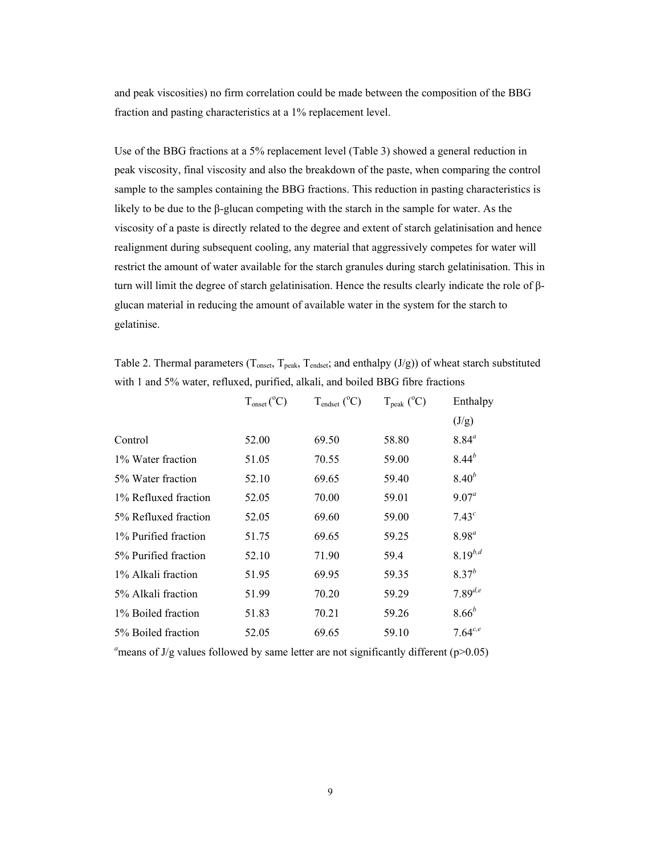and peak viscosities) no firm correlation could be made between the composition of the BBG fraction and pasting characteristics at a 1% replacement level.

Use of the BBG fractions at a 5% replacement level (Table 3) showed a general reduction in peak viscosity, final viscosity and also the breakdown of the paste, when comparing the control sample to the samples containing the BBG fractions. This reduction in pasting characteristics is likely to be due to the β-glucan competing with the starch in the sample for water. As the viscosity of a paste is directly related to the degree and extent of starch gelatinisation and hence realignment during subsequent cooling, any material that aggressively competes for water will restrict the amount of water available for the starch granules during starch gelatinisation. This in turn will limit the degree of starch gelatinisation. Hence the results clearly indicate the role of βglucan material in reducing the amount of available water in the system for the starch to gelatinise.

Table 2. Thermal parameters ( $T_{onset}$ ,  $T_{peak}$ ,  $T_{endest}$ ; and enthalpy (J/g)) of wheat starch substituted with 1 and 5% water, refluxed, purified, alkali, and boiled BBG fibre fractions

|                      | $T_{onset} (^{\circ}C)$ | $T_{endset}$ ( $^{\circ}$ C) | $T_{\rm peak}$ ( $^{\circ}$ C) | Enthalpy          |
|----------------------|-------------------------|------------------------------|--------------------------------|-------------------|
|                      |                         |                              |                                | (J/g)             |
| Control              | 52.00                   | 69.50                        | 58.80                          | $8.84^{a}$        |
| 1% Water fraction    | 51.05                   | 70.55                        | 59.00                          | $8.44^{b}$        |
| 5% Water fraction    | 52.10                   | 69.65                        | 59.40                          | $8.40^{b}$        |
| 1% Refluxed fraction | 52.05                   | 70.00                        | 59.01                          | $9.07^{\circ}$    |
| 5% Refluxed fraction | 52.05                   | 69.60                        | 59.00                          | 7.43 <sup>c</sup> |
| 1% Purified fraction | 51.75                   | 69.65                        | 59.25                          | $8.98^{a}$        |
| 5% Purified fraction | 52.10                   | 71.90                        | 59.4                           | $8.19^{b,d}$      |
| 1% Alkali fraction   | 51.95                   | 69.95                        | 59.35                          | $8.37^{b}$        |
| 5% Alkali fraction   | 51.99                   | 70.20                        | 59.29                          | $7.89^{d,e}$      |
| 1% Boiled fraction   | 51.83                   | 70.21                        | 59.26                          | $8.66^{b}$        |
| 5% Boiled fraction   | 52.05                   | 69.65                        | 59.10                          | $7.64^{c,e}$      |

<sup>a</sup> means of J/g values followed by same letter are not significantly different ( $p$ >0.05)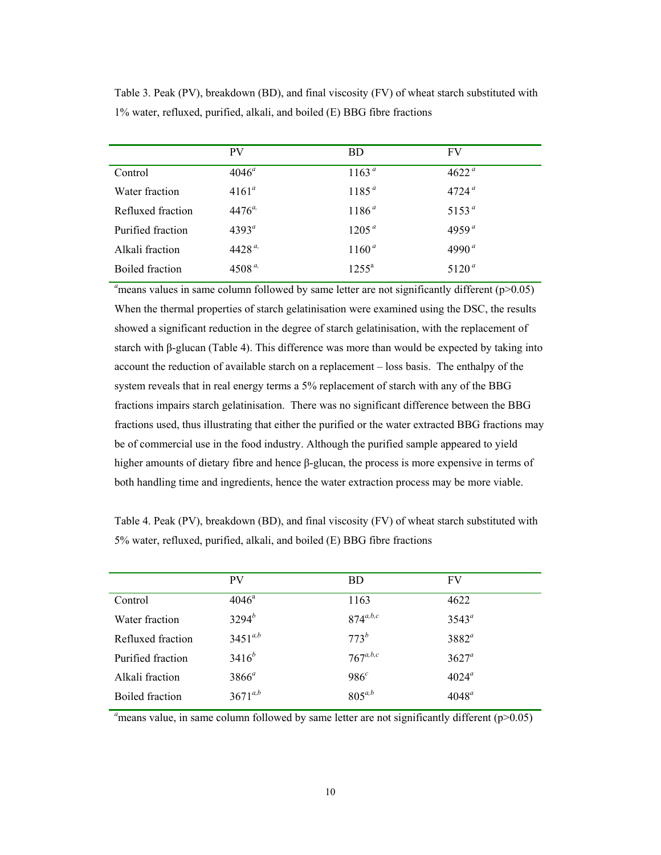|                   | <b>PV</b>      | <b>BD</b>         | FV                |
|-------------------|----------------|-------------------|-------------------|
| Control           | $4046^{\circ}$ | 1163 <sup>a</sup> | 4622 <sup>a</sup> |
| Water fraction    | $4161^a$       | $1185^{a}$        | $4724^{\mu}$      |
| Refluxed fraction | $4476^{a}$     | 1186 <sup>a</sup> | $5153^{\circ}$    |
| Purified fraction | $4393^{\circ}$ | 1205 <sup>a</sup> | 4959 <sup>a</sup> |
| Alkali fraction   | $4428^{a}$     | $1160^a$          | 4990 $a$          |
| Boiled fraction   | $4508^{a}$     | $1255^{\rm a}$    | $5120^{\circ}$    |

Table 3. Peak (PV), breakdown (BD), and final viscosity (FV) of wheat starch substituted with 1% water, refluxed, purified, alkali, and boiled (E) BBG fibre fractions

 $a<sub>n</sub>$  means values in same column followed by same letter are not significantly different ( $p$  $>$ 0.05) When the thermal properties of starch gelatinisation were examined using the DSC, the results showed a significant reduction in the degree of starch gelatinisation, with the replacement of starch with β-glucan (Table 4). This difference was more than would be expected by taking into account the reduction of available starch on a replacement – loss basis. The enthalpy of the system reveals that in real energy terms a 5% replacement of starch with any of the BBG fractions impairs starch gelatinisation. There was no significant difference between the BBG fractions used, thus illustrating that either the purified or the water extracted BBG fractions may be of commercial use in the food industry. Although the purified sample appeared to yield higher amounts of dietary fibre and hence β-glucan, the process is more expensive in terms of both handling time and ingredients, hence the water extraction process may be more viable.

Table 4. Peak (PV), breakdown (BD), and final viscosity (FV) of wheat starch substituted with 5% water, refluxed, purified, alkali, and boiled (E) BBG fibre fractions

|                   | <b>PV</b>      | <b>BD</b>        | <b>FV</b>      |
|-------------------|----------------|------------------|----------------|
| Control           | $4046^{\circ}$ | 1163             | 4622           |
| Water fraction    | $3294^{b}$     | $874^{a,b,c}$    | $3543^{\circ}$ |
| Refluxed fraction | $3451^{a,b}$   | $773^b$          | $3882^a$       |
| Purified fraction | $3416^{b}$     | $767^{a,b,c}$    | $3627^a$       |
| Alkali fraction   | $3866^a$       | 986 <sup>c</sup> | $4024^{\circ}$ |
| Boiled fraction   | $3671^{a,b}$   | $805^{a,b}$      | $4048^a$       |

 $a<sub>n</sub>$  means value, in same column followed by same letter are not significantly different ( $p$ >0.05)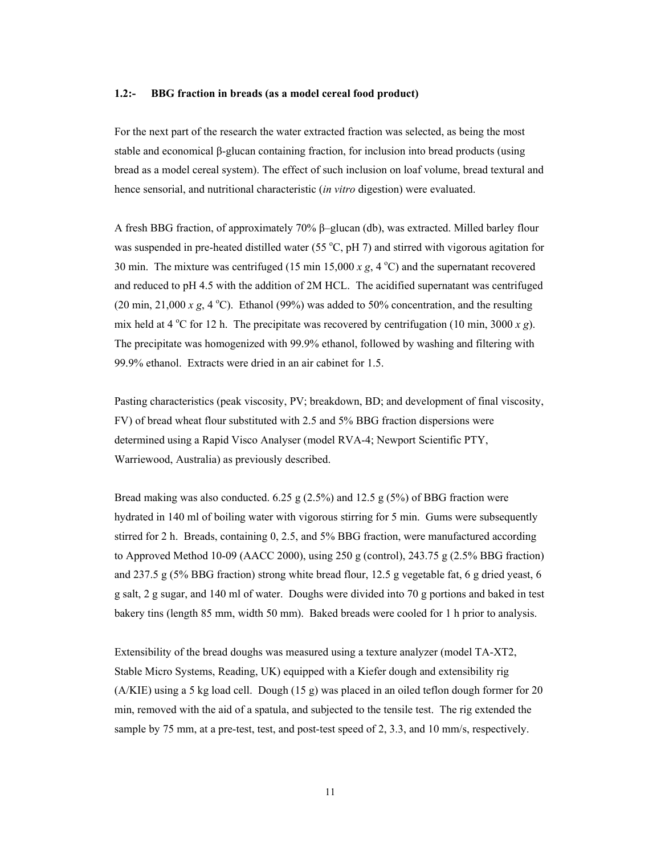#### **1.2:- BBG fraction in breads (as a model cereal food product)**

For the next part of the research the water extracted fraction was selected, as being the most stable and economical β-glucan containing fraction, for inclusion into bread products (using bread as a model cereal system). The effect of such inclusion on loaf volume, bread textural and hence sensorial, and nutritional characteristic (*in vitro* digestion) were evaluated.

A fresh BBG fraction, of approximately 70% β–glucan (db), was extracted. Milled barley flour was suspended in pre-heated distilled water (55 $\degree$ C, pH 7) and stirred with vigorous agitation for 30 min. The mixture was centrifuged (15 min 15,000  $x$  g, 4  $^{\circ}$ C) and the supernatant recovered and reduced to pH 4.5 with the addition of 2M HCL. The acidified supernatant was centrifuged  $(20 \text{ min}, 21,000 \text{ x } g, 4 \text{ °C})$ . Ethanol (99%) was added to 50% concentration, and the resulting mix held at 4 °C for 12 h. The precipitate was recovered by centrifugation (10 min, 3000  $x g$ ). The precipitate was homogenized with 99.9% ethanol, followed by washing and filtering with 99.9% ethanol. Extracts were dried in an air cabinet for 1.5.

Pasting characteristics (peak viscosity, PV; breakdown, BD; and development of final viscosity, FV) of bread wheat flour substituted with 2.5 and 5% BBG fraction dispersions were determined using a Rapid Visco Analyser (model RVA-4; Newport Scientific PTY, Warriewood, Australia) as previously described.

Bread making was also conducted.  $6.25$  g  $(2.5\%)$  and  $12.5$  g  $(5\%)$  of BBG fraction were hydrated in 140 ml of boiling water with vigorous stirring for 5 min. Gums were subsequently stirred for 2 h. Breads, containing 0, 2.5, and 5% BBG fraction, were manufactured according to Approved Method 10-09 (AACC 2000), using 250 g (control), 243.75 g (2.5% BBG fraction) and 237.5 g (5% BBG fraction) strong white bread flour, 12.5 g vegetable fat, 6 g dried yeast, 6 g salt, 2 g sugar, and 140 ml of water. Doughs were divided into 70 g portions and baked in test bakery tins (length 85 mm, width 50 mm). Baked breads were cooled for 1 h prior to analysis.

Extensibility of the bread doughs was measured using a texture analyzer (model TA-XT2, Stable Micro Systems, Reading, UK) equipped with a Kiefer dough and extensibility rig (A/KIE) using a 5 kg load cell. Dough (15 g) was placed in an oiled teflon dough former for 20 min, removed with the aid of a spatula, and subjected to the tensile test. The rig extended the sample by 75 mm, at a pre-test, test, and post-test speed of 2, 3.3, and 10 mm/s, respectively.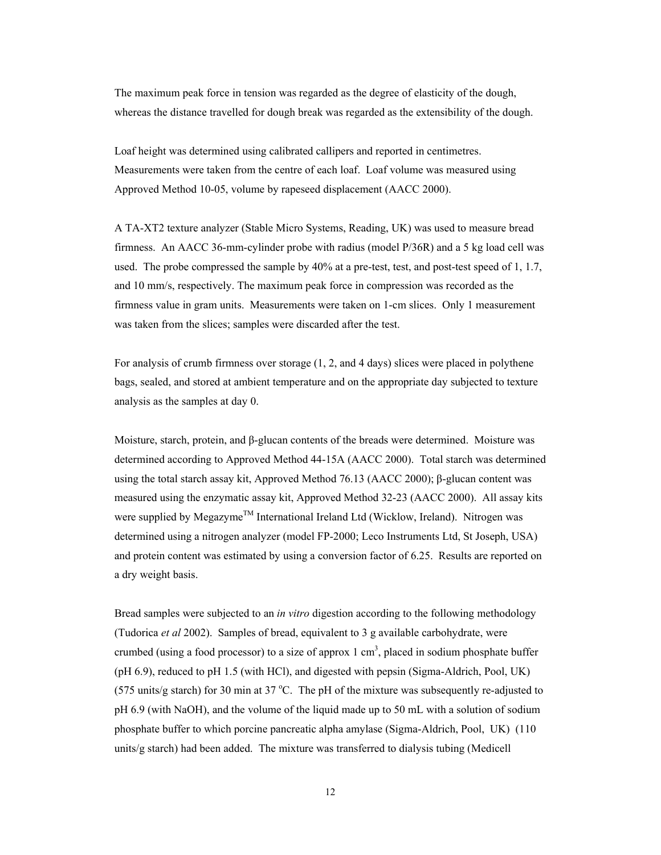The maximum peak force in tension was regarded as the degree of elasticity of the dough, whereas the distance travelled for dough break was regarded as the extensibility of the dough.

Loaf height was determined using calibrated callipers and reported in centimetres. Measurements were taken from the centre of each loaf. Loaf volume was measured using Approved Method 10-05, volume by rapeseed displacement (AACC 2000).

A TA-XT2 texture analyzer (Stable Micro Systems, Reading, UK) was used to measure bread firmness. An AACC 36-mm-cylinder probe with radius (model P/36R) and a 5 kg load cell was used. The probe compressed the sample by 40% at a pre-test, test, and post-test speed of 1, 1.7, and 10 mm/s, respectively. The maximum peak force in compression was recorded as the firmness value in gram units. Measurements were taken on 1-cm slices. Only 1 measurement was taken from the slices; samples were discarded after the test.

For analysis of crumb firmness over storage (1, 2, and 4 days) slices were placed in polythene bags, sealed, and stored at ambient temperature and on the appropriate day subjected to texture analysis as the samples at day 0.

Moisture, starch, protein, and β-glucan contents of the breads were determined. Moisture was determined according to Approved Method 44-15A (AACC 2000). Total starch was determined using the total starch assay kit, Approved Method 76.13 (AACC 2000); β-glucan content was measured using the enzymatic assay kit, Approved Method 32-23 (AACC 2000). All assay kits were supplied by Megazyme™ International Ireland Ltd (Wicklow, Ireland). Nitrogen was determined using a nitrogen analyzer (model FP-2000; Leco Instruments Ltd, St Joseph, USA) and protein content was estimated by using a conversion factor of 6.25. Results are reported on a dry weight basis.

Bread samples were subjected to an *in vitro* digestion according to the following methodology (Tudorica *et al* 2002). Samples of bread, equivalent to 3 g available carbohydrate, were crumbed (using a food processor) to a size of approx  $1 \text{ cm}^3$ , placed in sodium phosphate buffer (pH 6.9), reduced to pH 1.5 (with HCl), and digested with pepsin (Sigma-Aldrich, Pool, UK)  $(575 \text{ units/g starch})$  for 30 min at 37 °C. The pH of the mixture was subsequently re-adjusted to pH 6.9 (with NaOH), and the volume of the liquid made up to 50 mL with a solution of sodium phosphate buffer to which porcine pancreatic alpha amylase (Sigma-Aldrich, Pool, UK) (110 units/g starch) had been added. The mixture was transferred to dialysis tubing (Medicell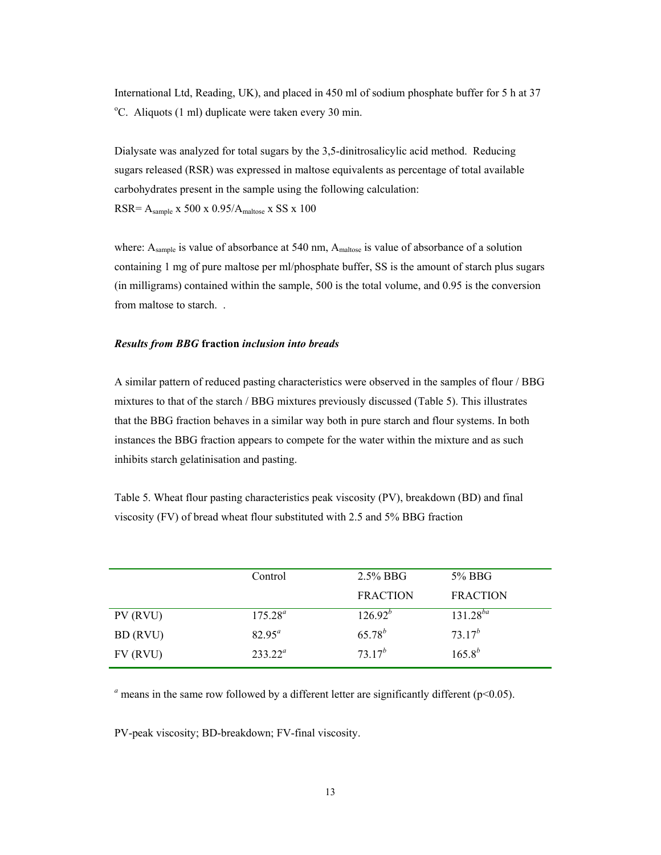International Ltd, Reading, UK), and placed in 450 ml of sodium phosphate buffer for 5 h at 37 <sup>o</sup>C. Aliquots (1 ml) duplicate were taken every 30 min.

Dialysate was analyzed for total sugars by the 3,5-dinitrosalicylic acid method. Reducing sugars released (RSR) was expressed in maltose equivalents as percentage of total available carbohydrates present in the sample using the following calculation: RSR= Asample x 500 x 0.95/Amaltose x SS x 100

where:  $A_{sample}$  is value of absorbance at 540 nm,  $A_{maltose}$  is value of absorbance of a solution containing 1 mg of pure maltose per ml/phosphate buffer, SS is the amount of starch plus sugars (in milligrams) contained within the sample, 500 is the total volume, and 0.95 is the conversion from maltose to starch. .

## *Results from BBG* **fraction** *inclusion into breads*

A similar pattern of reduced pasting characteristics were observed in the samples of flour / BBG mixtures to that of the starch / BBG mixtures previously discussed (Table 5). This illustrates that the BBG fraction behaves in a similar way both in pure starch and flour systems. In both instances the BBG fraction appears to compete for the water within the mixture and as such inhibits starch gelatinisation and pasting.

Table 5. Wheat flour pasting characteristics peak viscosity (PV), breakdown (BD) and final viscosity (FV) of bread wheat flour substituted with 2.5 and 5% BBG fraction

|          | Control    | $2.5\%$ BBG     | 5% BBG          |
|----------|------------|-----------------|-----------------|
|          |            | <b>FRACTION</b> | <b>FRACTION</b> |
| PV (RVU) | $175.28^a$ | $126.92^{b}$    | $131.28^{ba}$   |
| BD (RVU) | $82.95^a$  | $65.78^{b}$     | $73.17^{b}$     |
| FV (RVU) | $233.22^a$ | $73.17^{b}$     | $165.8^{b}$     |

 $a$ <sup> *a*</sup> means in the same row followed by a different letter are significantly different ( $p$ <0.05).

PV-peak viscosity; BD-breakdown; FV-final viscosity.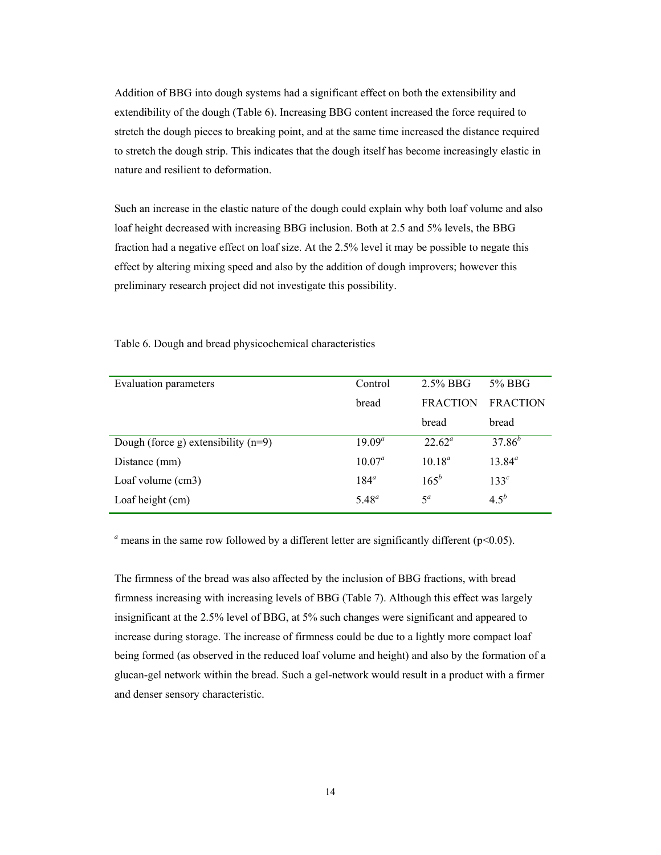Addition of BBG into dough systems had a significant effect on both the extensibility and extendibility of the dough (Table 6). Increasing BBG content increased the force required to stretch the dough pieces to breaking point, and at the same time increased the distance required to stretch the dough strip. This indicates that the dough itself has become increasingly elastic in nature and resilient to deformation.

Such an increase in the elastic nature of the dough could explain why both loaf volume and also loaf height decreased with increasing BBG inclusion. Both at 2.5 and 5% levels, the BBG fraction had a negative effect on loaf size. At the 2.5% level it may be possible to negate this effect by altering mixing speed and also by the addition of dough improvers; however this preliminary research project did not investigate this possibility.

| <b>Evaluation parameters</b>          | Control    | $2.5\%$ BBG     | 5% BBG           |
|---------------------------------------|------------|-----------------|------------------|
|                                       | bread      | <b>FRACTION</b> | <b>FRACTION</b>  |
|                                       |            | bread           | bread            |
| Dough (force g) extensibility $(n=9)$ | $19.09^a$  | $22.62^{\circ}$ | $37.86^{b}$      |
| Distance (mm)                         | $10.07^a$  | $10.18^a$       | $13.84^a$        |
| Loaf volume (cm3)                     | $184^a$    | $165^{b}$       | 133 <sup>c</sup> |
| Loaf height (cm)                      | $5.48^{a}$ | $5^a$           | $4.5^b$          |

Table 6. Dough and bread physicochemical characteristics

 $a$ <sup> *a*</sup> means in the same row followed by a different letter are significantly different ( $p$ <0.05).

The firmness of the bread was also affected by the inclusion of BBG fractions, with bread firmness increasing with increasing levels of BBG (Table 7). Although this effect was largely insignificant at the 2.5% level of BBG, at 5% such changes were significant and appeared to increase during storage. The increase of firmness could be due to a lightly more compact loaf being formed (as observed in the reduced loaf volume and height) and also by the formation of a glucan-gel network within the bread. Such a gel-network would result in a product with a firmer and denser sensory characteristic.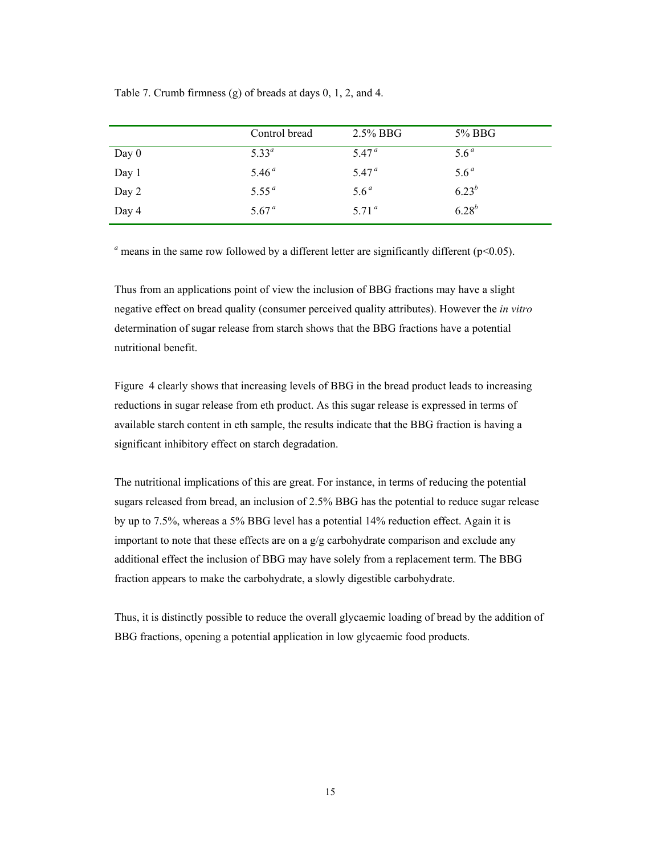|  | Table 7. Crumb firmness (g) of breads at days $0, 1, 2$ , and 4. |  |
|--|------------------------------------------------------------------|--|
|--|------------------------------------------------------------------|--|

|         | Control bread     | $2.5\%$ BBG       | 5% BBG           |
|---------|-------------------|-------------------|------------------|
| Day $0$ | $5.33^{a}$        | 5.47 <sup>a</sup> | 5.6 <sup>a</sup> |
| Day 1   | 5.46 <sup>a</sup> | 5.47 <sup>a</sup> | 5.6 <sup>a</sup> |
| Day 2   | 5.55 <sup>a</sup> | 5.6 <sup>a</sup>  | $6.23^{b}$       |
| Day 4   | 5.67 <sup>a</sup> | 5.71 $^{a}$       | $6.28^{b}$       |

 $a$  means in the same row followed by a different letter are significantly different ( $p$ <0.05).

Thus from an applications point of view the inclusion of BBG fractions may have a slight negative effect on bread quality (consumer perceived quality attributes). However the *in vitro* determination of sugar release from starch shows that the BBG fractions have a potential nutritional benefit.

Figure 4 clearly shows that increasing levels of BBG in the bread product leads to increasing reductions in sugar release from eth product. As this sugar release is expressed in terms of available starch content in eth sample, the results indicate that the BBG fraction is having a significant inhibitory effect on starch degradation.

The nutritional implications of this are great. For instance, in terms of reducing the potential sugars released from bread, an inclusion of 2.5% BBG has the potential to reduce sugar release by up to 7.5%, whereas a 5% BBG level has a potential 14% reduction effect. Again it is important to note that these effects are on a g/g carbohydrate comparison and exclude any additional effect the inclusion of BBG may have solely from a replacement term. The BBG fraction appears to make the carbohydrate, a slowly digestible carbohydrate.

Thus, it is distinctly possible to reduce the overall glycaemic loading of bread by the addition of BBG fractions, opening a potential application in low glycaemic food products.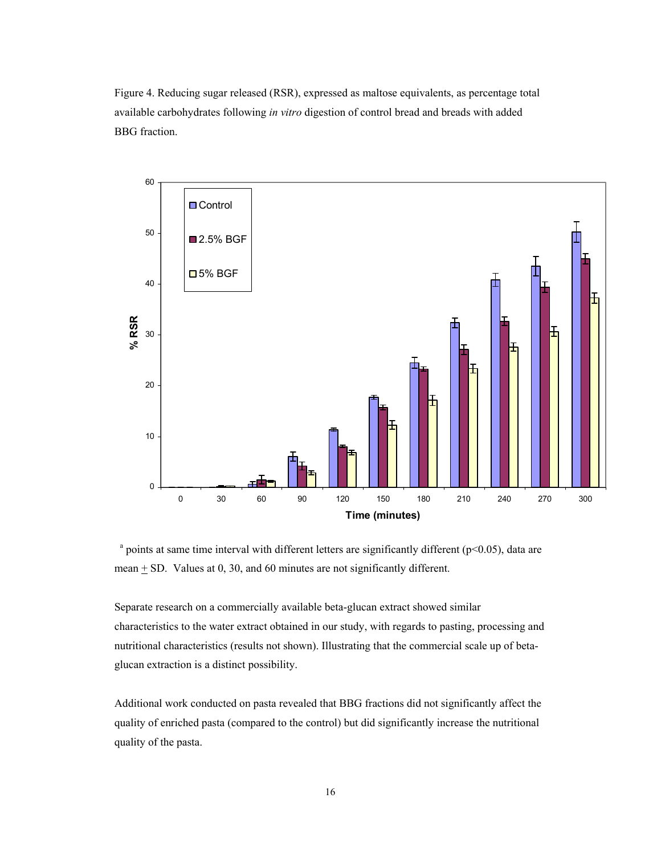Figure 4. Reducing sugar released (RSR), expressed as maltose equivalents, as percentage total available carbohydrates following *in vitro* digestion of control bread and breads with added BBG fraction.



 $^{\circ}$  points at same time interval with different letters are significantly different (p<0.05), data are mean  $\pm$  SD. Values at 0, 30, and 60 minutes are not significantly different.

Separate research on a commercially available beta-glucan extract showed similar characteristics to the water extract obtained in our study, with regards to pasting, processing and nutritional characteristics (results not shown). Illustrating that the commercial scale up of betaglucan extraction is a distinct possibility.

Additional work conducted on pasta revealed that BBG fractions did not significantly affect the quality of enriched pasta (compared to the control) but did significantly increase the nutritional quality of the pasta.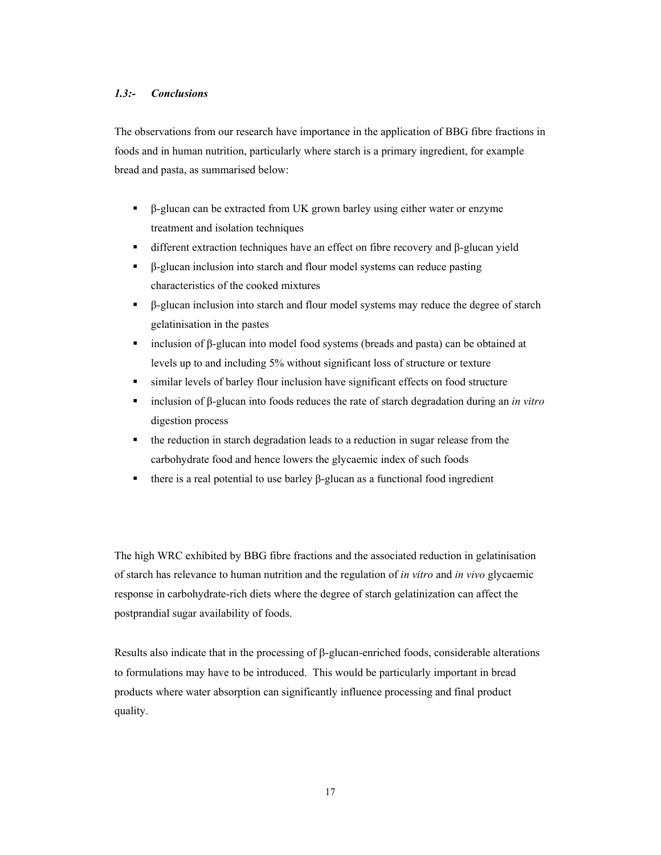## *1.3:- Conclusions*

The observations from our research have importance in the application of BBG fibre fractions in foods and in human nutrition, particularly where starch is a primary ingredient, for example bread and pasta, as summarised below:

- β-glucan can be extracted from UK grown barley using either water or enzyme treatment and isolation techniques
- $\blacksquare$  different extraction techniques have an effect on fibre recovery and β-glucan yield
- β-glucan inclusion into starch and flour model systems can reduce pasting characteristics of the cooked mixtures
- β-glucan inclusion into starch and flour model systems may reduce the degree of starch gelatinisation in the pastes
- $\blacksquare$  inclusion of β-glucan into model food systems (breads and pasta) can be obtained at levels up to and including 5% without significant loss of structure or texture
- similar levels of barley flour inclusion have significant effects on food structure
- inclusion of β-glucan into foods reduces the rate of starch degradation during an *in vitro* digestion process
- the reduction in starch degradation leads to a reduction in sugar release from the carbohydrate food and hence lowers the glycaemic index of such foods
- there is a real potential to use barley  $\beta$ -glucan as a functional food ingredient

The high WRC exhibited by BBG fibre fractions and the associated reduction in gelatinisation of starch has relevance to human nutrition and the regulation of *in vitro* and *in vivo* glycaemic response in carbohydrate-rich diets where the degree of starch gelatinization can affect the postprandial sugar availability of foods.

Results also indicate that in the processing of β-glucan-enriched foods, considerable alterations to formulations may have to be introduced. This would be particularly important in bread products where water absorption can significantly influence processing and final product quality.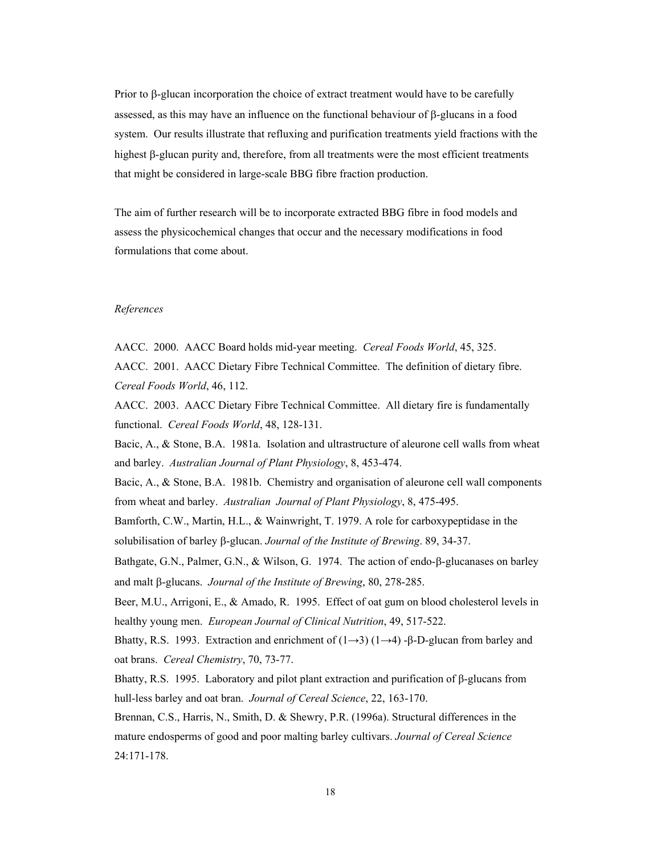Prior to β-glucan incorporation the choice of extract treatment would have to be carefully assessed, as this may have an influence on the functional behaviour of β-glucans in a food system. Our results illustrate that refluxing and purification treatments yield fractions with the highest β-glucan purity and, therefore, from all treatments were the most efficient treatments that might be considered in large-scale BBG fibre fraction production.

The aim of further research will be to incorporate extracted BBG fibre in food models and assess the physicochemical changes that occur and the necessary modifications in food formulations that come about.

# *References*

AACC. 2000. AACC Board holds mid-year meeting. *Cereal Foods World*, 45, 325. AACC. 2001. AACC Dietary Fibre Technical Committee. The definition of dietary fibre. *Cereal Foods World*, 46, 112.

AACC. 2003. AACC Dietary Fibre Technical Committee. All dietary fire is fundamentally functional. *Cereal Foods World*, 48, 128-131.

Bacic, A., & Stone, B.A. 1981a. Isolation and ultrastructure of aleurone cell walls from wheat and barley. *Australian Journal of Plant Physiology*, 8, 453-474.

Bacic, A., & Stone, B.A. 1981b. Chemistry and organisation of aleurone cell wall components from wheat and barley. *Australian Journal of Plant Physiology*, 8, 475-495.

Bamforth, C.W., Martin, H.L., & Wainwright, T. 1979. A role for carboxypeptidase in the solubilisation of barley β-glucan. *Journal of the Institute of Brewing*. 89, 34-37.

Bathgate, G.N., Palmer, G.N., & Wilson, G. 1974. The action of endo-β-glucanases on barley and malt β-glucans. *Journal of the Institute of Brewing*, 80, 278-285.

Beer, M.U., Arrigoni, E., & Amado, R. 1995. Effect of oat gum on blood cholesterol levels in healthy young men. *European Journal of Clinical Nutrition*, 49, 517-522.

Bhatty, R.S. 1993. Extraction and enrichment of  $(1\rightarrow 3)$   $(1\rightarrow 4)$  -β-D-glucan from barley and oat brans. *Cereal Chemistry*, 70, 73-77.

Bhatty, R.S. 1995. Laboratory and pilot plant extraction and purification of β-glucans from hull-less barley and oat bran. *Journal of Cereal Science*, 22, 163-170.

Brennan, C.S., Harris, N., Smith, D. & Shewry, P.R. (1996a). Structural differences in the mature endosperms of good and poor malting barley cultivars. *Journal of Cereal Science* 24:171-178.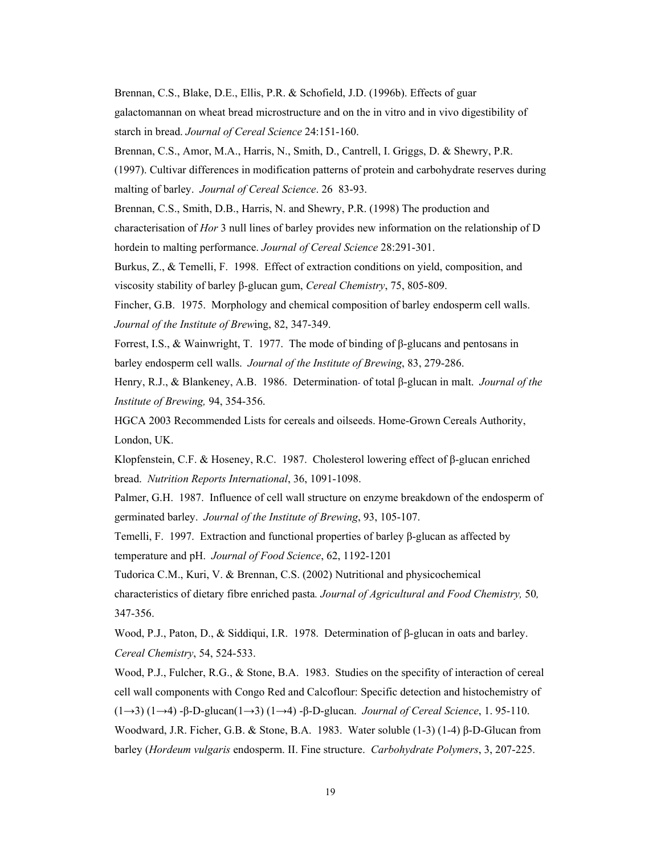Brennan, C.S., Blake, D.E., Ellis, P.R. & Schofield, J.D. (1996b). Effects of guar galactomannan on wheat bread microstructure and on the in vitro and in vivo digestibility of starch in bread. *Journal of Cereal Science* 24:151-160.

Brennan, C.S., Amor, M.A., Harris, N., Smith, D., Cantrell, I. Griggs, D. & Shewry, P.R.

(1997). Cultivar differences in modification patterns of protein and carbohydrate reserves during malting of barley. *Journal of Cereal Science*. 26 83-93.

Brennan, C.S., Smith, D.B., Harris, N. and Shewry, P.R. (1998) The production and

characterisation of *Hor* 3 null lines of barley provides new information on the relationship of D hordein to malting performance. *Journal of Cereal Science* 28:291-301.

Burkus, Z., & Temelli, F. 1998. Effect of extraction conditions on yield, composition, and viscosity stability of barley β-glucan gum, *Cereal Chemistry*, 75, 805-809.

Fincher, G.B. 1975. Morphology and chemical composition of barley endosperm cell walls. *Journal of the Institute of Brew*ing, 82, 347-349.

Forrest, I.S., & Wainwright, T. 1977. The mode of binding of β-glucans and pentosans in barley endosperm cell walls. *Journal of the Institute of Brewing*, 83, 279-286.

Henry, R.J., & Blankeney, A.B. 1986. Determination of total β-glucan in malt. *Journal of the Institute of Brewing,* 94, 354-356.

HGCA 2003 Recommended Lists for cereals and oilseeds. Home-Grown Cereals Authority, London, UK.

Klopfenstein, C.F. & Hoseney, R.C. 1987. Cholesterol lowering effect of β-glucan enriched bread. *Nutrition Reports Int*e*rnational*, 36, 1091-1098.

Palmer, G.H. 1987. Influence of cell wall structure on enzyme breakdown of the endosperm of germinated barley. *Journal of the Institute of Brewing*, 93, 105-107.

Temelli, F. 1997. Extraction and functional properties of barley β-glucan as affected by temperature and pH. *Journal of Food Science*, 62, 1192-1201

Tudorica C.M., Kuri, V. & Brennan, C.S. (2002) Nutritional and physicochemical characteristics of dietary fibre enriched pasta*. Journal of Agricultural and Food Chemistry,* 50*,*  347-356.

Wood, P.J., Paton, D., & Siddiqui, I.R. 1978. Determination of β-glucan in oats and barley. *Cereal Chemistry*, 54, 524-533.

Wood, P.J., Fulcher, R.G., & Stone, B.A. 1983. Studies on the specifity of interaction of cereal cell wall components with Congo Red and Calcoflour: Specific detection and histochemistry of (1→3) (1→4) -β-D-glucan(1→3) (1→4) -β-D-glucan. *Journal of Cereal Science*, 1. 95-110. Woodward, J.R. Ficher, G.B. & Stone, B.A. 1983. Water soluble (1-3) (1-4) β-D-Glucan from barley (*Hordeum vulgaris* endosperm. II. Fine structure. *Carbohydrate Polymers*, 3, 207-225.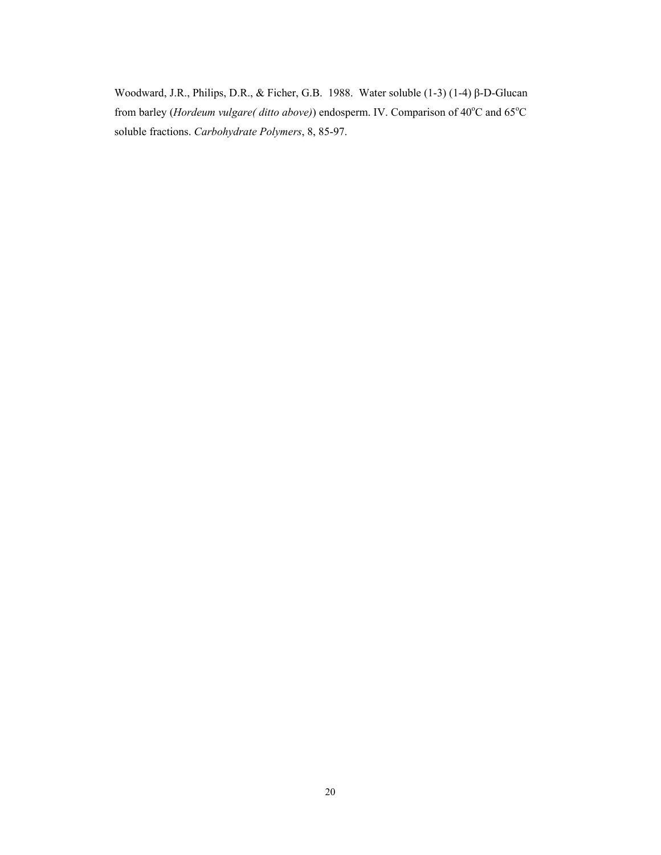Woodward, J.R., Philips, D.R., & Ficher, G.B. 1988. Water soluble (1-3) (1-4) β-D-Glucan from barley (*Hordeum vulgare*(*ditto above*)) endosperm. IV. Comparison of 40°C and 65°C soluble fractions. *Carbohydrate Polymers*, 8, 85-97.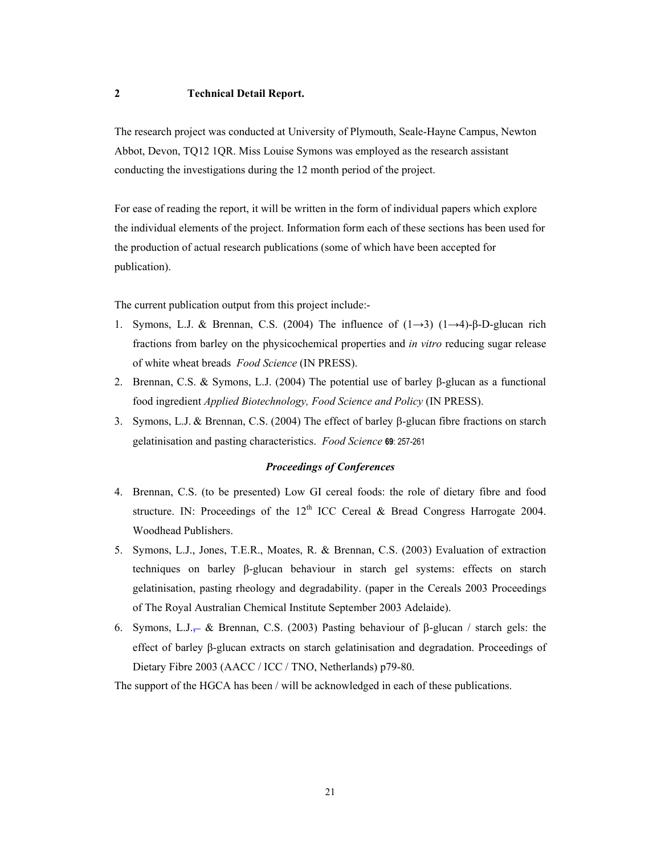# **2 Technical Detail Report.**

The research project was conducted at University of Plymouth, Seale-Hayne Campus, Newton Abbot, Devon, TQ12 1QR. Miss Louise Symons was employed as the research assistant conducting the investigations during the 12 month period of the project.

For ease of reading the report, it will be written in the form of individual papers which explore the individual elements of the project. Information form each of these sections has been used for the production of actual research publications (some of which have been accepted for publication).

The current publication output from this project include:-

- 1. Symons, L.J. & Brennan, C.S. (2004) The influence of (1→3) (1→4)-β-D-glucan rich fractions from barley on the physicochemical properties and *in vitro* reducing sugar release of white wheat breads *Food Science* (IN PRESS).
- 2. Brennan, C.S. & Symons, L.J. (2004) The potential use of barley β-glucan as a functional food ingredient *Applied Biotechnology, Food Science and Policy* (IN PRESS).
- 3. Symons, L.J. & Brennan, C.S. (2004) The effect of barley β-glucan fibre fractions on starch gelatinisation and pasting characteristics. *Food Science* **69**: 257-261

## *Proceedings of Conferences*

- 4. Brennan, C.S. (to be presented) Low GI cereal foods: the role of dietary fibre and food structure. IN: Proceedings of the  $12<sup>th</sup>$  ICC Cereal & Bread Congress Harrogate 2004. Woodhead Publishers.
- 5. Symons, L.J., Jones, T.E.R., Moates, R. & Brennan, C.S. (2003) Evaluation of extraction techniques on barley β-glucan behaviour in starch gel systems: effects on starch gelatinisation, pasting rheology and degradability. (paper in the Cereals 2003 Proceedings of The Royal Australian Chemical Institute September 2003 Adelaide).
- 6. Symons, L.J., & Brennan, C.S. (2003) Pasting behaviour of β-glucan / starch gels: the effect of barley β-glucan extracts on starch gelatinisation and degradation. Proceedings of Dietary Fibre 2003 (AACC / ICC / TNO, Netherlands) p79-80.

The support of the HGCA has been / will be acknowledged in each of these publications.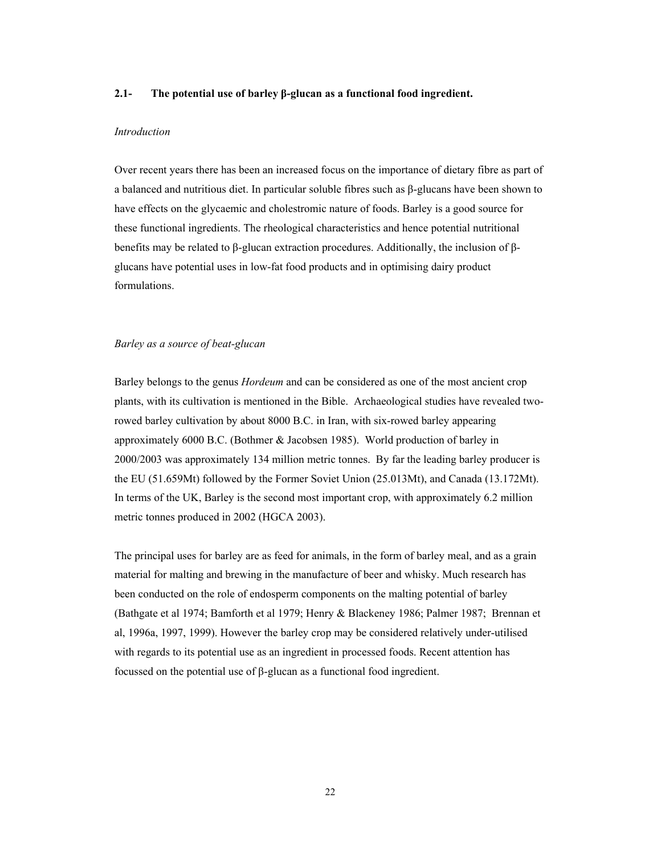## **2.1- The potential use of barley β-glucan as a functional food ingredient.**

## *Introduction*

Over recent years there has been an increased focus on the importance of dietary fibre as part of a balanced and nutritious diet. In particular soluble fibres such as β-glucans have been shown to have effects on the glycaemic and cholestromic nature of foods. Barley is a good source for these functional ingredients. The rheological characteristics and hence potential nutritional benefits may be related to β-glucan extraction procedures. Additionally, the inclusion of βglucans have potential uses in low-fat food products and in optimising dairy product formulations.

# *Barley as a source of beat-glucan*

Barley belongs to the genus *Hordeum* and can be considered as one of the most ancient crop plants, with its cultivation is mentioned in the Bible. Archaeological studies have revealed tworowed barley cultivation by about 8000 B.C. in Iran, with six-rowed barley appearing approximately 6000 B.C. (Bothmer & Jacobsen 1985). World production of barley in 2000/2003 was approximately 134 million metric tonnes. By far the leading barley producer is the EU (51.659Mt) followed by the Former Soviet Union (25.013Mt), and Canada (13.172Mt). In terms of the UK, Barley is the second most important crop, with approximately 6.2 million metric tonnes produced in 2002 (HGCA 2003).

The principal uses for barley are as feed for animals, in the form of barley meal, and as a grain material for malting and brewing in the manufacture of beer and whisky. Much research has been conducted on the role of endosperm components on the malting potential of barley (Bathgate et al 1974; Bamforth et al 1979; Henry & Blackeney 1986; Palmer 1987; Brennan et al, 1996a, 1997, 1999). However the barley crop may be considered relatively under-utilised with regards to its potential use as an ingredient in processed foods. Recent attention has focussed on the potential use of β-glucan as a functional food ingredient.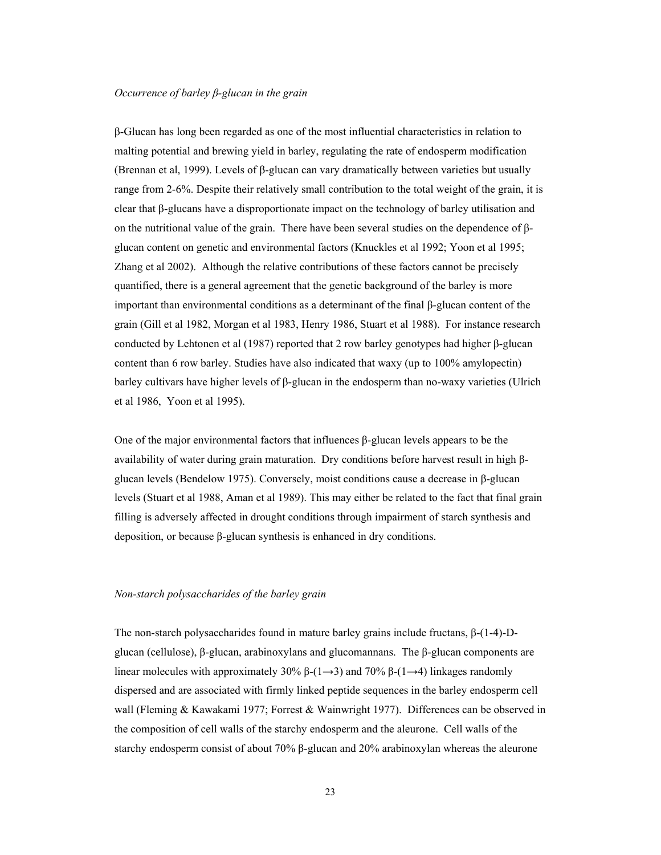## *Occurrence of barley β-glucan in the grain*

β-Glucan has long been regarded as one of the most influential characteristics in relation to malting potential and brewing yield in barley, regulating the rate of endosperm modification (Brennan et al, 1999). Levels of β-glucan can vary dramatically between varieties but usually range from 2-6%. Despite their relatively small contribution to the total weight of the grain, it is clear that β-glucans have a disproportionate impact on the technology of barley utilisation and on the nutritional value of the grain. There have been several studies on the dependence of βglucan content on genetic and environmental factors (Knuckles et al 1992; Yoon et al 1995; Zhang et al 2002). Although the relative contributions of these factors cannot be precisely quantified, there is a general agreement that the genetic background of the barley is more important than environmental conditions as a determinant of the final β-glucan content of the grain (Gill et al 1982, Morgan et al 1983, Henry 1986, Stuart et al 1988). For instance research conducted by Lehtonen et al (1987) reported that 2 row barley genotypes had higher β-glucan content than 6 row barley. Studies have also indicated that waxy (up to 100% amylopectin) barley cultivars have higher levels of β-glucan in the endosperm than no-waxy varieties (Ulrich et al 1986, Yoon et al 1995).

One of the major environmental factors that influences β-glucan levels appears to be the availability of water during grain maturation. Dry conditions before harvest result in high βglucan levels (Bendelow 1975). Conversely, moist conditions cause a decrease in β-glucan levels (Stuart et al 1988, Aman et al 1989). This may either be related to the fact that final grain filling is adversely affected in drought conditions through impairment of starch synthesis and deposition, or because β-glucan synthesis is enhanced in dry conditions.

# *Non-starch polysaccharides of the barley grain*

The non-starch polysaccharides found in mature barley grains include fructans, β-(1-4)-Dglucan (cellulose), β-glucan, arabinoxylans and glucomannans. The β-glucan components are linear molecules with approximately 30%  $\beta$ -(1→3) and 70%  $\beta$ -(1→4) linkages randomly dispersed and are associated with firmly linked peptide sequences in the barley endosperm cell wall (Fleming & Kawakami 1977; Forrest & Wainwright 1977). Differences can be observed in the composition of cell walls of the starchy endosperm and the aleurone. Cell walls of the starchy endosperm consist of about 70% β-glucan and 20% arabinoxylan whereas the aleurone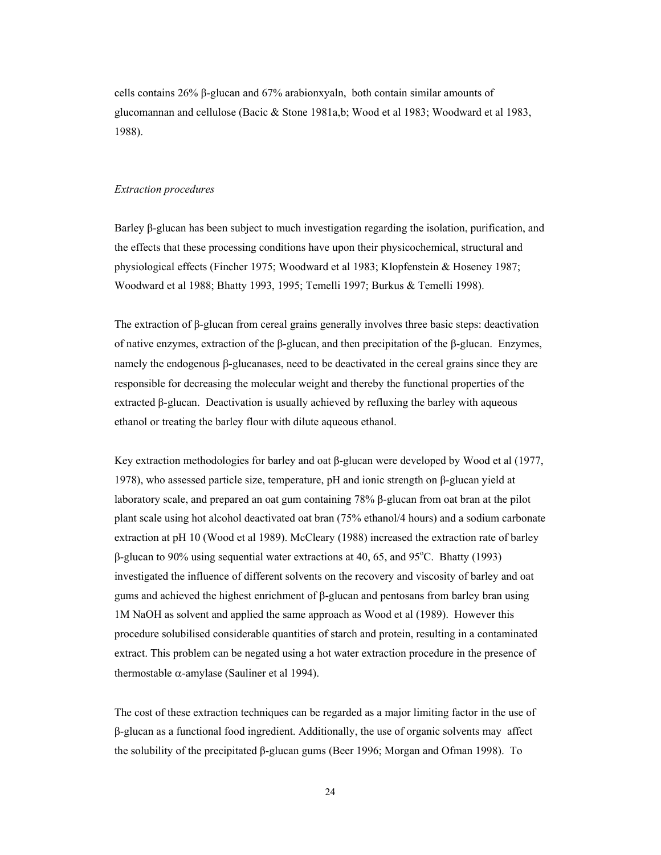cells contains 26% β-glucan and 67% arabionxyaln, both contain similar amounts of glucomannan and cellulose (Bacic & Stone 1981a,b; Wood et al 1983; Woodward et al 1983, 1988).

## *Extraction procedures*

Barley β-glucan has been subject to much investigation regarding the isolation, purification, and the effects that these processing conditions have upon their physicochemical, structural and physiological effects (Fincher 1975; Woodward et al 1983; Klopfenstein & Hoseney 1987; Woodward et al 1988; Bhatty 1993, 1995; Temelli 1997; Burkus & Temelli 1998).

The extraction of β-glucan from cereal grains generally involves three basic steps: deactivation of native enzymes, extraction of the β-glucan, and then precipitation of the β-glucan. Enzymes, namely the endogenous β-glucanases, need to be deactivated in the cereal grains since they are responsible for decreasing the molecular weight and thereby the functional properties of the extracted β-glucan. Deactivation is usually achieved by refluxing the barley with aqueous ethanol or treating the barley flour with dilute aqueous ethanol.

Key extraction methodologies for barley and oat β-glucan were developed by Wood et al (1977, 1978), who assessed particle size, temperature, pH and ionic strength on β-glucan yield at laboratory scale, and prepared an oat gum containing 78% β-glucan from oat bran at the pilot plant scale using hot alcohol deactivated oat bran (75% ethanol/4 hours) and a sodium carbonate extraction at pH 10 (Wood et al 1989). McCleary (1988) increased the extraction rate of barley  $β$ -glucan to 90% using sequential water extractions at 40, 65, and 95°C. Bhatty (1993) investigated the influence of different solvents on the recovery and viscosity of barley and oat gums and achieved the highest enrichment of β-glucan and pentosans from barley bran using 1M NaOH as solvent and applied the same approach as Wood et al (1989). However this procedure solubilised considerable quantities of starch and protein, resulting in a contaminated extract. This problem can be negated using a hot water extraction procedure in the presence of thermostable  $\alpha$ -amylase (Sauliner et al 1994).

The cost of these extraction techniques can be regarded as a major limiting factor in the use of β-glucan as a functional food ingredient. Additionally, the use of organic solvents may affect the solubility of the precipitated β-glucan gums (Beer 1996; Morgan and Ofman 1998). To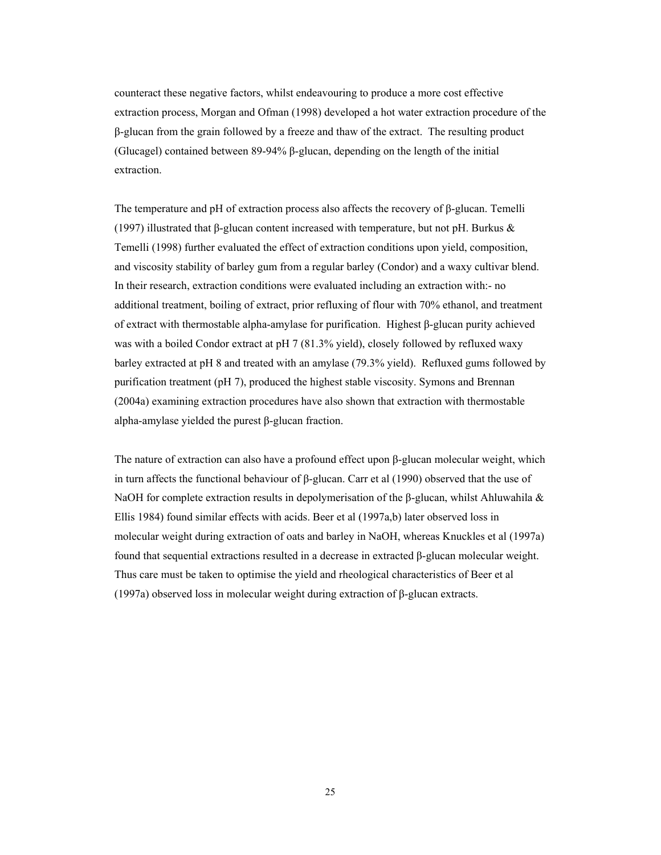counteract these negative factors, whilst endeavouring to produce a more cost effective extraction process, Morgan and Ofman (1998) developed a hot water extraction procedure of the β-glucan from the grain followed by a freeze and thaw of the extract. The resulting product (Glucagel) contained between 89-94% β-glucan, depending on the length of the initial extraction.

The temperature and pH of extraction process also affects the recovery of β-glucan. Temelli (1997) illustrated that β-glucan content increased with temperature, but not pH. Burkus & Temelli (1998) further evaluated the effect of extraction conditions upon yield, composition, and viscosity stability of barley gum from a regular barley (Condor) and a waxy cultivar blend. In their research, extraction conditions were evaluated including an extraction with:- no additional treatment, boiling of extract, prior refluxing of flour with 70% ethanol, and treatment of extract with thermostable alpha-amylase for purification. Highest β-glucan purity achieved was with a boiled Condor extract at pH 7 (81.3% yield), closely followed by refluxed waxy barley extracted at pH 8 and treated with an amylase (79.3% yield). Refluxed gums followed by purification treatment (pH 7), produced the highest stable viscosity. Symons and Brennan (2004a) examining extraction procedures have also shown that extraction with thermostable alpha-amylase yielded the purest β-glucan fraction.

The nature of extraction can also have a profound effect upon β-glucan molecular weight, which in turn affects the functional behaviour of β-glucan. Carr et al (1990) observed that the use of NaOH for complete extraction results in depolymerisation of the  $\beta$ -glucan, whilst Ahluwahila & Ellis 1984) found similar effects with acids. Beer et al (1997a,b) later observed loss in molecular weight during extraction of oats and barley in NaOH, whereas Knuckles et al (1997a) found that sequential extractions resulted in a decrease in extracted β-glucan molecular weight. Thus care must be taken to optimise the yield and rheological characteristics of Beer et al (1997a) observed loss in molecular weight during extraction of β-glucan extracts.

25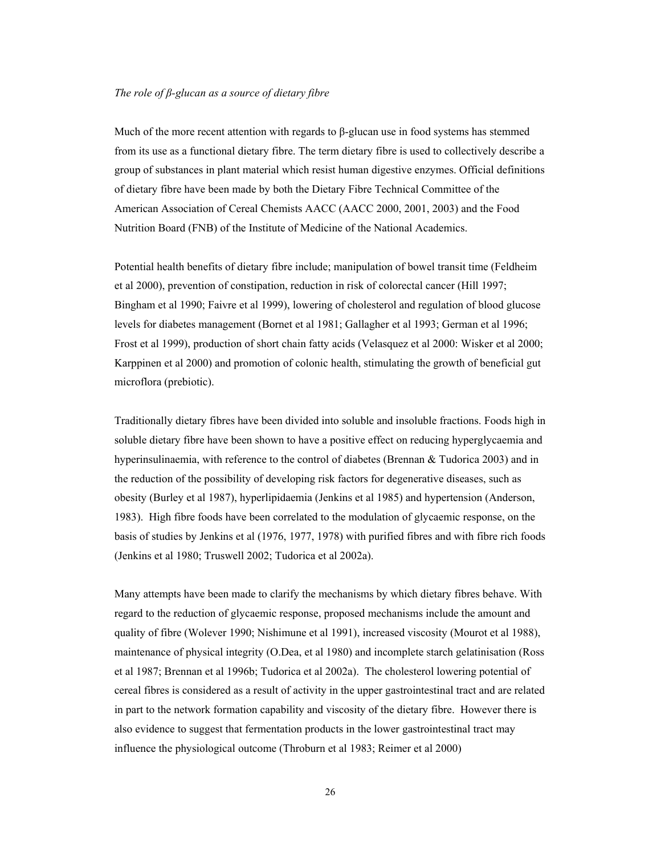## *The role of β-glucan as a source of dietary fibre*

Much of the more recent attention with regards to  $\beta$ -glucan use in food systems has stemmed from its use as a functional dietary fibre. The term dietary fibre is used to collectively describe a group of substances in plant material which resist human digestive enzymes. Official definitions of dietary fibre have been made by both the Dietary Fibre Technical Committee of the American Association of Cereal Chemists AACC (AACC 2000, 2001, 2003) and the Food Nutrition Board (FNB) of the Institute of Medicine of the National Academics.

Potential health benefits of dietary fibre include; manipulation of bowel transit time (Feldheim et al 2000), prevention of constipation, reduction in risk of colorectal cancer (Hill 1997; Bingham et al 1990; Faivre et al 1999), lowering of cholesterol and regulation of blood glucose levels for diabetes management (Bornet et al 1981; Gallagher et al 1993; German et al 1996; Frost et al 1999), production of short chain fatty acids (Velasquez et al 2000: Wisker et al 2000; Karppinen et al 2000) and promotion of colonic health, stimulating the growth of beneficial gut microflora (prebiotic).

Traditionally dietary fibres have been divided into soluble and insoluble fractions. Foods high in soluble dietary fibre have been shown to have a positive effect on reducing hyperglycaemia and hyperinsulinaemia, with reference to the control of diabetes (Brennan & Tudorica 2003) and in the reduction of the possibility of developing risk factors for degenerative diseases, such as obesity (Burley et al 1987), hyperlipidaemia (Jenkins et al 1985) and hypertension (Anderson, 1983). High fibre foods have been correlated to the modulation of glycaemic response, on the basis of studies by Jenkins et al (1976, 1977, 1978) with purified fibres and with fibre rich foods (Jenkins et al 1980; Truswell 2002; Tudorica et al 2002a).

Many attempts have been made to clarify the mechanisms by which dietary fibres behave. With regard to the reduction of glycaemic response, proposed mechanisms include the amount and quality of fibre (Wolever 1990; Nishimune et al 1991), increased viscosity (Mourot et al 1988), maintenance of physical integrity (O.Dea, et al 1980) and incomplete starch gelatinisation (Ross et al 1987; Brennan et al 1996b; Tudorica et al 2002a). The cholesterol lowering potential of cereal fibres is considered as a result of activity in the upper gastrointestinal tract and are related in part to the network formation capability and viscosity of the dietary fibre. However there is also evidence to suggest that fermentation products in the lower gastrointestinal tract may influence the physiological outcome (Throburn et al 1983; Reimer et al 2000)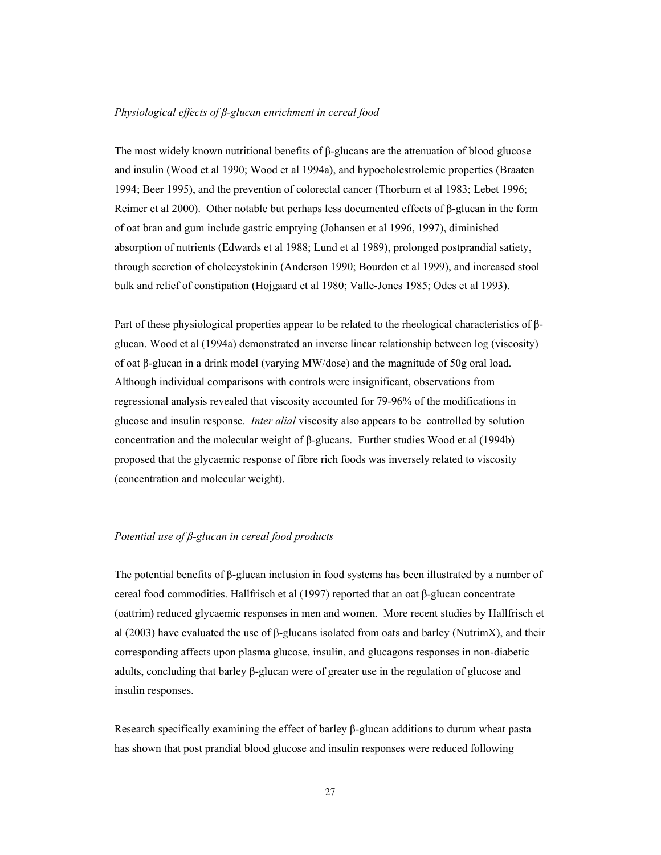## *Physiological effects of β-glucan enrichment in cereal food*

The most widely known nutritional benefits of β-glucans are the attenuation of blood glucose and insulin (Wood et al 1990; Wood et al 1994a), and hypocholestrolemic properties (Braaten 1994; Beer 1995), and the prevention of colorectal cancer (Thorburn et al 1983; Lebet 1996; Reimer et al 2000). Other notable but perhaps less documented effects of β-glucan in the form of oat bran and gum include gastric emptying (Johansen et al 1996, 1997), diminished absorption of nutrients (Edwards et al 1988; Lund et al 1989), prolonged postprandial satiety, through secretion of cholecystokinin (Anderson 1990; Bourdon et al 1999), and increased stool bulk and relief of constipation (Hojgaard et al 1980; Valle-Jones 1985; Odes et al 1993).

Part of these physiological properties appear to be related to the rheological characteristics of βglucan. Wood et al (1994a) demonstrated an inverse linear relationship between log (viscosity) of oat β-glucan in a drink model (varying MW/dose) and the magnitude of 50g oral load. Although individual comparisons with controls were insignificant, observations from regressional analysis revealed that viscosity accounted for 79-96% of the modifications in glucose and insulin response. *Inter alial* viscosity also appears to be controlled by solution concentration and the molecular weight of β-glucans. Further studies Wood et al (1994b) proposed that the glycaemic response of fibre rich foods was inversely related to viscosity (concentration and molecular weight).

# *Potential use of β-glucan in cereal food products*

The potential benefits of β-glucan inclusion in food systems has been illustrated by a number of cereal food commodities. Hallfrisch et al (1997) reported that an oat β-glucan concentrate (oattrim) reduced glycaemic responses in men and women. More recent studies by Hallfrisch et al (2003) have evaluated the use of β-glucans isolated from oats and barley (NutrimX), and their corresponding affects upon plasma glucose, insulin, and glucagons responses in non-diabetic adults, concluding that barley β-glucan were of greater use in the regulation of glucose and insulin responses.

Research specifically examining the effect of barley β-glucan additions to durum wheat pasta has shown that post prandial blood glucose and insulin responses were reduced following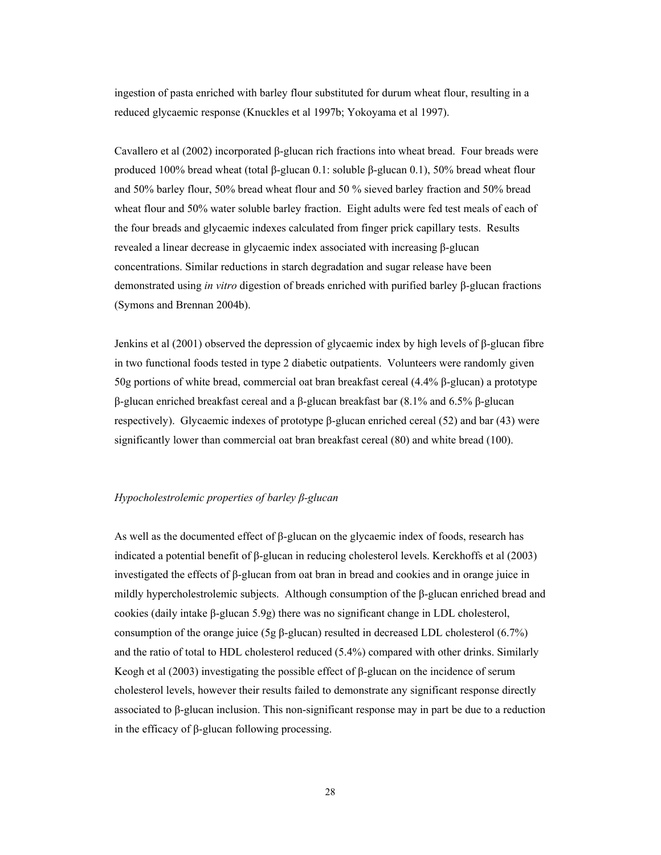ingestion of pasta enriched with barley flour substituted for durum wheat flour, resulting in a reduced glycaemic response (Knuckles et al 1997b; Yokoyama et al 1997).

Cavallero et al (2002) incorporated β-glucan rich fractions into wheat bread. Four breads were produced 100% bread wheat (total β-glucan 0.1: soluble β-glucan 0.1), 50% bread wheat flour and 50% barley flour, 50% bread wheat flour and 50 % sieved barley fraction and 50% bread wheat flour and 50% water soluble barley fraction. Eight adults were fed test meals of each of the four breads and glycaemic indexes calculated from finger prick capillary tests. Results revealed a linear decrease in glycaemic index associated with increasing β-glucan concentrations. Similar reductions in starch degradation and sugar release have been demonstrated using *in vitro* digestion of breads enriched with purified barley β-glucan fractions (Symons and Brennan 2004b).

Jenkins et al (2001) observed the depression of glycaemic index by high levels of β-glucan fibre in two functional foods tested in type 2 diabetic outpatients. Volunteers were randomly given 50g portions of white bread, commercial oat bran breakfast cereal (4.4% β-glucan) a prototype β-glucan enriched breakfast cereal and a β-glucan breakfast bar (8.1% and 6.5% β-glucan respectively). Glycaemic indexes of prototype β-glucan enriched cereal (52) and bar (43) were significantly lower than commercial oat bran breakfast cereal (80) and white bread (100).

# *Hypocholestrolemic properties of barley β-glucan*

As well as the documented effect of β-glucan on the glycaemic index of foods, research has indicated a potential benefit of β-glucan in reducing cholesterol levels. Kerckhoffs et al (2003) investigated the effects of β-glucan from oat bran in bread and cookies and in orange juice in mildly hypercholestrolemic subjects. Although consumption of the β-glucan enriched bread and cookies (daily intake β-glucan 5.9g) there was no significant change in LDL cholesterol, consumption of the orange juice (5g β-glucan) resulted in decreased LDL cholesterol (6.7%) and the ratio of total to HDL cholesterol reduced (5.4%) compared with other drinks. Similarly Keogh et al (2003) investigating the possible effect of β-glucan on the incidence of serum cholesterol levels, however their results failed to demonstrate any significant response directly associated to β-glucan inclusion. This non-significant response may in part be due to a reduction in the efficacy of β-glucan following processing.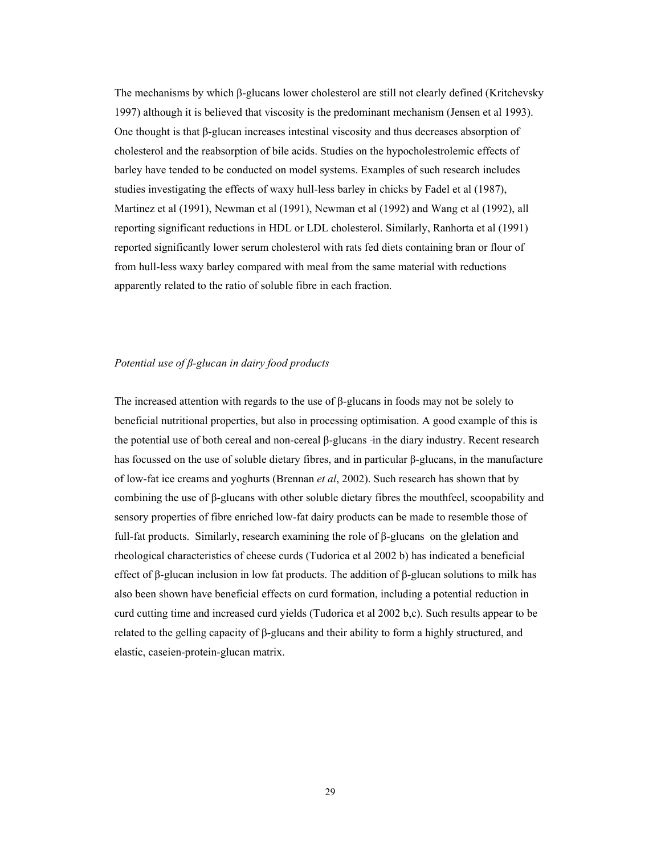The mechanisms by which β-glucans lower cholesterol are still not clearly defined (Kritchevsky 1997) although it is believed that viscosity is the predominant mechanism (Jensen et al 1993). One thought is that β-glucan increases intestinal viscosity and thus decreases absorption of cholesterol and the reabsorption of bile acids. Studies on the hypocholestrolemic effects of barley have tended to be conducted on model systems. Examples of such research includes studies investigating the effects of waxy hull-less barley in chicks by Fadel et al (1987), Martinez et al (1991), Newman et al (1991), Newman et al (1992) and Wang et al (1992), all reporting significant reductions in HDL or LDL cholesterol. Similarly, Ranhorta et al (1991) reported significantly lower serum cholesterol with rats fed diets containing bran or flour of from hull-less waxy barley compared with meal from the same material with reductions apparently related to the ratio of soluble fibre in each fraction.

# *Potential use of β-glucan in dairy food products*

The increased attention with regards to the use of β-glucans in foods may not be solely to beneficial nutritional properties, but also in processing optimisation. A good example of this is the potential use of both cereal and non-cereal β-glucans in the diary industry. Recent research has focussed on the use of soluble dietary fibres, and in particular β-glucans, in the manufacture of low-fat ice creams and yoghurts (Brennan *et al*, 2002). Such research has shown that by combining the use of β-glucans with other soluble dietary fibres the mouthfeel, scoopability and sensory properties of fibre enriched low-fat dairy products can be made to resemble those of full-fat products. Similarly, research examining the role of β-glucans on the glelation and rheological characteristics of cheese curds (Tudorica et al 2002 b) has indicated a beneficial effect of β-glucan inclusion in low fat products. The addition of β-glucan solutions to milk has also been shown have beneficial effects on curd formation, including a potential reduction in curd cutting time and increased curd yields (Tudorica et al 2002 b,c). Such results appear to be related to the gelling capacity of β-glucans and their ability to form a highly structured, and elastic, caseien-protein-glucan matrix.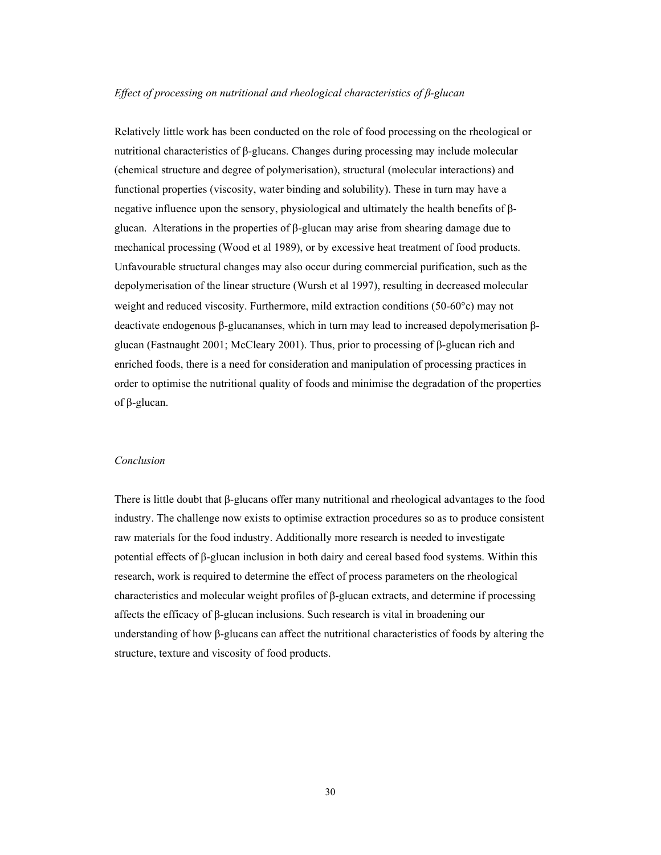## *Effect of processing on nutritional and rheological characteristics of β-glucan*

Relatively little work has been conducted on the role of food processing on the rheological or nutritional characteristics of β-glucans. Changes during processing may include molecular (chemical structure and degree of polymerisation), structural (molecular interactions) and functional properties (viscosity, water binding and solubility). These in turn may have a negative influence upon the sensory, physiological and ultimately the health benefits of βglucan. Alterations in the properties of  $\beta$ -glucan may arise from shearing damage due to mechanical processing (Wood et al 1989), or by excessive heat treatment of food products. Unfavourable structural changes may also occur during commercial purification, such as the depolymerisation of the linear structure (Wursh et al 1997), resulting in decreased molecular weight and reduced viscosity. Furthermore, mild extraction conditions (50-60°c) may not deactivate endogenous β-glucananses, which in turn may lead to increased depolymerisation βglucan (Fastnaught 2001; McCleary 2001). Thus, prior to processing of β-glucan rich and enriched foods, there is a need for consideration and manipulation of processing practices in order to optimise the nutritional quality of foods and minimise the degradation of the properties of β-glucan.

# *Conclusion*

There is little doubt that β-glucans offer many nutritional and rheological advantages to the food industry. The challenge now exists to optimise extraction procedures so as to produce consistent raw materials for the food industry. Additionally more research is needed to investigate potential effects of β-glucan inclusion in both dairy and cereal based food systems. Within this research, work is required to determine the effect of process parameters on the rheological characteristics and molecular weight profiles of β-glucan extracts, and determine if processing affects the efficacy of β-glucan inclusions. Such research is vital in broadening our understanding of how β-glucans can affect the nutritional characteristics of foods by altering the structure, texture and viscosity of food products.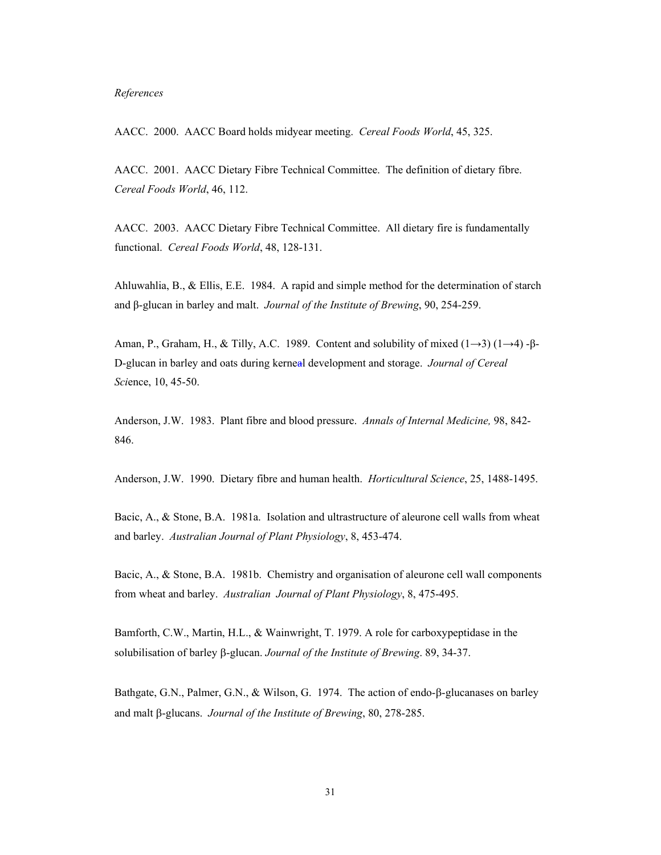#### *References*

AACC. 2000. AACC Board holds midyear meeting. *Cereal Foods World*, 45, 325.

AACC. 2001. AACC Dietary Fibre Technical Committee. The definition of dietary fibre. *Cereal Foods World*, 46, 112.

AACC. 2003. AACC Dietary Fibre Technical Committee. All dietary fire is fundamentally functional. *Cereal Foods World*, 48, 128-131.

Ahluwahlia, B., & Ellis, E.E. 1984. A rapid and simple method for the determination of starch and β-glucan in barley and malt. *Journal of the Institute of Brewing*, 90, 254-259.

Aman, P., Graham, H., & Tilly, A.C. 1989. Content and solubility of mixed  $(1\rightarrow 3)$   $(1\rightarrow 4)$  - $\beta$ -D-glucan in barley and oats during kerneal development and storage. *Journal of Cereal Sci*ence, 10, 45-50.

Anderson, J.W. 1983. Plant fibre and blood pressure. *Annals of Internal Medicine,* 98, 842- 846.

Anderson, J.W. 1990. Dietary fibre and human health. *Horticultural Science*, 25, 1488-1495.

Bacic, A., & Stone, B.A. 1981a. Isolation and ultrastructure of aleurone cell walls from wheat and barley. *Australian Journal of Plant Physiology*, 8, 453-474.

Bacic, A., & Stone, B.A. 1981b. Chemistry and organisation of aleurone cell wall components from wheat and barley. *Australian Journal of Plant Physiology*, 8, 475-495.

Bamforth, C.W., Martin, H.L., & Wainwright, T. 1979. A role for carboxypeptidase in the solubilisation of barley β-glucan. *Journal of the Institute of Brewing*. 89, 34-37.

Bathgate, G.N., Palmer, G.N., & Wilson, G. 1974. The action of endo-β-glucanases on barley and malt β-glucans. *Journal of the Institute of Brewing*, 80, 278-285.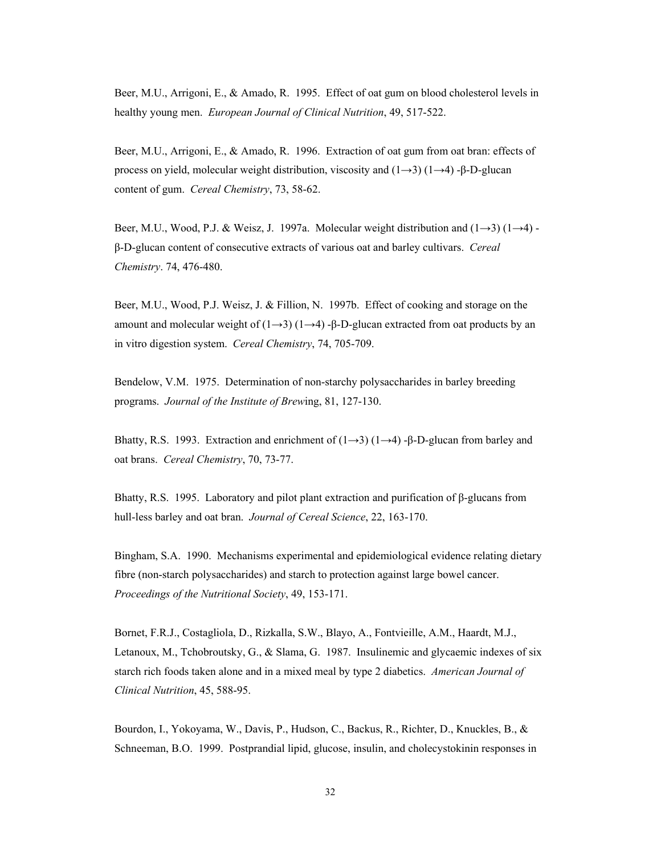Beer, M.U., Arrigoni, E., & Amado, R. 1995. Effect of oat gum on blood cholesterol levels in healthy young men. *European Journal of Clinical Nutrition*, 49, 517-522.

Beer, M.U., Arrigoni, E., & Amado, R. 1996. Extraction of oat gum from oat bran: effects of process on yield, molecular weight distribution, viscosity and (1→3) (1→4) -β-D-glucan content of gum. *Cereal Chemistry*, 73, 58-62.

Beer, M.U., Wood, P.J. & Weisz, J. 1997a. Molecular weight distribution and  $(1\rightarrow 3)$   $(1\rightarrow 4)$  β-D-glucan content of consecutive extracts of various oat and barley cultivars. *Cereal Chemistry*. 74, 476-480.

Beer, M.U., Wood, P.J. Weisz, J. & Fillion, N. 1997b. Effect of cooking and storage on the amount and molecular weight of  $(1\rightarrow 3)$   $(1\rightarrow 4)$  -β-D-glucan extracted from oat products by an in vitro digestion system. *Cereal Chemistry*, 74, 705-709.

Bendelow, V.M. 1975. Determination of non-starchy polysaccharides in barley breeding programs. *Journal of the Institute of Brew*ing, 81, 127-130.

Bhatty, R.S. 1993. Extraction and enrichment of  $(1\rightarrow 3)$   $(1\rightarrow 4)$  -β-D-glucan from barley and oat brans. *Cereal Chemistry*, 70, 73-77.

Bhatty, R.S. 1995. Laboratory and pilot plant extraction and purification of β-glucans from hull-less barley and oat bran. *Journal of Cereal Science*, 22, 163-170.

Bingham, S.A. 1990. Mechanisms experimental and epidemiological evidence relating dietary fibre (non-starch polysaccharides) and starch to protection against large bowel cancer. *Proceedings of the Nutritional Society*, 49, 153-171.

Bornet, F.R.J., Costagliola, D., Rizkalla, S.W., Blayo, A., Fontvieille, A.M., Haardt, M.J., Letanoux, M., Tchobroutsky, G., & Slama, G. 1987. Insulinemic and glycaemic indexes of six starch rich foods taken alone and in a mixed meal by type 2 diabetics. *American Journal of Clinical Nutrition*, 45, 588-95.

Bourdon, I., Yokoyama, W., Davis, P., Hudson, C., Backus, R., Richter, D., Knuckles, B., & Schneeman, B.O. 1999. Postprandial lipid, glucose, insulin, and cholecystokinin responses in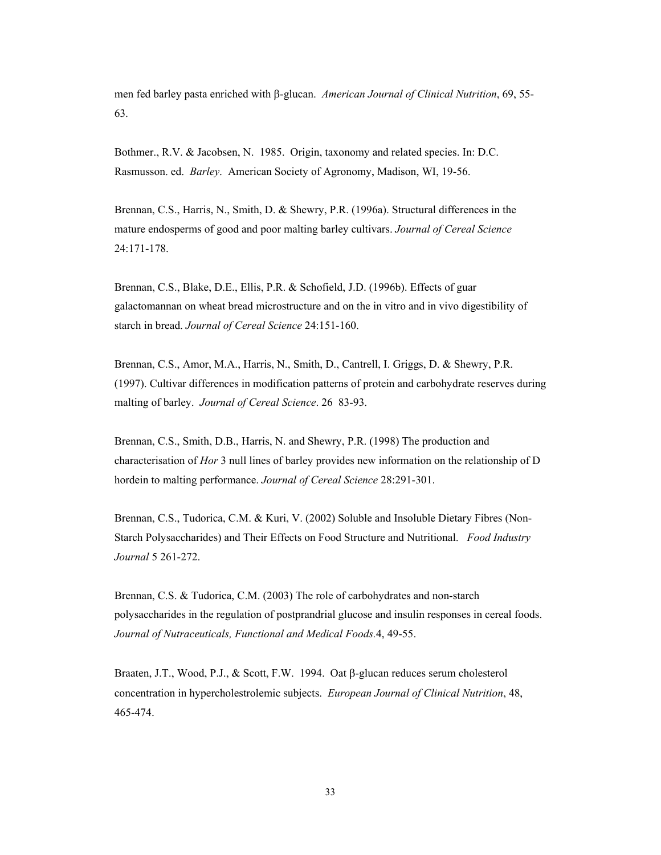men fed barley pasta enriched with β-glucan. *American Journal of Clinical Nutrition*, 69, 55- 63.

Bothmer., R.V. & Jacobsen, N. 1985. Origin, taxonomy and related species. In: D.C. Rasmusson. ed. *Barley*. American Society of Agronomy, Madison, WI, 19-56.

Brennan, C.S., Harris, N., Smith, D. & Shewry, P.R. (1996a). Structural differences in the mature endosperms of good and poor malting barley cultivars. *Journal of Cereal Science* 24:171-178.

Brennan, C.S., Blake, D.E., Ellis, P.R. & Schofield, J.D. (1996b). Effects of guar galactomannan on wheat bread microstructure and on the in vitro and in vivo digestibility of starch in bread. *Journal of Cereal Science* 24:151-160.

Brennan, C.S., Amor, M.A., Harris, N., Smith, D., Cantrell, I. Griggs, D. & Shewry, P.R. (1997). Cultivar differences in modification patterns of protein and carbohydrate reserves during malting of barley. *Journal of Cereal Science*. 26 83-93.

Brennan, C.S., Smith, D.B., Harris, N. and Shewry, P.R. (1998) The production and characterisation of *Hor* 3 null lines of barley provides new information on the relationship of D hordein to malting performance. *Journal of Cereal Science* 28:291-301.

Brennan, C.S., Tudorica, C.M. & Kuri, V. (2002) Soluble and Insoluble Dietary Fibres (Non-Starch Polysaccharides) and Their Effects on Food Structure and Nutritional. *Food Industry Journal* 5 261-272.

Brennan, C.S. & Tudorica, C.M. (2003) The role of carbohydrates and non-starch polysaccharides in the regulation of postprandrial glucose and insulin responses in cereal foods. *Journal of Nutraceuticals, Functional and Medical Foods.*4, 49-55.

Braaten, J.T., Wood, P.J., & Scott, F.W. 1994. Oat β-glucan reduces serum cholesterol concentration in hypercholestrolemic subjects. *European Journal of Clinical Nutrition*, 48, 465-474.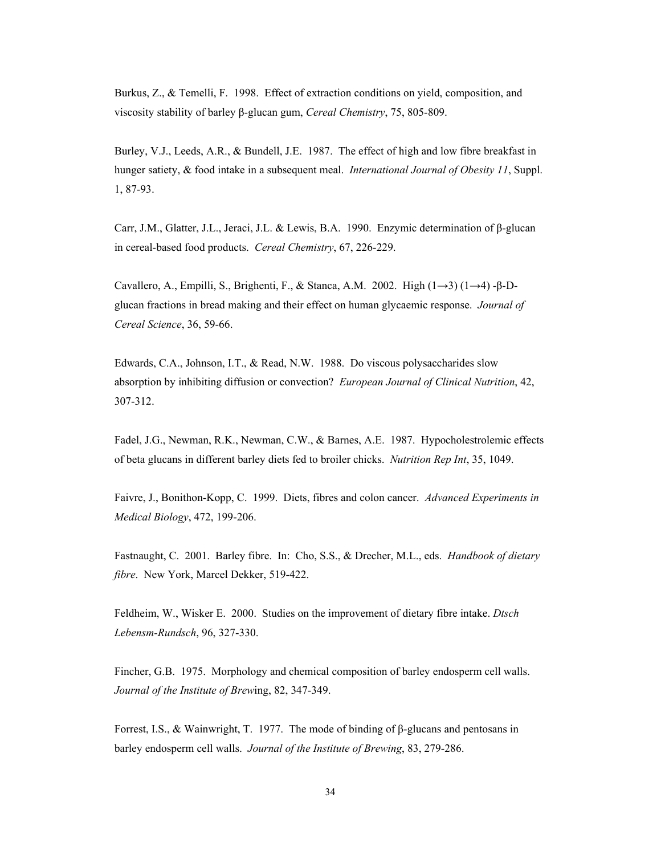Burkus, Z., & Temelli, F. 1998. Effect of extraction conditions on yield, composition, and viscosity stability of barley β-glucan gum, *Cereal Chemistry*, 75, 805-809.

Burley, V.J., Leeds, A.R., & Bundell, J.E. 1987. The effect of high and low fibre breakfast in hunger satiety, & food intake in a subsequent meal. *International Journal of Obesity 11*, Suppl. 1, 87-93.

Carr, J.M., Glatter, J.L., Jeraci, J.L. & Lewis, B.A. 1990. Enzymic determination of β-glucan in cereal-based food products. *Cereal Chemistry*, 67, 226-229.

Cavallero, A., Empilli, S., Brighenti, F., & Stanca, A.M. 2002. High  $(1\rightarrow 3)$   $(1\rightarrow 4)$ -β-Dglucan fractions in bread making and their effect on human glycaemic response. *Journal of Cereal Science*, 36, 59-66.

Edwards, C.A., Johnson, I.T., & Read, N.W. 1988. Do viscous polysaccharides slow absorption by inhibiting diffusion or convection? *European Journal of Clinical Nutrition*, 42, 307-312.

Fadel, J.G., Newman, R.K., Newman, C.W., & Barnes, A.E. 1987. Hypocholestrolemic effects of beta glucans in different barley diets fed to broiler chicks. *Nutrition Rep Int*, 35, 1049.

Faivre, J., Bonithon-Kopp, C. 1999. Diets, fibres and colon cancer. *Advanced Experiments in Medical Biology*, 472, 199-206.

Fastnaught, C. 2001. Barley fibre. In: Cho, S.S., & Drecher, M.L., eds. *Handbook of dietary fibre*. New York, Marcel Dekker, 519-422.

Feldheim, W., Wisker E. 2000. Studies on the improvement of dietary fibre intake. *Dtsch Lebensm-Rundsch*, 96, 327-330.

Fincher, G.B. 1975. Morphology and chemical composition of barley endosperm cell walls. *Journal of the Institute of Brew*ing, 82, 347-349.

Forrest, I.S., & Wainwright, T. 1977. The mode of binding of β-glucans and pentosans in barley endosperm cell walls. *Journal of the Institute of Brewing*, 83, 279-286.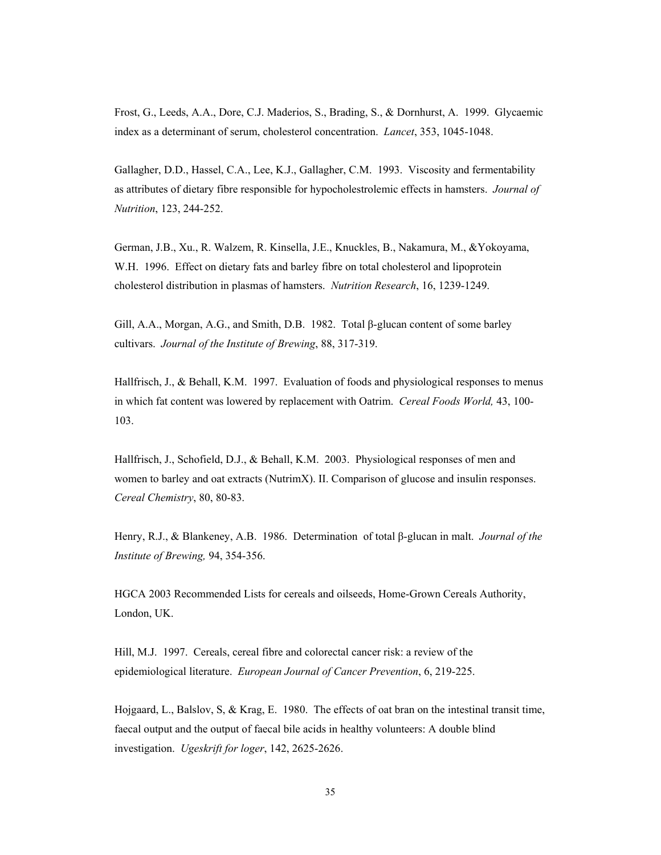Frost, G., Leeds, A.A., Dore, C.J. Maderios, S., Brading, S., & Dornhurst, A. 1999. Glycaemic index as a determinant of serum, cholesterol concentration. *Lancet*, 353, 1045-1048.

Gallagher, D.D., Hassel, C.A., Lee, K.J., Gallagher, C.M. 1993. Viscosity and fermentability as attributes of dietary fibre responsible for hypocholestrolemic effects in hamsters. *Journal of Nutrition*, 123, 244-252.

German, J.B., Xu., R. Walzem, R. Kinsella, J.E., Knuckles, B., Nakamura, M., &Yokoyama, W.H. 1996. Effect on dietary fats and barley fibre on total cholesterol and lipoprotein cholesterol distribution in plasmas of hamsters. *Nutrition Research*, 16, 1239-1249.

Gill, A.A., Morgan, A.G., and Smith, D.B. 1982. Total β-glucan content of some barley cultivars. *Journal of the Institute of Brewing*, 88, 317-319.

Hallfrisch, J., & Behall, K.M. 1997. Evaluation of foods and physiological responses to menus in which fat content was lowered by replacement with Oatrim. *Cereal Foods World,* 43, 100- 103.

Hallfrisch, J., Schofield, D.J., & Behall, K.M. 2003. Physiological responses of men and women to barley and oat extracts (NutrimX). II. Comparison of glucose and insulin responses. *Cereal Chemistry*, 80, 80-83.

Henry, R.J., & Blankeney, A.B. 1986. Determination of total β-glucan in malt. *Journal of the Institute of Brewing,* 94, 354-356.

HGCA 2003 Recommended Lists for cereals and oilseeds, Home-Grown Cereals Authority, London, UK.

Hill, M.J. 1997. Cereals, cereal fibre and colorectal cancer risk: a review of the epidemiological literature. *European Journal of Cancer Prevention*, 6, 219-225.

Hojgaard, L., Balslov, S, & Krag, E. 1980. The effects of oat bran on the intestinal transit time, faecal output and the output of faecal bile acids in healthy volunteers: A double blind investigation. *Ugeskrift for loger*, 142, 2625-2626.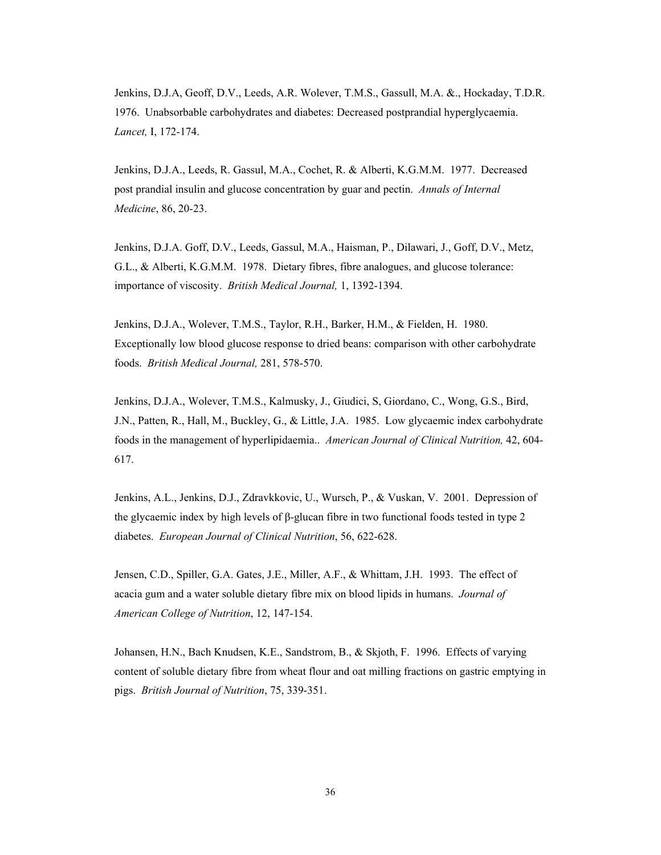Jenkins, D.J.A, Geoff, D.V., Leeds, A.R. Wolever, T.M.S., Gassull, M.A. &., Hockaday, T.D.R. 1976. Unabsorbable carbohydrates and diabetes: Decreased postprandial hyperglycaemia. *Lancet,* I, 172-174.

Jenkins, D.J.A., Leeds, R. Gassul, M.A., Cochet, R. & Alberti, K.G.M.M. 1977. Decreased post prandial insulin and glucose concentration by guar and pectin. *Annals of Internal Medicine*, 86, 20-23.

Jenkins, D.J.A. Goff, D.V., Leeds, Gassul, M.A., Haisman, P., Dilawari, J., Goff, D.V., Metz, G.L., & Alberti, K.G.M.M. 1978. Dietary fibres, fibre analogues, and glucose tolerance: importance of viscosity. *British Medical Journal,* 1, 1392-1394.

Jenkins, D.J.A., Wolever, T.M.S., Taylor, R.H., Barker, H.M., & Fielden, H. 1980. Exceptionally low blood glucose response to dried beans: comparison with other carbohydrate foods. *British Medical Journal,* 281, 578-570.

Jenkins, D.J.A., Wolever, T.M.S., Kalmusky, J., Giudici, S, Giordano, C., Wong, G.S., Bird, J.N., Patten, R., Hall, M., Buckley, G., & Little, J.A. 1985. Low glycaemic index carbohydrate foods in the management of hyperlipidaemia.. *American Journal of Clinical Nutrition,* 42, 604- 617.

Jenkins, A.L., Jenkins, D.J., Zdravkkovic, U., Wursch, P., & Vuskan, V. 2001. Depression of the glycaemic index by high levels of  $\beta$ -glucan fibre in two functional foods tested in type 2 diabetes. *European Journal of Clinical Nutrition*, 56, 622-628.

Jensen, C.D., Spiller, G.A. Gates, J.E., Miller, A.F., & Whittam, J.H. 1993. The effect of acacia gum and a water soluble dietary fibre mix on blood lipids in humans. *Journal of American College of Nutrition*, 12, 147-154.

Johansen, H.N., Bach Knudsen, K.E., Sandstrom, B., & Skjoth, F. 1996. Effects of varying content of soluble dietary fibre from wheat flour and oat milling fractions on gastric emptying in pigs. *British Journal of Nutrition*, 75, 339-351.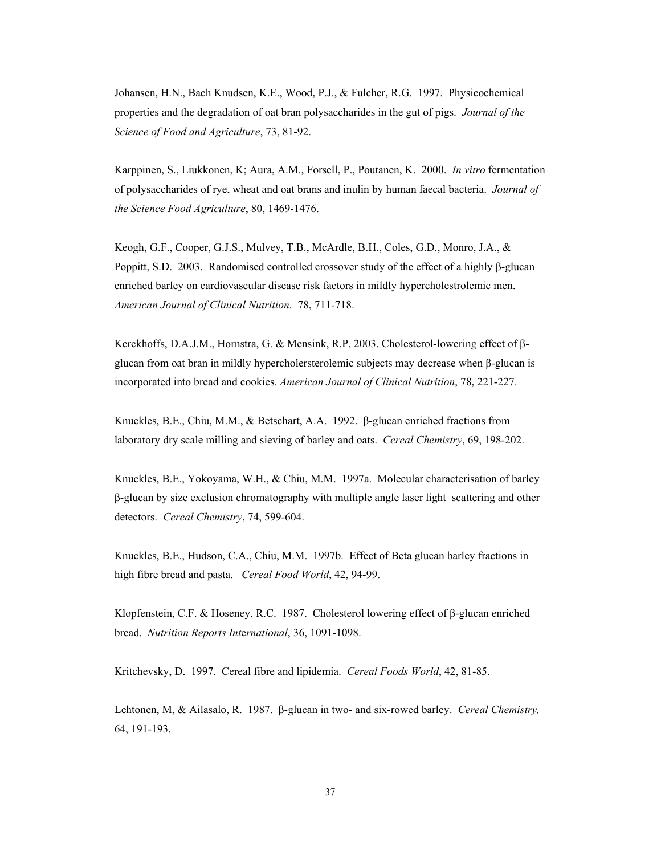Johansen, H.N., Bach Knudsen, K.E., Wood, P.J., & Fulcher, R.G. 1997. Physicochemical properties and the degradation of oat bran polysaccharides in the gut of pigs. *Journal of the Science of Food and Agriculture*, 73, 81-92.

Karppinen, S., Liukkonen, K; Aura, A.M., Forsell, P., Poutanen, K. 2000. *In vitro* fermentation of polysaccharides of rye, wheat and oat brans and inulin by human faecal bacteria. *Journal of the Science Food Agriculture*, 80, 1469-1476.

Keogh, G.F., Cooper, G.J.S., Mulvey, T.B., McArdle, B.H., Coles, G.D., Monro, J.A., & Poppitt, S.D. 2003. Randomised controlled crossover study of the effect of a highly β-glucan enriched barley on cardiovascular disease risk factors in mildly hypercholestrolemic men. *American Journal of Clinical Nutrition*. 78, 711-718.

Kerckhoffs, D.A.J.M., Hornstra, G. & Mensink, R.P. 2003. Cholesterol-lowering effect of βglucan from oat bran in mildly hypercholersterolemic subjects may decrease when β-glucan is incorporated into bread and cookies. *American Journal of Clinical Nutrition*, 78, 221-227.

Knuckles, B.E., Chiu, M.M., & Betschart, A.A. 1992. β-glucan enriched fractions from laboratory dry scale milling and sieving of barley and oats. *Cereal Chemistry*, 69, 198-202.

Knuckles, B.E., Yokoyama, W.H., & Chiu, M.M. 1997a. Molecular characterisation of barley β-glucan by size exclusion chromatography with multiple angle laser light scattering and other detectors. *Cereal Chemistry*, 74, 599-604.

Knuckles, B.E., Hudson, C.A., Chiu, M.M. 1997b. Effect of Βeta glucan barley fractions in high fibre bread and pasta. *Cereal Food World*, 42, 94-99.

Klopfenstein, C.F. & Hoseney, R.C. 1987. Cholesterol lowering effect of β-glucan enriched bread. *Nutrition Reports Int*e*rnational*, 36, 1091-1098.

Kritchevsky, D. 1997. Cereal fibre and lipidemia. *Cereal Foods World*, 42, 81-85.

Lehtonen, M, & Ailasalo, R. 1987. β-glucan in two- and six-rowed barley. *Cereal Chemistry,* 64, 191-193.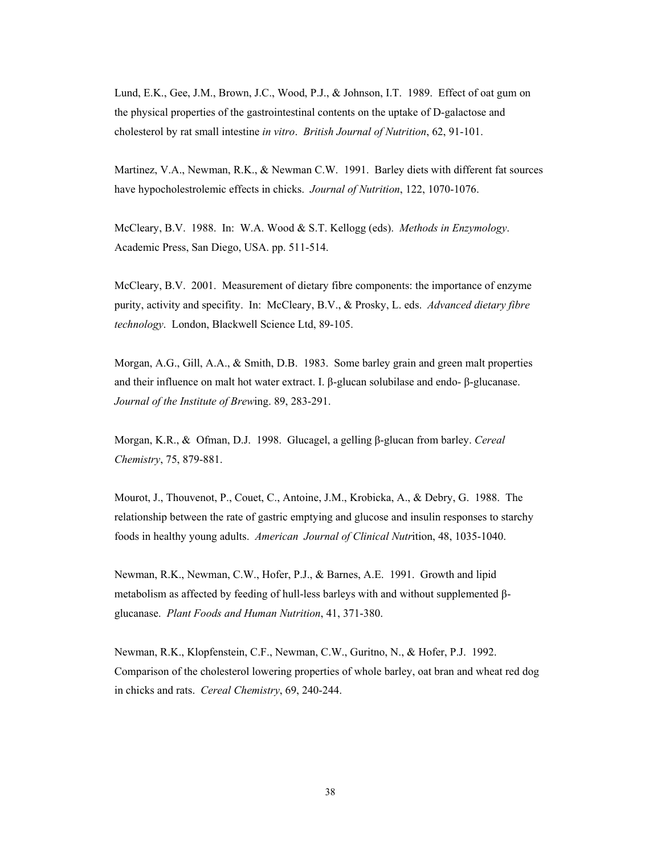Lund, E.K., Gee, J.M., Brown, J.C., Wood, P.J., & Johnson, I.T. 1989. Effect of oat gum on the physical properties of the gastrointestinal contents on the uptake of D-galactose and cholesterol by rat small intestine *in vitro*. *British Journal of Nutrition*, 62, 91-101.

Martinez, V.A., Newman, R.K., & Newman C.W. 1991. Barley diets with different fat sources have hypocholestrolemic effects in chicks. *Journal of Nutrition*, 122, 1070-1076.

McCleary, B.V. 1988. In: W.A. Wood & S.T. Kellogg (eds). *Methods in Enzymology*. Academic Press, San Diego, USA. pp. 511-514.

McCleary, B.V. 2001. Measurement of dietary fibre components: the importance of enzyme purity, activity and specifity. In: McCleary, B.V., & Prosky, L. eds. *Advanced dietary fibre technology*. London, Blackwell Science Ltd, 89-105.

Morgan, A.G., Gill, A.A., & Smith, D.B. 1983. Some barley grain and green malt properties and their influence on malt hot water extract. I. β-glucan solubilase and endo- β-glucanase. *Journal of the Institute of Brew*ing. 89, 283-291.

Morgan, K.R., & Ofman, D.J. 1998. Glucagel, a gelling β-glucan from barley. *Cereal Chemistry*, 75, 879-881.

Mourot, J., Thouvenot, P., Couet, C., Antoine, J.M., Krobicka, A., & Debry, G. 1988. The relationship between the rate of gastric emptying and glucose and insulin responses to starchy foods in healthy young adults. *American Journal of Clinical Nutr*ition, 48, 1035-1040.

Newman, R.K., Newman, C.W., Hofer, P.J., & Barnes, A.E. 1991. Growth and lipid metabolism as affected by feeding of hull-less barleys with and without supplemented βglucanase. *Plant Foods and Human Nutrition*, 41, 371-380.

Newman, R.K., Klopfenstein, C.F., Newman, C.W., Guritno, N., & Hofer, P.J. 1992. Comparison of the cholesterol lowering properties of whole barley, oat bran and wheat red dog in chicks and rats. *Cereal Chemistry*, 69, 240-244.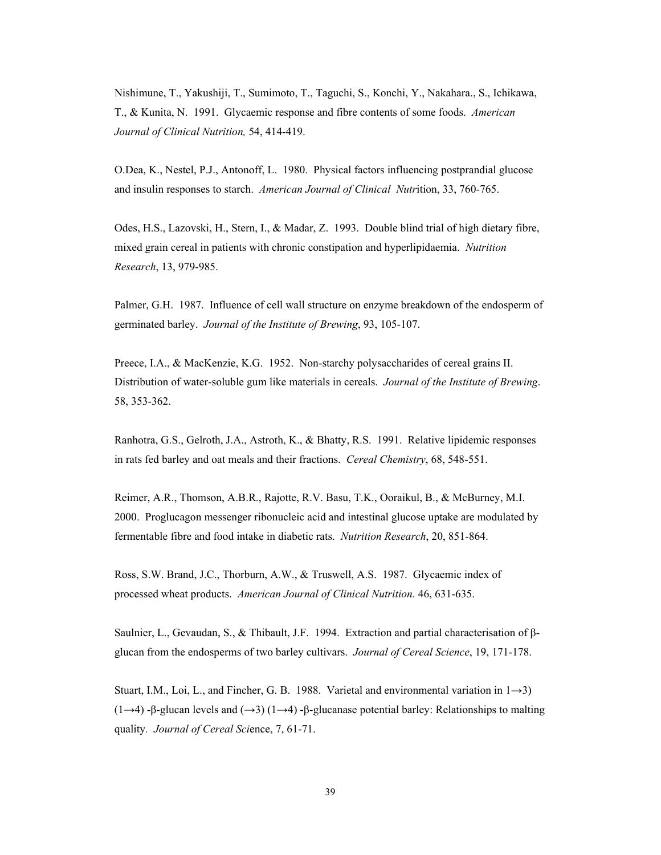Nishimune, T., Yakushiji, T., Sumimoto, T., Taguchi, S., Konchi, Y., Nakahara., S., Ichikawa, T., & Kunita, N. 1991. Glycaemic response and fibre contents of some foods. *American Journal of Clinical Nutrition,* 54, 414-419.

O.Dea, K., Nestel, P.J., Antonoff, L. 1980. Physical factors influencing postprandial glucose and insulin responses to starch. *American Journal of Clinical Nutr*ition, 33, 760-765.

Odes, H.S., Lazovski, H., Stern, I., & Madar, Z. 1993. Double blind trial of high dietary fibre, mixed grain cereal in patients with chronic constipation and hyperlipidaemia. *Nutrition Research*, 13, 979-985.

Palmer, G.H. 1987. Influence of cell wall structure on enzyme breakdown of the endosperm of germinated barley. *Journal of the Institute of Brewing*, 93, 105-107.

Preece, I.A., & MacKenzie, K.G. 1952. Non-starchy polysaccharides of cereal grains II. Distribution of water-soluble gum like materials in cereals. *Journal of the Institute of Brewing*. 58, 353-362.

Ranhotra, G.S., Gelroth, J.A., Astroth, K., & Bhatty, R.S. 1991. Relative lipidemic responses in rats fed barley and oat meals and their fractions. *Cereal Chemistry*, 68, 548-551.

Reimer, A.R., Thomson, A.B.R., Rajotte, R.V. Basu, T.K., Ooraikul, B., & McBurney, M.I. 2000. Proglucagon messenger ribonucleic acid and intestinal glucose uptake are modulated by fermentable fibre and food intake in diabetic rats. *Nutrition Research*, 20, 851-864.

Ross, S.W. Brand, J.C., Thorburn, A.W., & Truswell, A.S. 1987. Glycaemic index of processed wheat products. *American Journal of Clinical Nutrition.* 46, 631-635.

Saulnier, L., Gevaudan, S., & Thibault, J.F. 1994. Extraction and partial characterisation of βglucan from the endosperms of two barley cultivars. *Journal of Cereal Science*, 19, 171-178.

Stuart, I.M., Loi, L., and Fincher, G. B. 1988. Varietal and environmental variation in  $1\rightarrow 3$ ) (1→4) -β-glucan levels and  $(→3)$  (1→4) -β-glucanase potential barley: Relationships to malting quality*. Journal of Cereal Sci*ence, 7, 61-71.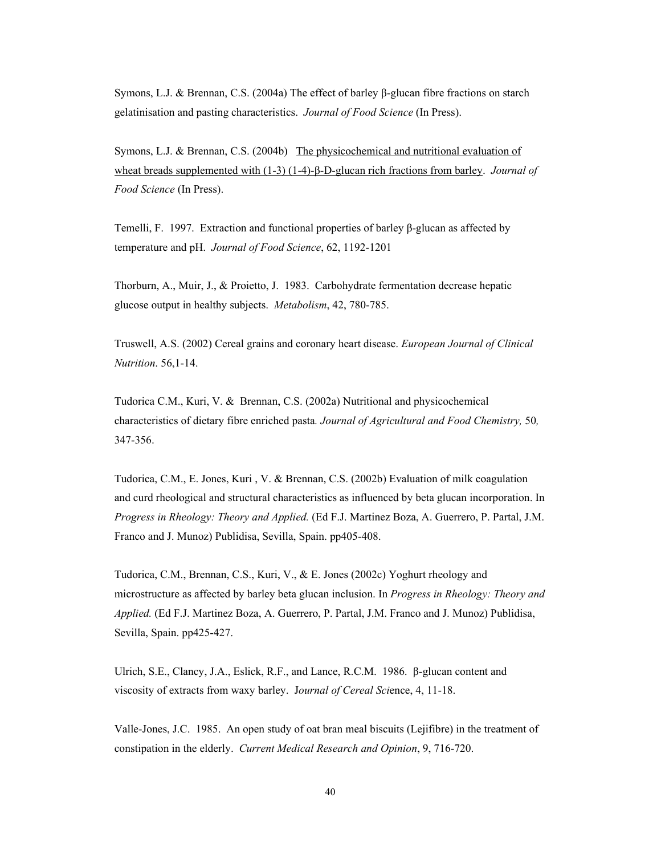Symons, L.J. & Brennan, C.S. (2004a) The effect of barley β-glucan fibre fractions on starch gelatinisation and pasting characteristics. *Journal of Food Science* (In Press).

Symons, L.J. & Brennan, C.S. (2004b) The physicochemical and nutritional evaluation of wheat breads supplemented with (1-3) (1-4)-β-D-glucan rich fractions from barley. *Journal of Food Science* (In Press).

Temelli, F. 1997. Extraction and functional properties of barley β-glucan as affected by temperature and pH. *Journal of Food Science*, 62, 1192-1201

Thorburn, A., Muir, J., & Proietto, J. 1983. Carbohydrate fermentation decrease hepatic glucose output in healthy subjects. *Metabolism*, 42, 780-785.

Truswell, A.S. (2002) Cereal grains and coronary heart disease. *European Journal of Clinical Nutrition*. 56,1-14.

Tudorica C.M., Kuri, V. & Brennan, C.S. (2002a) Nutritional and physicochemical characteristics of dietary fibre enriched pasta*. Journal of Agricultural and Food Chemistry,* 50*,*  347-356.

Tudorica, C.M., E. Jones, Kuri , V. & Brennan, C.S. (2002b) Evaluation of milk coagulation and curd rheological and structural characteristics as influenced by beta glucan incorporation. In *Progress in Rheology: Theory and Applied.* (Ed F.J. Martinez Boza, A. Guerrero, P. Partal, J.M. Franco and J. Munoz) Publidisa, Sevilla, Spain. pp405-408.

Tudorica, C.M., Brennan, C.S., Kuri, V., & E. Jones (2002c) Yoghurt rheology and microstructure as affected by barley beta glucan inclusion. In *Progress in Rheology: Theory and Applied.* (Ed F.J. Martinez Boza, A. Guerrero, P. Partal, J.M. Franco and J. Munoz) Publidisa, Sevilla, Spain. pp425-427.

Ulrich, S.E., Clancy, J.A., Eslick, R.F., and Lance, R.C.M. 1986. β-glucan content and viscosity of extracts from waxy barley. J*ournal of Cereal Sci*ence, 4, 11-18.

Valle-Jones, J.C. 1985. An open study of oat bran meal biscuits (Lejifibre) in the treatment of constipation in the elderly. *Current Medical Research and Opinion*, 9, 716-720.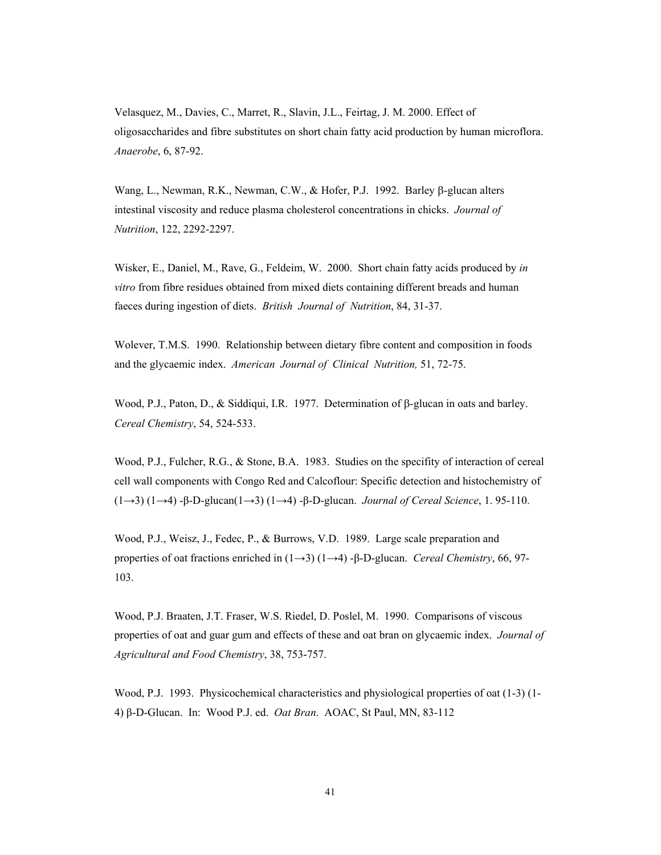Velasquez, M., Davies, C., Marret, R., Slavin, J.L., Feirtag, J. M. 2000. Effect of oligosaccharides and fibre substitutes on short chain fatty acid production by human microflora. *Anaerobe*, 6, 87-92.

Wang, L., Newman, R.K., Newman, C.W., & Hofer, P.J. 1992. Barley β-glucan alters intestinal viscosity and reduce plasma cholesterol concentrations in chicks. *Journal of Nutrition*, 122, 2292-2297.

Wisker, E., Daniel, M., Rave, G., Feldeim, W. 2000. Short chain fatty acids produced by *in vitro* from fibre residues obtained from mixed diets containing different breads and human faeces during ingestion of diets. *British Journal of Nutrition*, 84, 31-37.

Wolever, T.M.S. 1990. Relationship between dietary fibre content and composition in foods and the glycaemic index. *American Journal of Clinical Nutrition,* 51, 72-75.

Wood, P.J., Paton, D., & Siddiqui, I.R. 1977. Determination of β-glucan in oats and barley. *Cereal Chemistry*, 54, 524-533.

Wood, P.J., Fulcher, R.G., & Stone, B.A. 1983. Studies on the specifity of interaction of cereal cell wall components with Congo Red and Calcoflour: Specific detection and histochemistry of (1→3) (1→4) -β-D-glucan(1→3) (1→4) -β-D-glucan. *Journal of Cereal Science*, 1. 95-110.

Wood, P.J., Weisz, J., Fedec, P., & Burrows, V.D. 1989. Large scale preparation and properties of oat fractions enriched in (1→3) (1→4) -β-D-glucan. *Cereal Chemistry*, 66, 97- 103.

Wood, P.J. Braaten, J.T. Fraser, W.S. Riedel, D. Poslel, M. 1990. Comparisons of viscous properties of oat and guar gum and effects of these and oat bran on glycaemic index. *Journal of Agricultural and Food Chemistry*, 38, 753-757.

Wood, P.J. 1993. Physicochemical characteristics and physiological properties of oat (1-3) (1- 4) β-D-Glucan. In: Wood P.J. ed. *Oat Bran*. AOAC, St Paul, MN, 83-112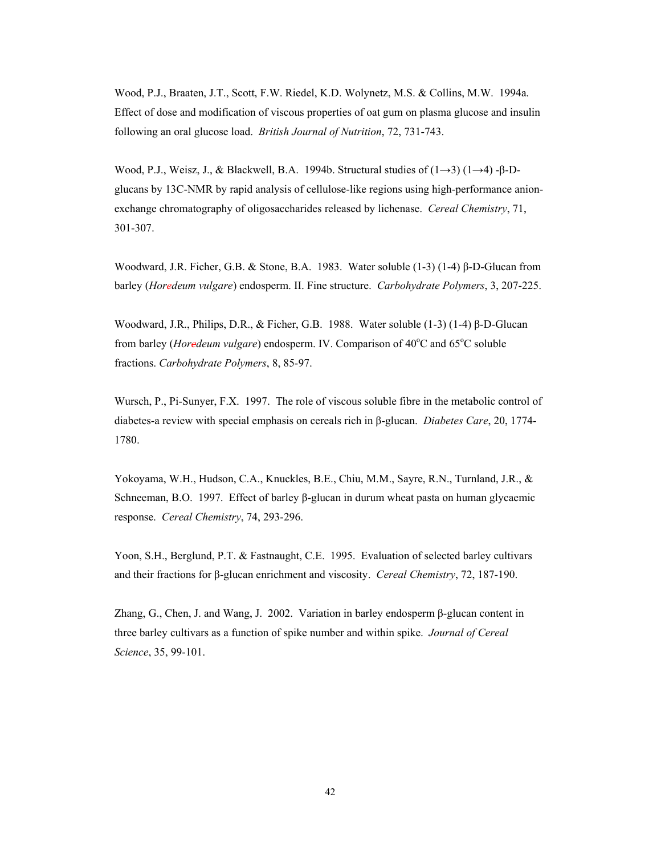Wood, P.J., Braaten, J.T., Scott, F.W. Riedel, K.D. Wolynetz, M.S. & Collins, M.W. 1994a. Effect of dose and modification of viscous properties of oat gum on plasma glucose and insulin following an oral glucose load. *British Journal of Nutrition*, 72, 731-743.

Wood, P.J., Weisz, J., & Blackwell, B.A. 1994b. Structural studies of (1→3) (1→4) -β-Dglucans by 13C-NMR by rapid analysis of cellulose-like regions using high-performance anionexchange chromatography of oligosaccharides released by lichenase. *Cereal Chemistry*, 71, 301-307.

Woodward, J.R. Ficher, G.B. & Stone, B.A. 1983. Water soluble (1-3) (1-4) β-D-Glucan from barley (*Horedeum vulgare*) endosperm. II. Fine structure. *Carbohydrate Polymers*, 3, 207-225.

Woodward, J.R., Philips, D.R., & Ficher, G.B. 1988. Water soluble (1-3) (1-4) β-D-Glucan from barley (*Horedeum vulgare*) endosperm. IV. Comparison of 40°C and 65°C soluble fractions. *Carbohydrate Polymers*, 8, 85-97.

Wursch, P., Pi-Sunyer, F.X. 1997. The role of viscous soluble fibre in the metabolic control of diabetes-a review with special emphasis on cereals rich in β-glucan. *Diabetes Care*, 20, 1774- 1780.

Yokoyama, W.H., Hudson, C.A., Knuckles, B.E., Chiu, M.M., Sayre, R.N., Turnland, J.R., & Schneeman, B.O. 1997. Effect of barley β-glucan in durum wheat pasta on human glycaemic response. *Cereal Chemistry*, 74, 293-296.

Yoon, S.H., Berglund, P.T. & Fastnaught, C.E. 1995. Evaluation of selected barley cultivars and their fractions for β-glucan enrichment and viscosity. *Cereal Chemistry*, 72, 187-190.

Zhang, G., Chen, J. and Wang, J. 2002. Variation in barley endosperm β-glucan content in three barley cultivars as a function of spike number and within spike. *Journal of Cereal Science*, 35, 99-101.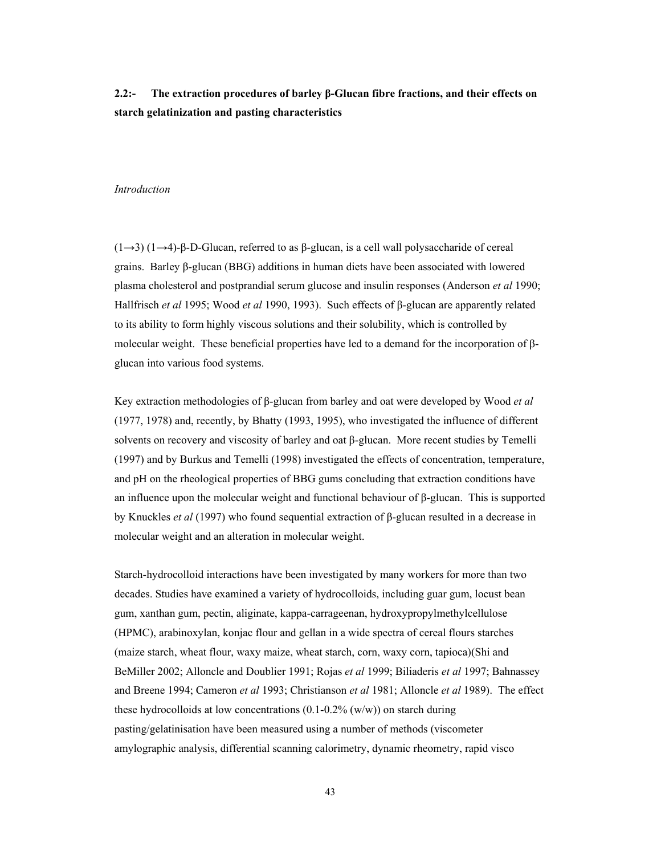# **2.2:- The extraction procedures of barley β-Glucan fibre fractions, and their effects on starch gelatinization and pasting characteristics**

### *Introduction*

(1→3) (1→4)-β-D-Glucan, referred to as β-glucan, is a cell wall polysaccharide of cereal grains. Barley β-glucan (BBG) additions in human diets have been associated with lowered plasma cholesterol and postprandial serum glucose and insulin responses (Anderson *et al* 1990; Hallfrisch *et al* 1995; Wood *et al* 1990, 1993). Such effects of β-glucan are apparently related to its ability to form highly viscous solutions and their solubility, which is controlled by molecular weight. These beneficial properties have led to a demand for the incorporation of βglucan into various food systems.

Key extraction methodologies of β-glucan from barley and oat were developed by Wood *et al* (1977, 1978) and, recently, by Bhatty (1993, 1995), who investigated the influence of different solvents on recovery and viscosity of barley and oat β-glucan. More recent studies by Temelli (1997) and by Burkus and Temelli (1998) investigated the effects of concentration, temperature, and pH on the rheological properties of BBG gums concluding that extraction conditions have an influence upon the molecular weight and functional behaviour of  $\beta$ -glucan. This is supported by Knuckles *et al* (1997) who found sequential extraction of β-glucan resulted in a decrease in molecular weight and an alteration in molecular weight.

Starch-hydrocolloid interactions have been investigated by many workers for more than two decades. Studies have examined a variety of hydrocolloids, including guar gum, locust bean gum, xanthan gum, pectin, aliginate, kappa-carrageenan, hydroxypropylmethylcellulose (HPMC), arabinoxylan, konjac flour and gellan in a wide spectra of cereal flours starches (maize starch, wheat flour, waxy maize, wheat starch, corn, waxy corn, tapioca)(Shi and BeMiller 2002; Alloncle and Doublier 1991; Rojas *et al* 1999; Biliaderis *et al* 1997; Bahnassey and Breene 1994; Cameron *et al* 1993; Christianson *et al* 1981; Alloncle *et al* 1989). The effect these hydrocolloids at low concentrations  $(0.1\n-0.2\%$  (w/w)) on starch during pasting/gelatinisation have been measured using a number of methods (viscometer amylographic analysis, differential scanning calorimetry, dynamic rheometry, rapid visco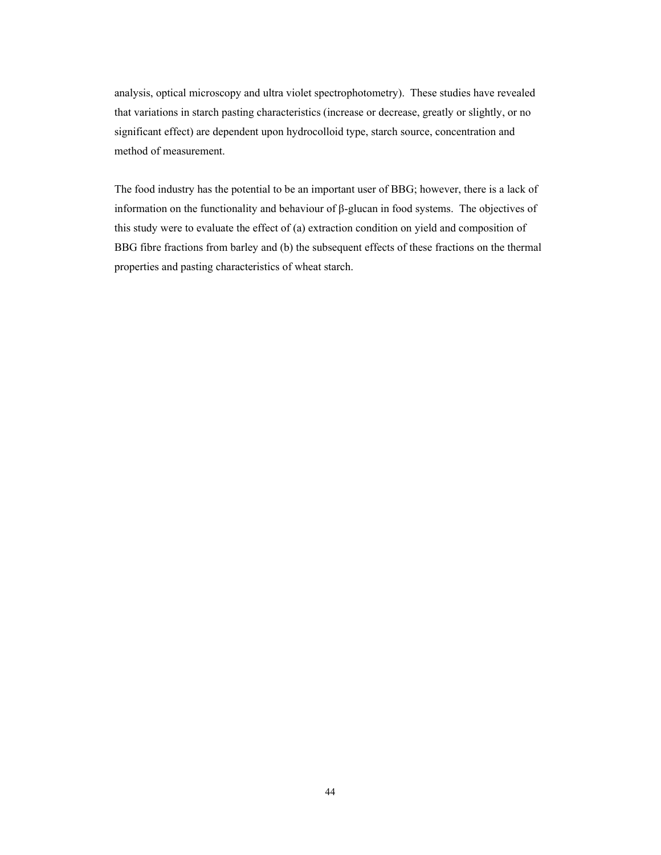analysis, optical microscopy and ultra violet spectrophotometry). These studies have revealed that variations in starch pasting characteristics (increase or decrease, greatly or slightly, or no significant effect) are dependent upon hydrocolloid type, starch source, concentration and method of measurement.

The food industry has the potential to be an important user of BBG; however, there is a lack of information on the functionality and behaviour of β-glucan in food systems. The objectives of this study were to evaluate the effect of (a) extraction condition on yield and composition of BBG fibre fractions from barley and (b) the subsequent effects of these fractions on the thermal properties and pasting characteristics of wheat starch.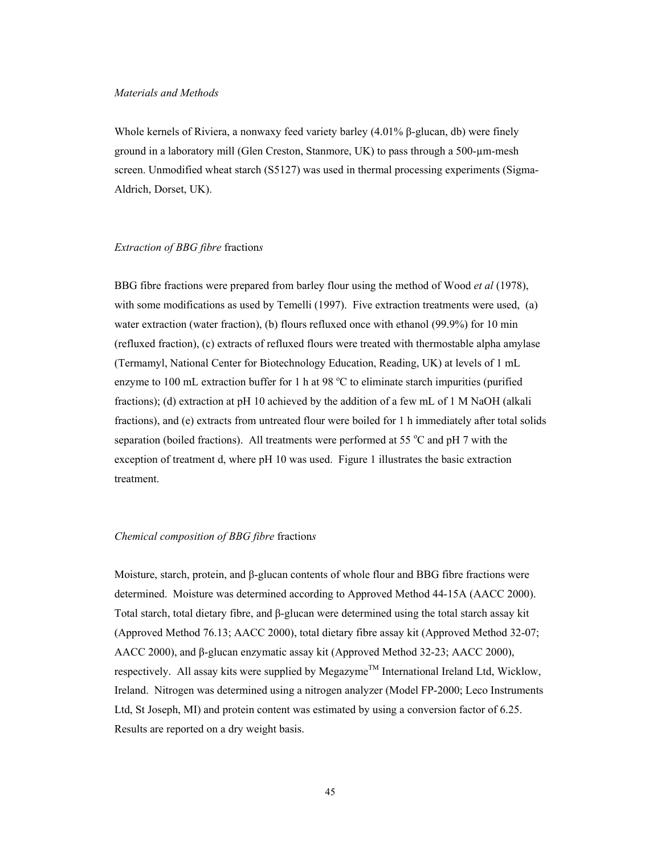#### *Materials and Methods*

Whole kernels of Riviera, a nonwaxy feed variety barley (4.01% β-glucan, db) were finely ground in a laboratory mill (Glen Creston, Stanmore, UK) to pass through a 500-µm-mesh screen. Unmodified wheat starch (S5127) was used in thermal processing experiments (Sigma-Aldrich, Dorset, UK).

### *Extraction of BBG fibre* fraction*s*

BBG fibre fractions were prepared from barley flour using the method of Wood *et al* (1978), with some modifications as used by Temelli (1997). Five extraction treatments were used, (a) water extraction (water fraction), (b) flours refluxed once with ethanol (99.9%) for 10 min (refluxed fraction), (c) extracts of refluxed flours were treated with thermostable alpha amylase (Termamyl, National Center for Biotechnology Education, Reading, UK) at levels of 1 mL enzyme to 100 mL extraction buffer for 1 h at 98  $^{\circ}$ C to eliminate starch impurities (purified fractions); (d) extraction at pH 10 achieved by the addition of a few mL of 1 M NaOH (alkali fractions), and (e) extracts from untreated flour were boiled for 1 h immediately after total solids separation (boiled fractions). All treatments were performed at 55 $\degree$ C and pH 7 with the exception of treatment d, where pH 10 was used. Figure 1 illustrates the basic extraction treatment.

## *Chemical composition of BBG fibre* fraction*s*

Moisture, starch, protein, and β-glucan contents of whole flour and BBG fibre fractions were determined. Moisture was determined according to Approved Method 44-15A (AACC 2000). Total starch, total dietary fibre, and β-glucan were determined using the total starch assay kit (Approved Method 76.13; AACC 2000), total dietary fibre assay kit (Approved Method 32-07; AACC 2000), and β-glucan enzymatic assay kit (Approved Method 32-23; AACC 2000), respectively. All assay kits were supplied by Megazyme<sup>TM</sup> International Ireland Ltd, Wicklow, Ireland. Nitrogen was determined using a nitrogen analyzer (Model FP-2000; Leco Instruments Ltd, St Joseph, MI) and protein content was estimated by using a conversion factor of 6.25. Results are reported on a dry weight basis.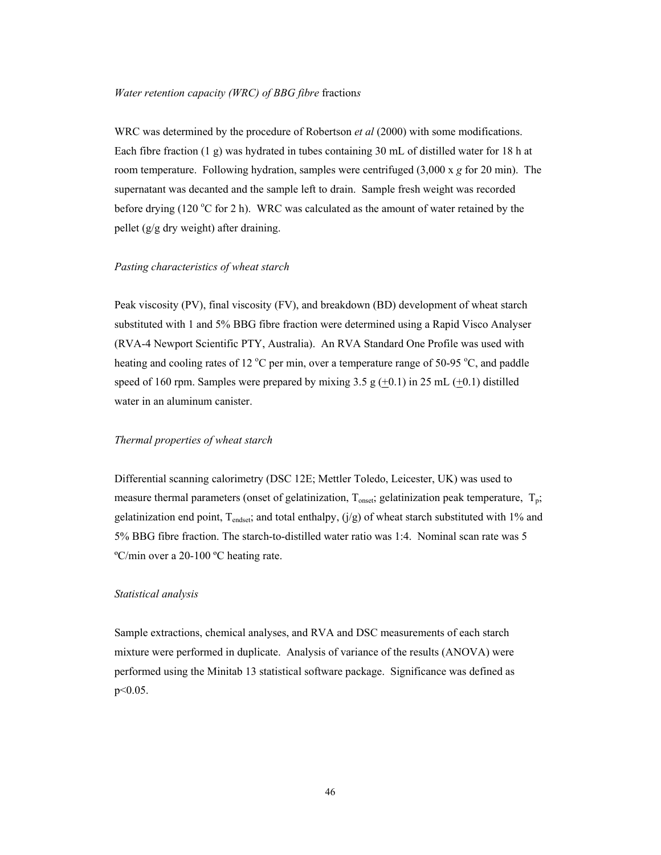#### *Water retention capacity (WRC) of BBG fibre* fraction*s*

WRC was determined by the procedure of Robertson *et al* (2000) with some modifications. Each fibre fraction (1 g) was hydrated in tubes containing 30 mL of distilled water for 18 h at room temperature. Following hydration, samples were centrifuged (3,000 x *g* for 20 min). The supernatant was decanted and the sample left to drain. Sample fresh weight was recorded before drying (120  $\degree$ C for 2 h). WRC was calculated as the amount of water retained by the pellet (g/g dry weight) after draining.

## *Pasting characteristics of wheat starch*

Peak viscosity (PV), final viscosity (FV), and breakdown (BD) development of wheat starch substituted with 1 and 5% BBG fibre fraction were determined using a Rapid Visco Analyser (RVA-4 Newport Scientific PTY, Australia). An RVA Standard One Profile was used with heating and cooling rates of 12  $^{\circ}$ C per min, over a temperature range of 50-95  $^{\circ}$ C, and paddle speed of 160 rpm. Samples were prepared by mixing  $3.5 \text{ g } (+0.1)$  in 25 mL  $(+0.1)$  distilled water in an aluminum canister.

# *Thermal properties of wheat starch*

Differential scanning calorimetry (DSC 12E; Mettler Toledo, Leicester, UK) was used to measure thermal parameters (onset of gelatinization,  $T_{onset}$ ; gelatinization peak temperature,  $T_p$ ; gelatinization end point,  $T_{endest}$ ; and total enthalpy,  $(j/g)$  of wheat starch substituted with 1% and 5% BBG fibre fraction. The starch-to-distilled water ratio was 1:4. Nominal scan rate was 5 ºC/min over a 20-100 ºC heating rate.

# *Statistical analysis*

Sample extractions, chemical analyses, and RVA and DSC measurements of each starch mixture were performed in duplicate. Analysis of variance of the results (ANOVA) were performed using the Minitab 13 statistical software package. Significance was defined as p<0.05.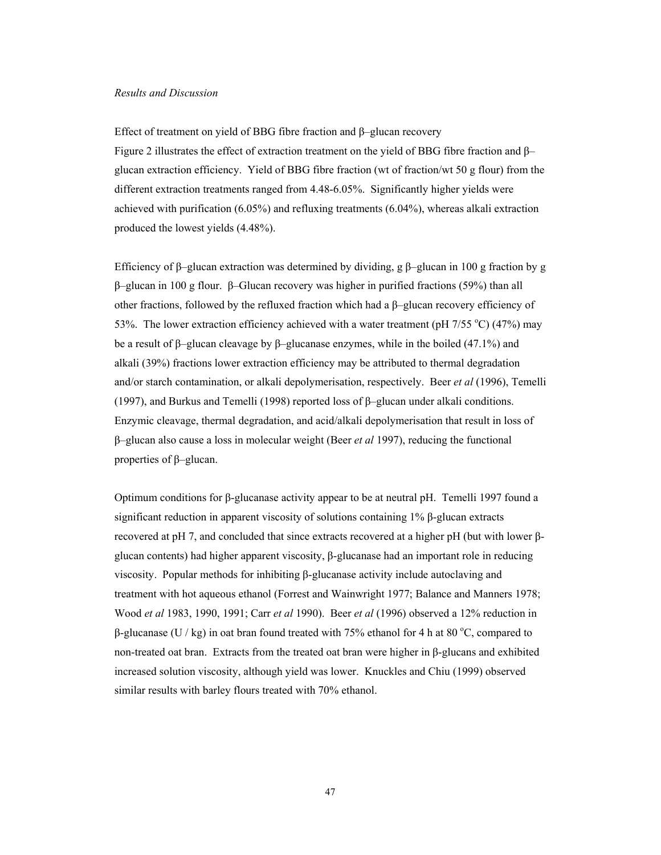#### *Results and Discussion*

Effect of treatment on yield of BBG fibre fraction and β–glucan recovery Figure 2 illustrates the effect of extraction treatment on the yield of BBG fibre fraction and β– glucan extraction efficiency. Yield of BBG fibre fraction (wt of fraction/wt 50 g flour) from the different extraction treatments ranged from 4.48-6.05%. Significantly higher yields were achieved with purification (6.05%) and refluxing treatments (6.04%), whereas alkali extraction produced the lowest yields (4.48%).

Efficiency of β–glucan extraction was determined by dividing, g β–glucan in 100 g fraction by g β–glucan in 100 g flour. β–Glucan recovery was higher in purified fractions (59%) than all other fractions, followed by the refluxed fraction which had a β–glucan recovery efficiency of 53%. The lower extraction efficiency achieved with a water treatment (pH  $7/55$  °C) (47%) may be a result of β–glucan cleavage by β–glucanase enzymes, while in the boiled (47.1%) and alkali (39%) fractions lower extraction efficiency may be attributed to thermal degradation and/or starch contamination, or alkali depolymerisation, respectively. Beer *et al* (1996), Temelli (1997), and Burkus and Temelli (1998) reported loss of β–glucan under alkali conditions. Enzymic cleavage, thermal degradation, and acid/alkali depolymerisation that result in loss of β–glucan also cause a loss in molecular weight (Beer *et al* 1997), reducing the functional properties of β–glucan.

Optimum conditions for β-glucanase activity appear to be at neutral pH. Temelli 1997 found a significant reduction in apparent viscosity of solutions containing 1% β-glucan extracts recovered at pH 7, and concluded that since extracts recovered at a higher pH (but with lower βglucan contents) had higher apparent viscosity, β-glucanase had an important role in reducing viscosity. Popular methods for inhibiting β-glucanase activity include autoclaving and treatment with hot aqueous ethanol (Forrest and Wainwright 1977; Balance and Manners 1978; Wood *et al* 1983, 1990, 1991; Carr *et al* 1990). Beer *et al* (1996) observed a 12% reduction in β-glucanase (U / kg) in oat bran found treated with 75% ethanol for 4 h at 80 °C, compared to non-treated oat bran. Extracts from the treated oat bran were higher in β-glucans and exhibited increased solution viscosity, although yield was lower. Knuckles and Chiu (1999) observed similar results with barley flours treated with 70% ethanol.

47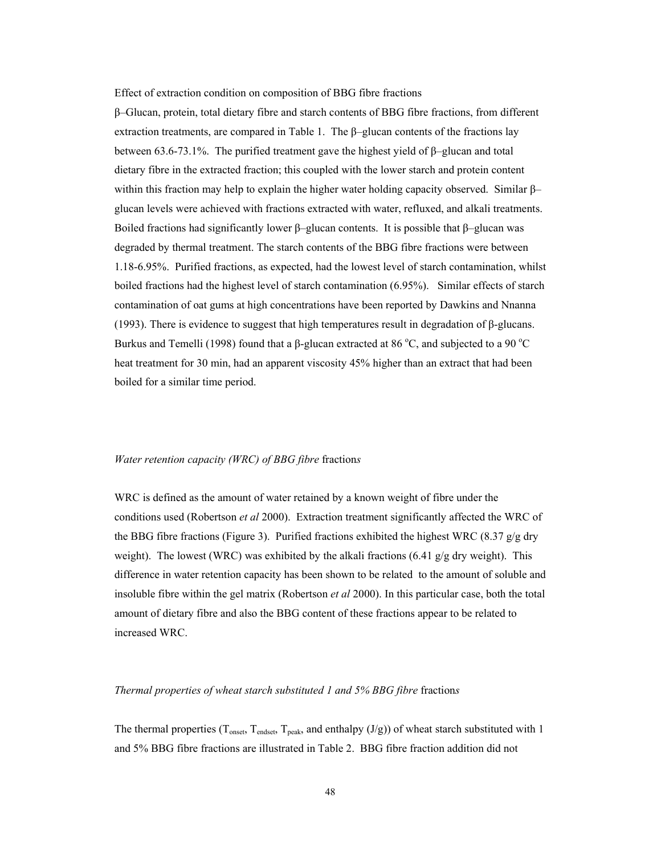Effect of extraction condition on composition of BBG fibre fractions

β–Glucan, protein, total dietary fibre and starch contents of BBG fibre fractions, from different extraction treatments, are compared in Table 1. The  $\beta$ –glucan contents of the fractions lay between 63.6-73.1%. The purified treatment gave the highest yield of β–glucan and total dietary fibre in the extracted fraction; this coupled with the lower starch and protein content within this fraction may help to explain the higher water holding capacity observed. Similar  $\beta$ – glucan levels were achieved with fractions extracted with water, refluxed, and alkali treatments. Boiled fractions had significantly lower  $\beta$ –glucan contents. It is possible that  $\beta$ –glucan was degraded by thermal treatment. The starch contents of the BBG fibre fractions were between 1.18-6.95%. Purified fractions, as expected, had the lowest level of starch contamination, whilst boiled fractions had the highest level of starch contamination (6.95%). Similar effects of starch contamination of oat gums at high concentrations have been reported by Dawkins and Nnanna (1993). There is evidence to suggest that high temperatures result in degradation of  $\beta$ -glucans. Burkus and Temelli (1998) found that a β-glucan extracted at 86 °C, and subjected to a 90 °C heat treatment for 30 min, had an apparent viscosity 45% higher than an extract that had been boiled for a similar time period.

## *Water retention capacity (WRC) of BBG fibre* fraction*s*

WRC is defined as the amount of water retained by a known weight of fibre under the conditions used (Robertson *et al* 2000). Extraction treatment significantly affected the WRC of the BBG fibre fractions (Figure 3). Purified fractions exhibited the highest WRC (8.37  $g/g$  dry weight). The lowest (WRC) was exhibited by the alkali fractions (6.41  $g/g$  dry weight). This difference in water retention capacity has been shown to be related to the amount of soluble and insoluble fibre within the gel matrix (Robertson *et al* 2000). In this particular case, both the total amount of dietary fibre and also the BBG content of these fractions appear to be related to increased WRC.

## *Thermal properties of wheat starch substituted 1 and 5% BBG fibre* fraction*s*

The thermal properties ( $T_{onset}$ ,  $T_{endest}$ ,  $T_{peak}$ , and enthalpy (J/g)) of wheat starch substituted with 1 and 5% BBG fibre fractions are illustrated in Table 2. BBG fibre fraction addition did not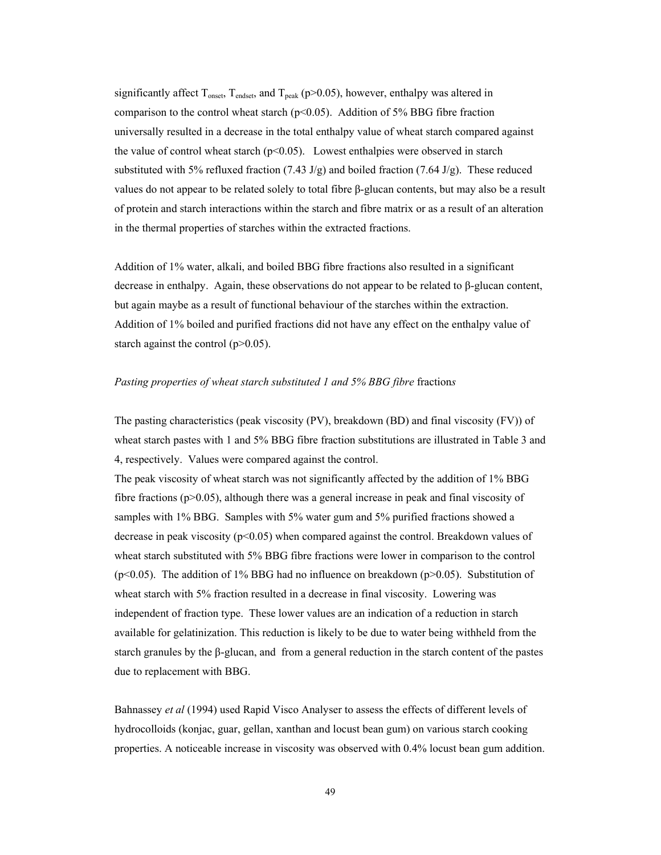significantly affect  $T_{onset}$ ,  $T_{endest}$ , and  $T_{peak}$  (p>0.05), however, enthalpy was altered in comparison to the control wheat starch ( $p<0.05$ ). Addition of 5% BBG fibre fraction universally resulted in a decrease in the total enthalpy value of wheat starch compared against the value of control wheat starch  $(p<0.05)$ . Lowest enthalpies were observed in starch substituted with 5% refluxed fraction  $(7.43 \text{ J/g})$  and boiled fraction  $(7.64 \text{ J/g})$ . These reduced values do not appear to be related solely to total fibre β-glucan contents, but may also be a result of protein and starch interactions within the starch and fibre matrix or as a result of an alteration in the thermal properties of starches within the extracted fractions.

Addition of 1% water, alkali, and boiled BBG fibre fractions also resulted in a significant decrease in enthalpy. Again, these observations do not appear to be related to β-glucan content, but again maybe as a result of functional behaviour of the starches within the extraction. Addition of 1% boiled and purified fractions did not have any effect on the enthalpy value of starch against the control (p>0.05).

## *Pasting properties of wheat starch substituted 1 and 5% BBG fibre fractions*

The pasting characteristics (peak viscosity (PV), breakdown (BD) and final viscosity (FV)) of wheat starch pastes with 1 and 5% BBG fibre fraction substitutions are illustrated in Table 3 and 4, respectively. Values were compared against the control.

The peak viscosity of wheat starch was not significantly affected by the addition of 1% BBG fibre fractions ( $p > 0.05$ ), although there was a general increase in peak and final viscosity of samples with 1% BBG. Samples with 5% water gum and 5% purified fractions showed a decrease in peak viscosity ( $p<0.05$ ) when compared against the control. Breakdown values of wheat starch substituted with 5% BBG fibre fractions were lower in comparison to the control ( $p<0.05$ ). The addition of 1% BBG had no influence on breakdown ( $p>0.05$ ). Substitution of wheat starch with 5% fraction resulted in a decrease in final viscosity. Lowering was independent of fraction type. These lower values are an indication of a reduction in starch available for gelatinization. This reduction is likely to be due to water being withheld from the starch granules by the β-glucan, and from a general reduction in the starch content of the pastes due to replacement with BBG.

Bahnassey *et al* (1994) used Rapid Visco Analyser to assess the effects of different levels of hydrocolloids (konjac, guar, gellan, xanthan and locust bean gum) on various starch cooking properties. A noticeable increase in viscosity was observed with 0.4% locust bean gum addition.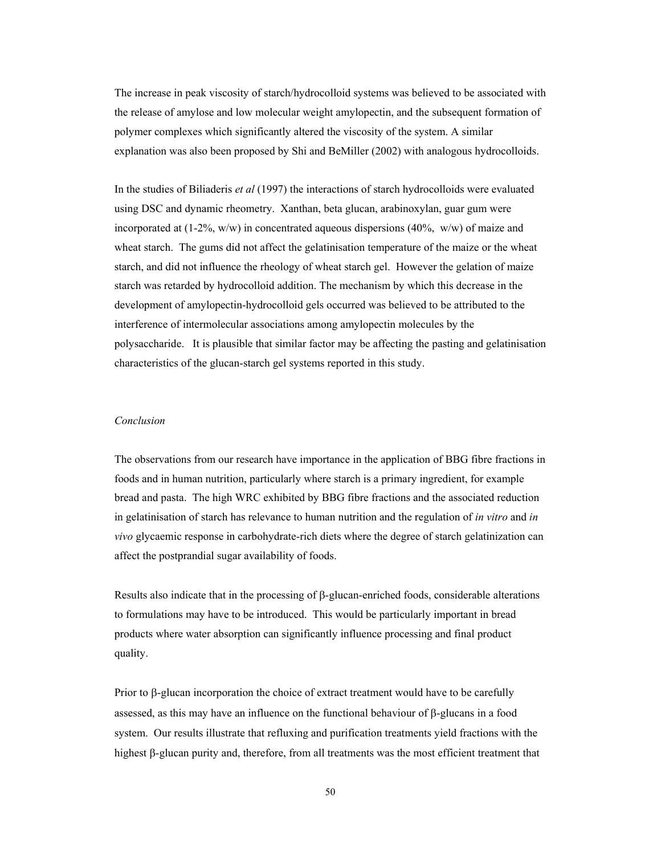The increase in peak viscosity of starch/hydrocolloid systems was believed to be associated with the release of amylose and low molecular weight amylopectin, and the subsequent formation of polymer complexes which significantly altered the viscosity of the system. A similar explanation was also been proposed by Shi and BeMiller (2002) with analogous hydrocolloids.

In the studies of Biliaderis *et al* (1997) the interactions of starch hydrocolloids were evaluated using DSC and dynamic rheometry. Xanthan, beta glucan, arabinoxylan, guar gum were incorporated at  $(1-2\%, w/w)$  in concentrated aqueous dispersions  $(40\%, w/w)$  of maize and wheat starch. The gums did not affect the gelatinisation temperature of the maize or the wheat starch, and did not influence the rheology of wheat starch gel. However the gelation of maize starch was retarded by hydrocolloid addition. The mechanism by which this decrease in the development of amylopectin-hydrocolloid gels occurred was believed to be attributed to the interference of intermolecular associations among amylopectin molecules by the polysaccharide. It is plausible that similar factor may be affecting the pasting and gelatinisation characteristics of the glucan-starch gel systems reported in this study.

# *Conclusion*

The observations from our research have importance in the application of BBG fibre fractions in foods and in human nutrition, particularly where starch is a primary ingredient, for example bread and pasta. The high WRC exhibited by BBG fibre fractions and the associated reduction in gelatinisation of starch has relevance to human nutrition and the regulation of *in vitro* and *in vivo* glycaemic response in carbohydrate-rich diets where the degree of starch gelatinization can affect the postprandial sugar availability of foods.

Results also indicate that in the processing of β-glucan-enriched foods, considerable alterations to formulations may have to be introduced. This would be particularly important in bread products where water absorption can significantly influence processing and final product quality.

Prior to β-glucan incorporation the choice of extract treatment would have to be carefully assessed, as this may have an influence on the functional behaviour of β-glucans in a food system. Our results illustrate that refluxing and purification treatments yield fractions with the highest β-glucan purity and, therefore, from all treatments was the most efficient treatment that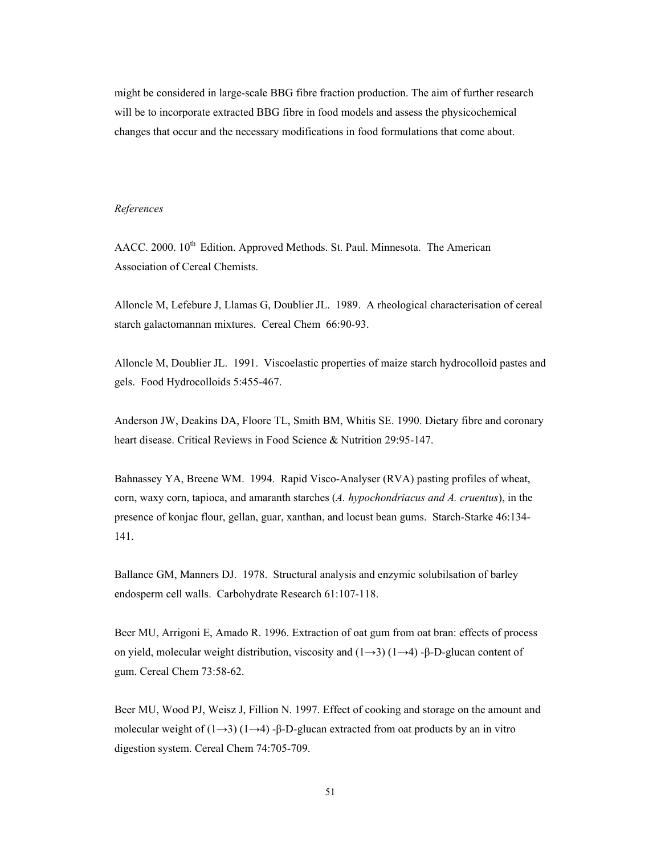might be considered in large-scale BBG fibre fraction production. The aim of further research will be to incorporate extracted BBG fibre in food models and assess the physicochemical changes that occur and the necessary modifications in food formulations that come about.

## *References*

AACC. 2000. 10<sup>th</sup> Edition. Approved Methods. St. Paul. Minnesota. The American Association of Cereal Chemists.

Alloncle M, Lefebure J, Llamas G, Doublier JL. 1989. A rheological characterisation of cereal starch galactomannan mixtures. Cereal Chem 66:90-93.

Alloncle M, Doublier JL. 1991. Viscoelastic properties of maize starch hydrocolloid pastes and gels. Food Hydrocolloids 5:455-467.

Anderson JW, Deakins DA, Floore TL, Smith BM, Whitis SE. 1990. Dietary fibre and coronary heart disease. Critical Reviews in Food Science & Nutrition 29:95-147.

Bahnassey YA, Breene WM. 1994. Rapid Visco-Analyser (RVA) pasting profiles of wheat, corn, waxy corn, tapioca, and amaranth starches (*A. hypochondriacus and A. cruentus*), in the presence of konjac flour, gellan, guar, xanthan, and locust bean gums. Starch-Starke 46:134- 141.

Ballance GM, Manners DJ. 1978. Structural analysis and enzymic solubilsation of barley endosperm cell walls. Carbohydrate Research 61:107-118.

Beer MU, Arrigoni E, Amado R. 1996. Extraction of oat gum from oat bran: effects of process on yield, molecular weight distribution, viscosity and  $(1\rightarrow 3)$  ( $1\rightarrow 4$ ) -β-D-glucan content of gum. Cereal Chem 73:58-62.

Beer MU, Wood PJ, Weisz J, Fillion N. 1997. Effect of cooking and storage on the amount and molecular weight of  $(1\rightarrow 3)$   $(1\rightarrow 4)$  -β-D-glucan extracted from oat products by an in vitro digestion system. Cereal Chem 74:705-709.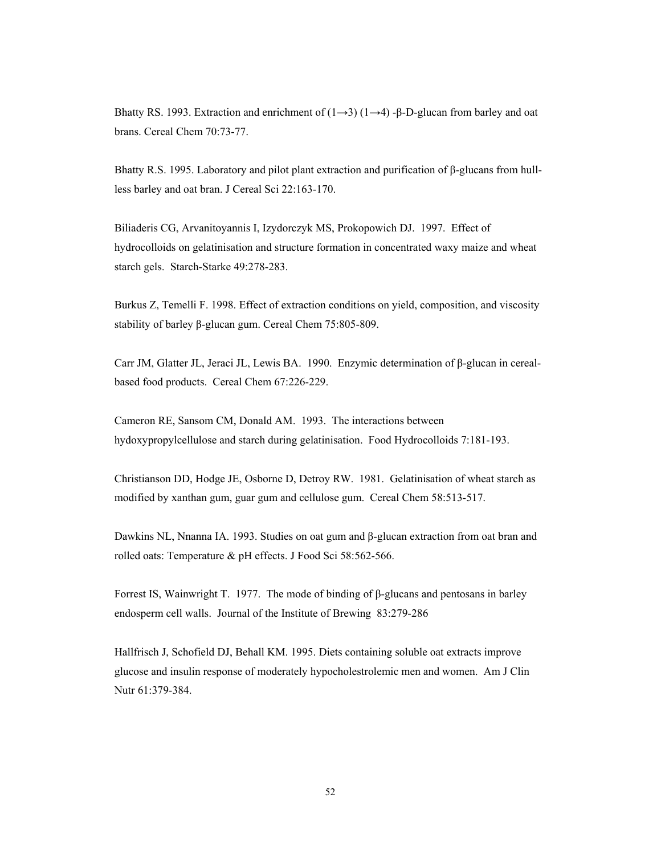Bhatty RS. 1993. Extraction and enrichment of  $(1\rightarrow 3)$   $(1\rightarrow 4)$  -β-D-glucan from barley and oat brans. Cereal Chem 70:73-77.

Bhatty R.S. 1995. Laboratory and pilot plant extraction and purification of β-glucans from hullless barley and oat bran. J Cereal Sci 22:163-170.

Biliaderis CG, Arvanitoyannis I, Izydorczyk MS, Prokopowich DJ. 1997. Effect of hydrocolloids on gelatinisation and structure formation in concentrated waxy maize and wheat starch gels. Starch-Starke 49:278-283.

Burkus Z, Temelli F. 1998. Effect of extraction conditions on yield, composition, and viscosity stability of barley β-glucan gum. Cereal Chem 75:805-809.

Carr JM, Glatter JL, Jeraci JL, Lewis BA. 1990. Enzymic determination of β-glucan in cerealbased food products. Cereal Chem 67:226-229.

Cameron RE, Sansom CM, Donald AM. 1993. The interactions between hydoxypropylcellulose and starch during gelatinisation. Food Hydrocolloids 7:181-193.

Christianson DD, Hodge JE, Osborne D, Detroy RW. 1981. Gelatinisation of wheat starch as modified by xanthan gum, guar gum and cellulose gum. Cereal Chem 58:513-517.

Dawkins NL, Nnanna IA. 1993. Studies on oat gum and β-glucan extraction from oat bran and rolled oats: Temperature & pH effects. J Food Sci 58:562-566.

Forrest IS, Wainwright T. 1977. The mode of binding of β-glucans and pentosans in barley endosperm cell walls. Journal of the Institute of Brewing 83:279-286

Hallfrisch J, Schofield DJ, Behall KM. 1995. Diets containing soluble oat extracts improve glucose and insulin response of moderately hypocholestrolemic men and women. Am J Clin Nutr 61:379-384.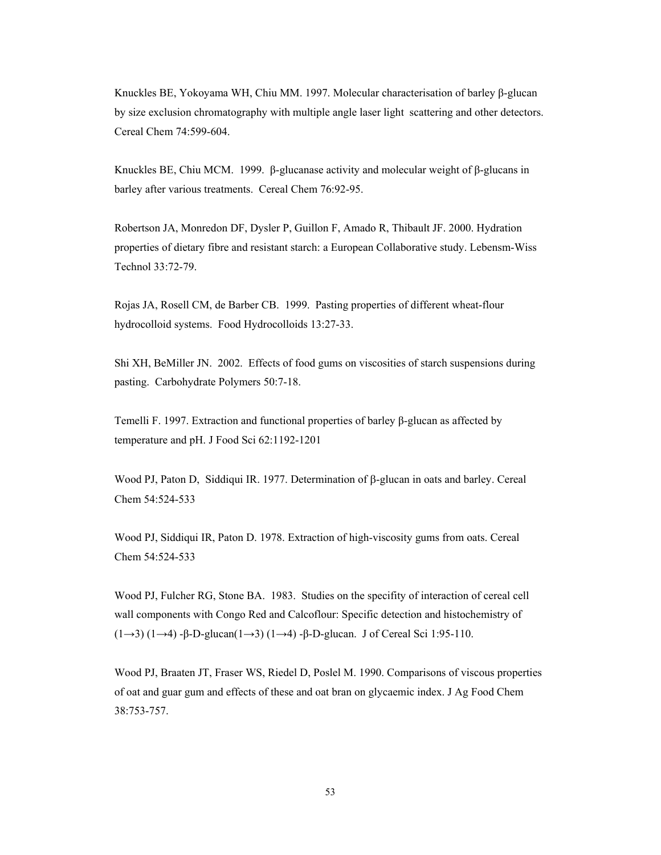Knuckles BE, Yokoyama WH, Chiu MM. 1997. Molecular characterisation of barley β-glucan by size exclusion chromatography with multiple angle laser light scattering and other detectors. Cereal Chem 74:599-604.

Knuckles BE, Chiu MCM. 1999. β-glucanase activity and molecular weight of  $\beta$ -glucans in barley after various treatments. Cereal Chem 76:92-95.

Robertson JA, Monredon DF, Dysler P, Guillon F, Amado R, Thibault JF. 2000. Hydration properties of dietary fibre and resistant starch: a European Collaborative study. Lebensm-Wiss Technol 33:72-79.

Rojas JA, Rosell CM, de Barber CB. 1999. Pasting properties of different wheat-flour hydrocolloid systems. Food Hydrocolloids 13:27-33.

Shi XH, BeMiller JN. 2002. Effects of food gums on viscosities of starch suspensions during pasting. Carbohydrate Polymers 50:7-18.

Temelli F. 1997. Extraction and functional properties of barley β-glucan as affected by temperature and pH. J Food Sci 62:1192-1201

Wood PJ, Paton D, Siddiqui IR. 1977. Determination of β-glucan in oats and barley. Cereal Chem 54:524-533

Wood PJ, Siddiqui IR, Paton D. 1978. Extraction of high-viscosity gums from oats. Cereal Chem 54:524-533

Wood PJ, Fulcher RG, Stone BA. 1983. Studies on the specifity of interaction of cereal cell wall components with Congo Red and Calcoflour: Specific detection and histochemistry of (1→3) (1→4) -β-D-glucan(1→3) (1→4) -β-D-glucan. J of Cereal Sci 1:95-110.

Wood PJ, Braaten JT, Fraser WS, Riedel D, Poslel M. 1990. Comparisons of viscous properties of oat and guar gum and effects of these and oat bran on glycaemic index. J Ag Food Chem 38:753-757.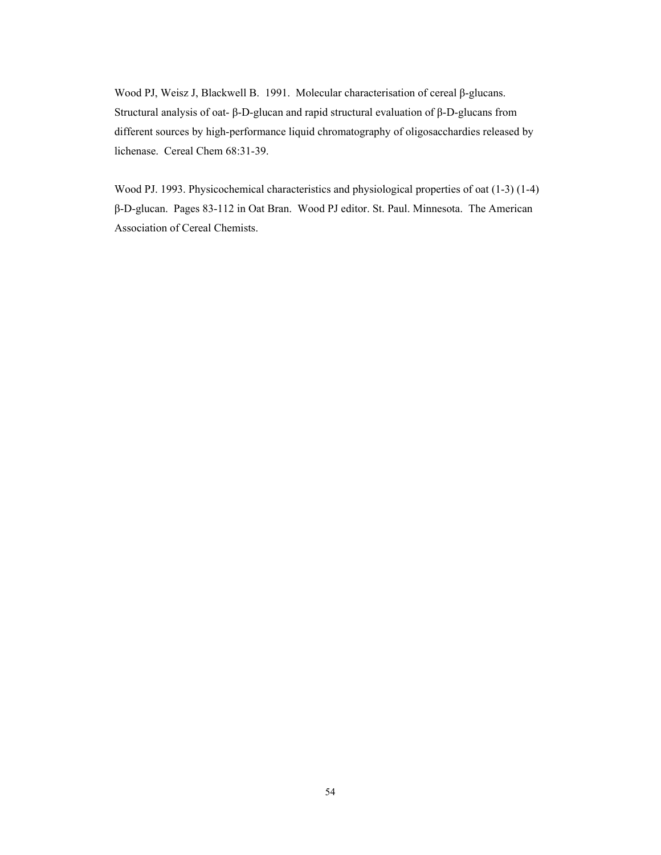Wood PJ, Weisz J, Blackwell B. 1991. Molecular characterisation of cereal β-glucans. Structural analysis of oat- β-D-glucan and rapid structural evaluation of β-D-glucans from different sources by high-performance liquid chromatography of oligosacchardies released by lichenase. Cereal Chem 68:31-39.

Wood PJ. 1993. Physicochemical characteristics and physiological properties of oat (1-3) (1-4) β-D-glucan. Pages 83-112 in Oat Bran. Wood PJ editor. St. Paul. Minnesota. The American Association of Cereal Chemists.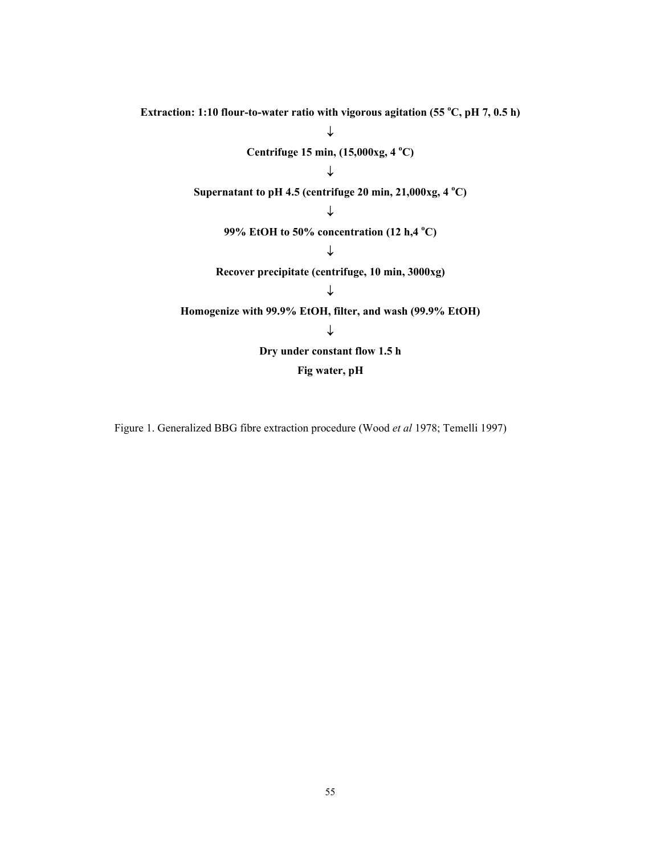Extraction: 1:10 flour-to-water ratio with vigorous agitation (55 °C, pH 7, 0.5 h) ↓ **Centrifuge 15 min, (15,000xg, 4 o C)**  ↓ Supernatant to pH 4.5 (centrifuge  $20 \text{ min}, 21,000 \text{ kg}, 4 \text{ }^{\circ}\text{C}$ ) ↓ **99% EtOH to 50% concentration (12 h,4 <sup>o</sup> C)**  ↓ **Recover precipitate (centrifuge, 10 min, 3000xg)**  ↓ **Homogenize with 99.9% EtOH, filter, and wash (99.9% EtOH)**  ↓ **Dry under constant flow 1.5 h Fig water, pH** 

Figure 1. Generalized BBG fibre extraction procedure (Wood *et al* 1978; Temelli 1997)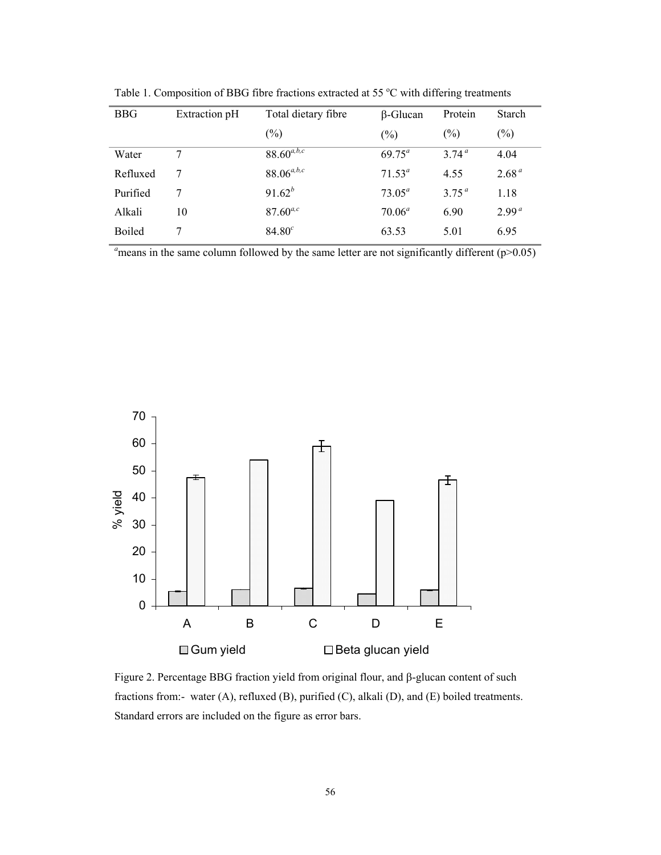| <b>BBG</b> | Extraction pH | Total dietary fibre | β-Glucan        | Protein           | Starch            |
|------------|---------------|---------------------|-----------------|-------------------|-------------------|
|            |               | $(\%)$              | $(\%)$          | $(\%)$            | $(\%)$            |
| Water      | 7             | $88.60^{a,b,c}$     | $69.75^{\circ}$ | 374 <sup>a</sup>  | 4.04              |
| Refluxed   | 7             | $88.06^{a,b,c}$     | $71.53^a$       | 4.55              | 2.68 <sup>a</sup> |
| Purified   | 7             | $91.62^{b}$         | 73.05 $^{a}$    | 3.75 <sup>a</sup> | 1.18              |
| Alkali     | 10            | $87.60^{a,c}$       | $70.06^a$       | 6.90              | 2.99 <sup>a</sup> |
| Boiled     |               | $84.80^{c}$         | 63.53           | 5.01              | 6.95              |

Table 1. Composition of BBG fibre fractions extracted at 55 °C with differing treatments

 $a<sub>a</sub>$  means in the same column followed by the same letter are not significantly different ( $p$ >0.05)



Figure 2. Percentage BBG fraction yield from original flour, and β-glucan content of such fractions from:- water (A), refluxed (B), purified (C), alkali (D), and (E) boiled treatments. Standard errors are included on the figure as error bars.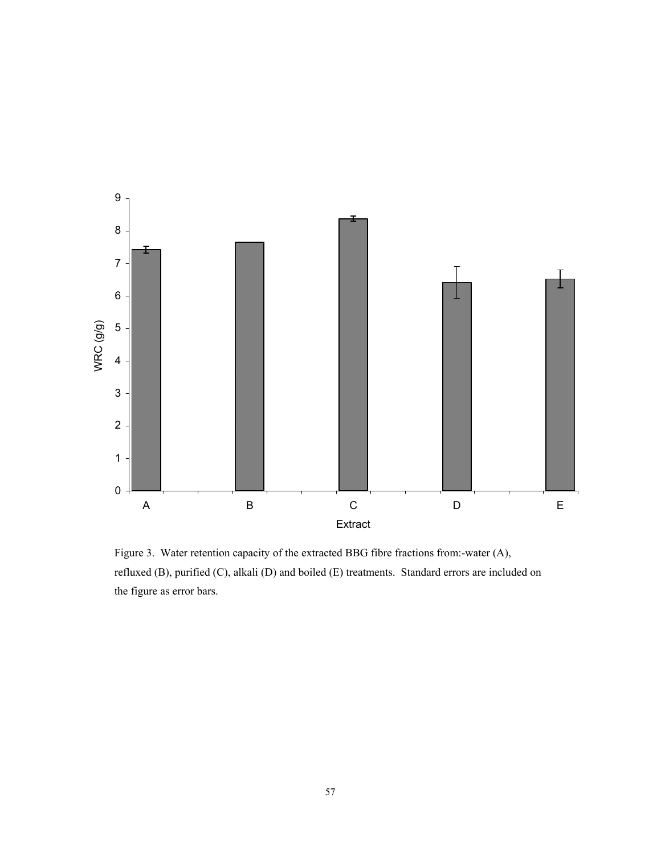

Figure 3. Water retention capacity of the extracted BBG fibre fractions from:-water (A), refluxed (B), purified (C), alkali (D) and boiled (E) treatments. Standard errors are included on the figure as error bars.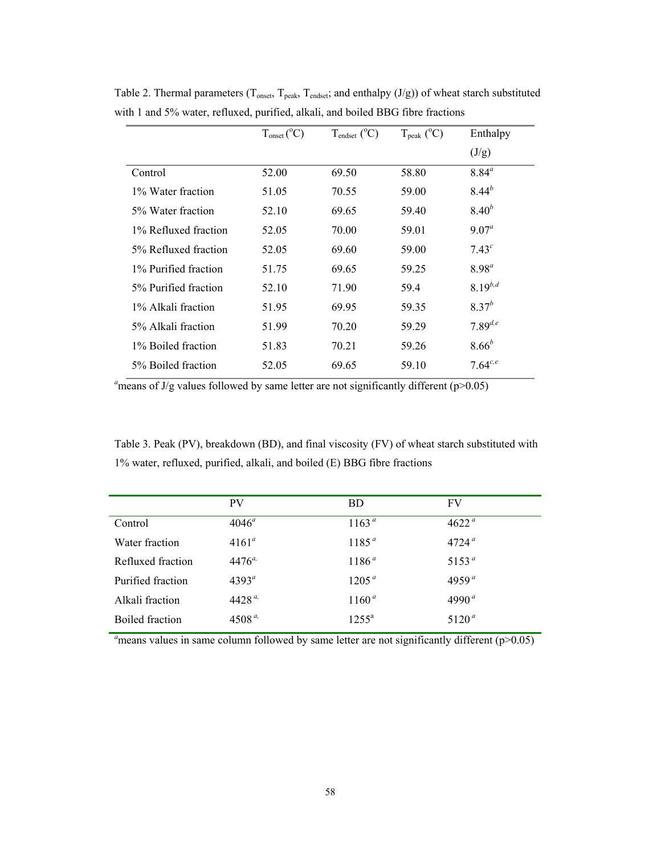|                      | $T_{onset} (^{\circ}C)$ | $T_{endset} (^{\circ}C)$ | $T_{\rm peak}$ (°C) | Enthalpy     |
|----------------------|-------------------------|--------------------------|---------------------|--------------|
|                      |                         |                          |                     | (J/g)        |
| Control              | 52.00                   | 69.50                    | 58.80               | $8.84^{a}$   |
| 1% Water fraction    | 51.05                   | 70.55                    | 59.00               | $8.44^{b}$   |
| 5% Water fraction    | 52.10                   | 69.65                    | 59.40               | $8.40^{b}$   |
| 1% Refluxed fraction | 52.05                   | 70.00                    | 59.01               | $9.07^a$     |
| 5% Refluxed fraction | 52.05                   | 69.60                    | 59.00               | $7.43^{c}$   |
| 1% Purified fraction | 51.75                   | 69.65                    | 59.25               | $8.98^{a}$   |
| 5% Purified fraction | 52.10                   | 71.90                    | 59.4                | $8.19^{b,d}$ |
| 1% Alkali fraction   | 51.95                   | 69.95                    | 59.35               | $8.37^{b}$   |
| 5% Alkali fraction   | 51.99                   | 70.20                    | 59.29               | $7.89^{d,e}$ |
| 1% Boiled fraction   | 51.83                   | 70.21                    | 59.26               | $8.66^{b}$   |
| 5% Boiled fraction   | 52.05                   | 69.65                    | 59.10               | $7.64^{c,e}$ |

Table 2. Thermal parameters ( $T_{onset}$ ,  $T_{peak}$ ,  $T_{endest}$ ; and enthalpy (J/g)) of wheat starch substituted with 1 and 5% water, refluxed, purified, alkali, and boiled BBG fibre fractions

 $a<sub>a</sub>$  means of J/g values followed by same letter are not significantly different (p>0.05)

Table 3. Peak (PV), breakdown (BD), and final viscosity (FV) of wheat starch substituted with 1% water, refluxed, purified, alkali, and boiled (E) BBG fibre fractions

|                   | <b>PV</b>      | <b>BD</b>         | FV                |
|-------------------|----------------|-------------------|-------------------|
| Control           | $4046^{\circ}$ | 1163 <sup>a</sup> | 4622 <sup>a</sup> |
| Water fraction    | $4161^a$       | 1185 <sup>a</sup> | $4724^{\,a}$      |
| Refluxed fraction | $4476^{a}$     | 1186 <sup>a</sup> | 5153 <sup>a</sup> |
| Purified fraction | $4393^{\circ}$ | 1205 <sup>a</sup> | $4959^{\,a}$      |
| Alkali fraction   | $4428^{a}$     | $1160^a$          | 4990 $a$          |
| Boiled fraction   | 4508 $a$       | $1255^a$          | 5120 <sup>a</sup> |
|                   |                |                   |                   |

 $a<sub>a</sub>$  means values in same column followed by same letter are not significantly different ( $p$ >0.05)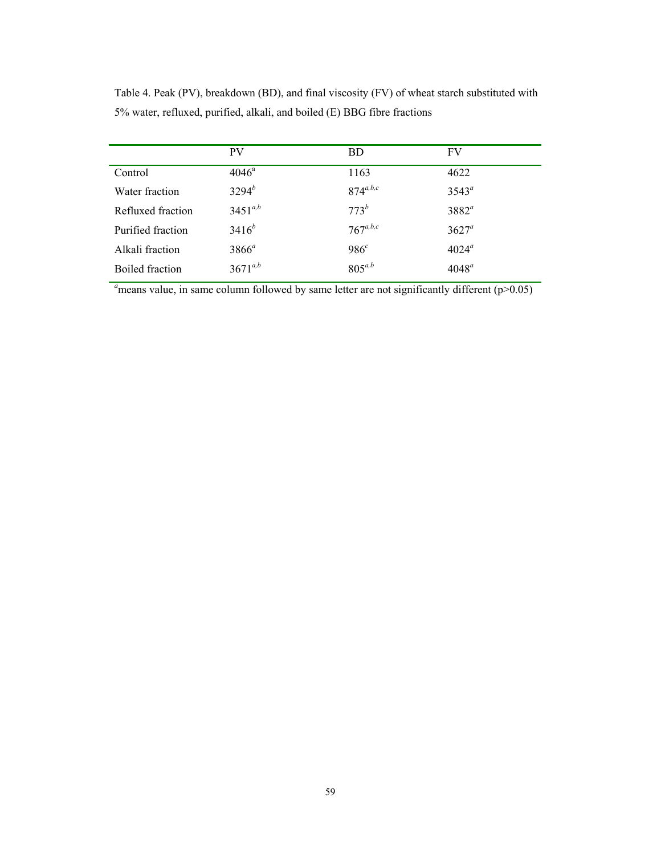|                   | <b>PV</b>      | <b>BD</b>     | FV             |
|-------------------|----------------|---------------|----------------|
| Control           | $4046^{\circ}$ | 1163          | 4622           |
| Water fraction    | $3294^{b}$     | $874^{a,b,c}$ | $3543^a$       |
| Refluxed fraction | $3451^{a,b}$   | $773^b$       | $3882^a$       |
| Purified fraction | $3416^{b}$     | $767^{a,b,c}$ | $3627^a$       |
| Alkali fraction   | $3866^a$       | $986^c$       | $4024^{\circ}$ |
| Boiled fraction   | $3671^{a,b}$   | $805^{a,b}$   | $4048^a$       |

Table 4. Peak (PV), breakdown (BD), and final viscosity (FV) of wheat starch substituted with 5% water, refluxed, purified, alkali, and boiled (E) BBG fibre fractions

 $a<sub>n</sub>$  means value, in same column followed by same letter are not significantly different ( $p$ >0.05)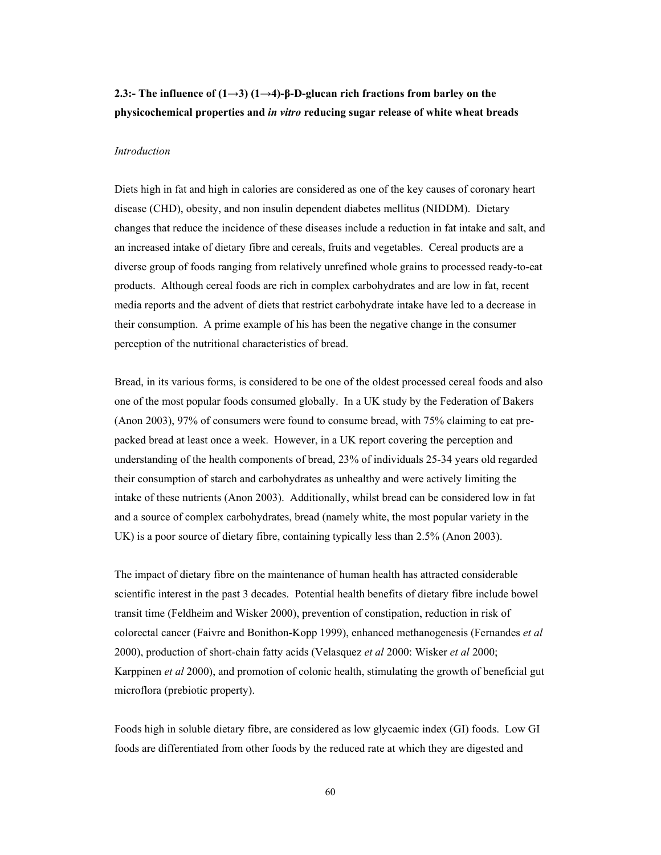# **2.3:- The influence of (1→3) (1→4)-β-D-glucan rich fractions from barley on the physicochemical properties and** *in vitro* **reducing sugar release of white wheat breads**

#### *Introduction*

Diets high in fat and high in calories are considered as one of the key causes of coronary heart disease (CHD), obesity, and non insulin dependent diabetes mellitus (NIDDM). Dietary changes that reduce the incidence of these diseases include a reduction in fat intake and salt, and an increased intake of dietary fibre and cereals, fruits and vegetables. Cereal products are a diverse group of foods ranging from relatively unrefined whole grains to processed ready-to-eat products. Although cereal foods are rich in complex carbohydrates and are low in fat, recent media reports and the advent of diets that restrict carbohydrate intake have led to a decrease in their consumption. A prime example of his has been the negative change in the consumer perception of the nutritional characteristics of bread.

Bread, in its various forms, is considered to be one of the oldest processed cereal foods and also one of the most popular foods consumed globally. In a UK study by the Federation of Bakers (Anon 2003), 97% of consumers were found to consume bread, with 75% claiming to eat prepacked bread at least once a week. However, in a UK report covering the perception and understanding of the health components of bread, 23% of individuals 25-34 years old regarded their consumption of starch and carbohydrates as unhealthy and were actively limiting the intake of these nutrients (Anon 2003). Additionally, whilst bread can be considered low in fat and a source of complex carbohydrates, bread (namely white, the most popular variety in the UK) is a poor source of dietary fibre, containing typically less than 2.5% (Anon 2003).

The impact of dietary fibre on the maintenance of human health has attracted considerable scientific interest in the past 3 decades. Potential health benefits of dietary fibre include bowel transit time (Feldheim and Wisker 2000), prevention of constipation, reduction in risk of colorectal cancer (Faivre and Bonithon-Kopp 1999), enhanced methanogenesis (Fernandes *et al* 2000), production of short-chain fatty acids (Velasquez *et al* 2000: Wisker *et al* 2000; Karppinen *et al* 2000), and promotion of colonic health, stimulating the growth of beneficial gut microflora (prebiotic property).

Foods high in soluble dietary fibre, are considered as low glycaemic index (GI) foods. Low GI foods are differentiated from other foods by the reduced rate at which they are digested and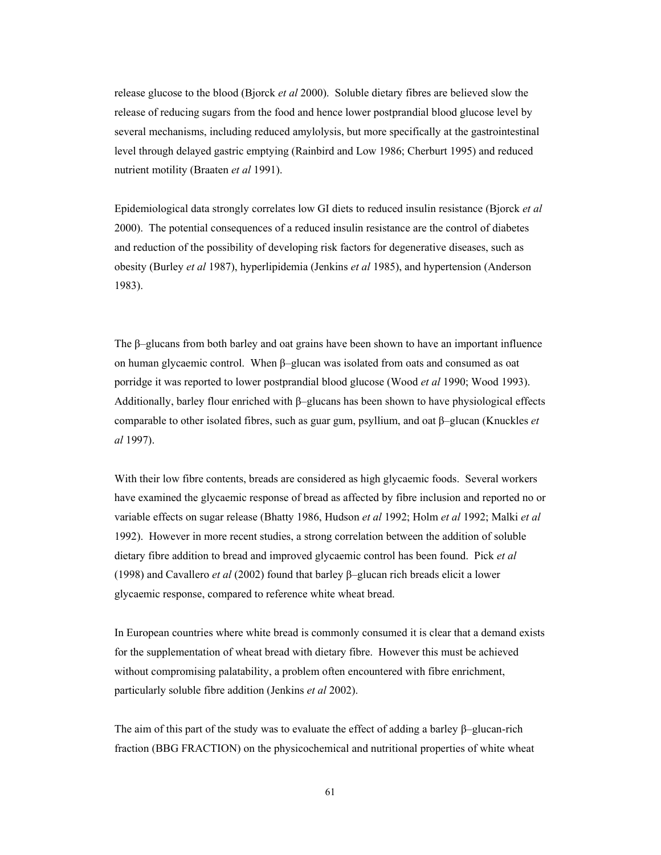release glucose to the blood (Bjorck *et al* 2000). Soluble dietary fibres are believed slow the release of reducing sugars from the food and hence lower postprandial blood glucose level by several mechanisms, including reduced amylolysis, but more specifically at the gastrointestinal level through delayed gastric emptying (Rainbird and Low 1986; Cherburt 1995) and reduced nutrient motility (Braaten *et al* 1991).

Epidemiological data strongly correlates low GI diets to reduced insulin resistance (Bjorck *et al* 2000). The potential consequences of a reduced insulin resistance are the control of diabetes and reduction of the possibility of developing risk factors for degenerative diseases, such as obesity (Burley *et al* 1987), hyperlipidemia (Jenkins *et al* 1985), and hypertension (Anderson 1983).

The β–glucans from both barley and oat grains have been shown to have an important influence on human glycaemic control. When β–glucan was isolated from oats and consumed as oat porridge it was reported to lower postprandial blood glucose (Wood *et al* 1990; Wood 1993). Additionally, barley flour enriched with β–glucans has been shown to have physiological effects comparable to other isolated fibres, such as guar gum, psyllium, and oat β–glucan (Knuckles *et al* 1997).

With their low fibre contents, breads are considered as high glycaemic foods. Several workers have examined the glycaemic response of bread as affected by fibre inclusion and reported no or variable effects on sugar release (Bhatty 1986, Hudson *et al* 1992; Holm *et al* 1992; Malki *et al* 1992). However in more recent studies, a strong correlation between the addition of soluble dietary fibre addition to bread and improved glycaemic control has been found. Pick *et al* (1998) and Cavallero *et al* (2002) found that barley β–glucan rich breads elicit a lower glycaemic response, compared to reference white wheat bread.

In European countries where white bread is commonly consumed it is clear that a demand exists for the supplementation of wheat bread with dietary fibre. However this must be achieved without compromising palatability, a problem often encountered with fibre enrichment, particularly soluble fibre addition (Jenkins *et al* 2002).

The aim of this part of the study was to evaluate the effect of adding a barley β–glucan-rich fraction (BBG FRACTION) on the physicochemical and nutritional properties of white wheat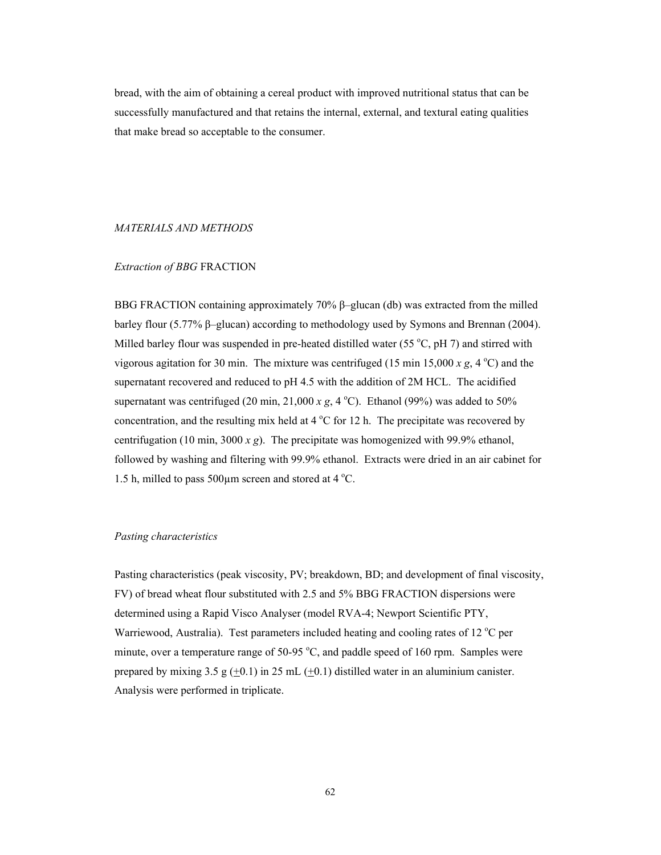bread, with the aim of obtaining a cereal product with improved nutritional status that can be successfully manufactured and that retains the internal, external, and textural eating qualities that make bread so acceptable to the consumer.

#### *MATERIALS AND METHODS*

# *Extraction of BBG* FRACTION

BBG FRACTION containing approximately 70% β–glucan (db) was extracted from the milled barley flour (5.77% β–glucan) according to methodology used by Symons and Brennan (2004). Milled barley flour was suspended in pre-heated distilled water (55 $\degree$ C, pH 7) and stirred with vigorous agitation for 30 min. The mixture was centrifuged (15 min 15,000  $x$  g, 4 °C) and the supernatant recovered and reduced to pH 4.5 with the addition of 2M HCL. The acidified supernatant was centrifuged (20 min,  $21,000 \, x \, g$ , 4 °C). Ethanol (99%) was added to 50% concentration, and the resulting mix held at  $4^{\circ}$ C for 12 h. The precipitate was recovered by centrifugation (10 min, 3000 *x g*). The precipitate was homogenized with 99.9% ethanol, followed by washing and filtering with 99.9% ethanol. Extracts were dried in an air cabinet for 1.5 h, milled to pass 500 $\mu$ m screen and stored at 4 °C.

# *Pasting characteristics*

Pasting characteristics (peak viscosity, PV; breakdown, BD; and development of final viscosity, FV) of bread wheat flour substituted with 2.5 and 5% BBG FRACTION dispersions were determined using a Rapid Visco Analyser (model RVA-4; Newport Scientific PTY, Warriewood, Australia). Test parameters included heating and cooling rates of 12 °C per minute, over a temperature range of  $50-95\degree C$ , and paddle speed of 160 rpm. Samples were prepared by mixing 3.5 g  $(+0.1)$  in 25 mL  $(+0.1)$  distilled water in an aluminium canister. Analysis were performed in triplicate.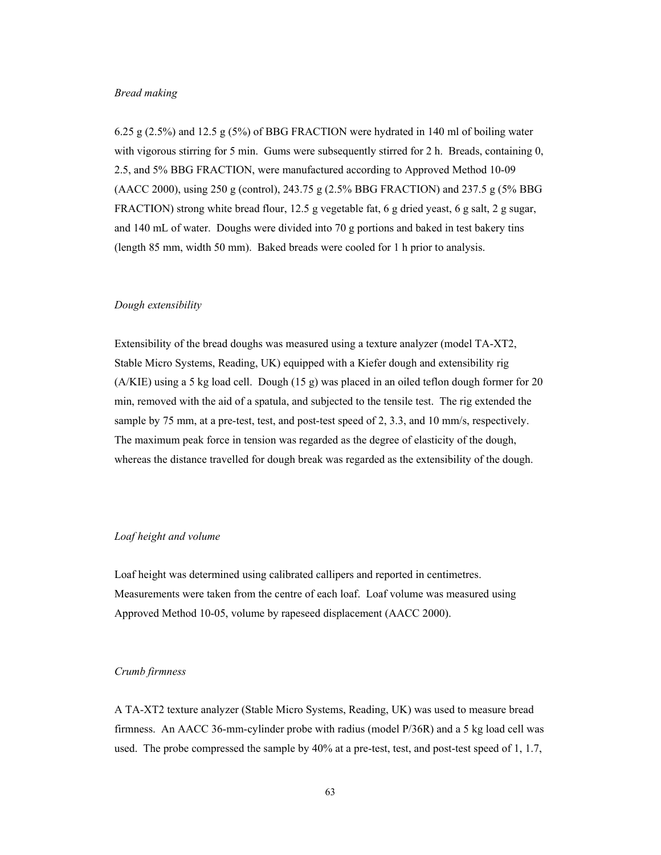### *Bread making*

6.25 g (2.5%) and 12.5 g (5%) of BBG FRACTION were hydrated in 140 ml of boiling water with vigorous stirring for 5 min. Gums were subsequently stirred for 2 h. Breads, containing 0, 2.5, and 5% BBG FRACTION, were manufactured according to Approved Method 10-09 (AACC 2000), using 250 g (control), 243.75 g (2.5% BBG FRACTION) and 237.5 g (5% BBG FRACTION) strong white bread flour, 12.5 g vegetable fat, 6 g dried yeast, 6 g salt, 2 g sugar, and 140 mL of water. Doughs were divided into 70 g portions and baked in test bakery tins (length 85 mm, width 50 mm). Baked breads were cooled for 1 h prior to analysis.

#### *Dough extensibility*

Extensibility of the bread doughs was measured using a texture analyzer (model TA-XT2, Stable Micro Systems, Reading, UK) equipped with a Kiefer dough and extensibility rig (A/KIE) using a 5 kg load cell. Dough (15 g) was placed in an oiled teflon dough former for 20 min, removed with the aid of a spatula, and subjected to the tensile test. The rig extended the sample by 75 mm, at a pre-test, test, and post-test speed of 2, 3.3, and 10 mm/s, respectively. The maximum peak force in tension was regarded as the degree of elasticity of the dough, whereas the distance travelled for dough break was regarded as the extensibility of the dough.

# *Loaf height and volume*

Loaf height was determined using calibrated callipers and reported in centimetres. Measurements were taken from the centre of each loaf. Loaf volume was measured using Approved Method 10-05, volume by rapeseed displacement (AACC 2000).

# *Crumb firmness*

A TA-XT2 texture analyzer (Stable Micro Systems, Reading, UK) was used to measure bread firmness. An AACC 36-mm-cylinder probe with radius (model P/36R) and a 5 kg load cell was used. The probe compressed the sample by 40% at a pre-test, test, and post-test speed of 1, 1.7,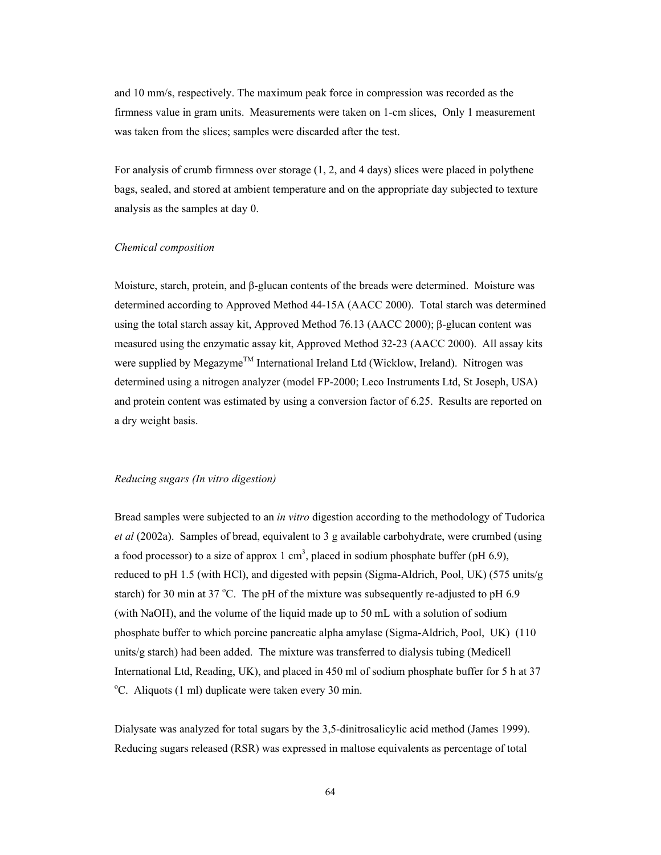and 10 mm/s, respectively. The maximum peak force in compression was recorded as the firmness value in gram units. Measurements were taken on 1-cm slices, Only 1 measurement was taken from the slices; samples were discarded after the test.

For analysis of crumb firmness over storage (1, 2, and 4 days) slices were placed in polythene bags, sealed, and stored at ambient temperature and on the appropriate day subjected to texture analysis as the samples at day 0.

## *Chemical composition*

Moisture, starch, protein, and β-glucan contents of the breads were determined. Moisture was determined according to Approved Method 44-15A (AACC 2000). Total starch was determined using the total starch assay kit, Approved Method 76.13 (AACC 2000); β-glucan content was measured using the enzymatic assay kit, Approved Method 32-23 (AACC 2000). All assay kits were supplied by Megazyme<sup>TM</sup> International Ireland Ltd (Wicklow, Ireland). Nitrogen was determined using a nitrogen analyzer (model FP-2000; Leco Instruments Ltd, St Joseph, USA) and protein content was estimated by using a conversion factor of 6.25. Results are reported on a dry weight basis.

### *Reducing sugars (In vitro digestion)*

Bread samples were subjected to an *in vitro* digestion according to the methodology of Tudorica *et al* (2002a). Samples of bread, equivalent to 3 g available carbohydrate, were crumbed (using a food processor) to a size of approx 1 cm<sup>3</sup>, placed in sodium phosphate buffer (pH 6.9), reduced to pH 1.5 (with HCl), and digested with pepsin (Sigma-Aldrich, Pool, UK) (575 units/g starch) for 30 min at 37 °C. The pH of the mixture was subsequently re-adjusted to pH  $6.9$ (with NaOH), and the volume of the liquid made up to 50 mL with a solution of sodium phosphate buffer to which porcine pancreatic alpha amylase (Sigma-Aldrich, Pool, UK) (110 units/g starch) had been added. The mixture was transferred to dialysis tubing (Medicell International Ltd, Reading, UK), and placed in 450 ml of sodium phosphate buffer for 5 h at 37 <sup>o</sup>C. Aliquots (1 ml) duplicate were taken every 30 min.

Dialysate was analyzed for total sugars by the 3,5-dinitrosalicylic acid method (James 1999). Reducing sugars released (RSR) was expressed in maltose equivalents as percentage of total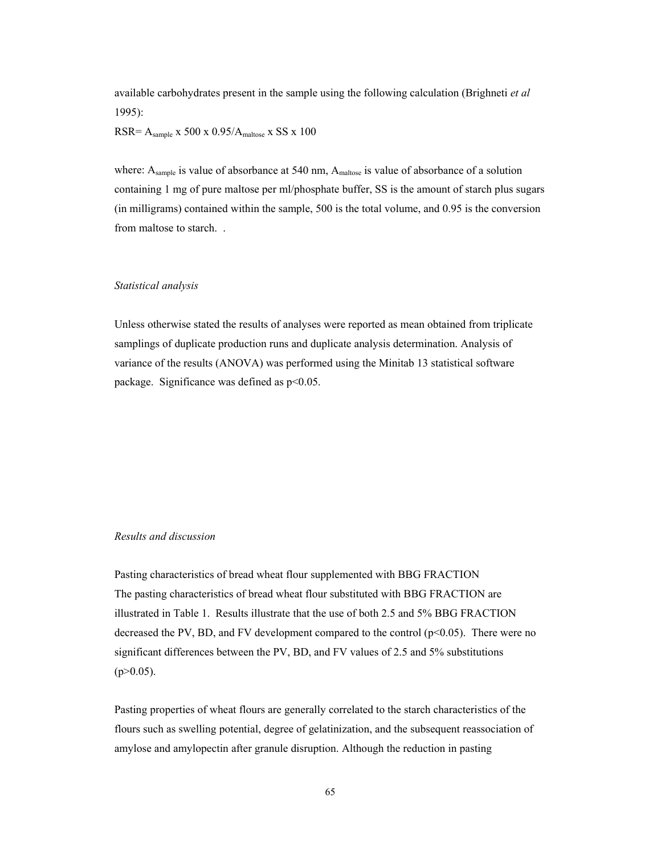available carbohydrates present in the sample using the following calculation (Brighneti *et al* 1995):

 $RSR = A<sub>sample</sub>$  x 500 x 0.95/ $A<sub>maltose</sub>$  x SS x 100

where:  $A_{sample}$  is value of absorbance at 540 nm,  $A_{maltose}$  is value of absorbance of a solution containing 1 mg of pure maltose per ml/phosphate buffer, SS is the amount of starch plus sugars (in milligrams) contained within the sample, 500 is the total volume, and 0.95 is the conversion from maltose to starch. .

# *Statistical analysis*

Unless otherwise stated the results of analyses were reported as mean obtained from triplicate samplings of duplicate production runs and duplicate analysis determination. Analysis of variance of the results (ANOVA) was performed using the Minitab 13 statistical software package. Significance was defined as p<0.05.

## *Results and discussion*

Pasting characteristics of bread wheat flour supplemented with BBG FRACTION The pasting characteristics of bread wheat flour substituted with BBG FRACTION are illustrated in Table 1. Results illustrate that the use of both 2.5 and 5% BBG FRACTION decreased the PV, BD, and FV development compared to the control  $(p<0.05)$ . There were no significant differences between the PV, BD, and FV values of 2.5 and 5% substitutions  $(p>0.05)$ .

Pasting properties of wheat flours are generally correlated to the starch characteristics of the flours such as swelling potential, degree of gelatinization, and the subsequent reassociation of amylose and amylopectin after granule disruption. Although the reduction in pasting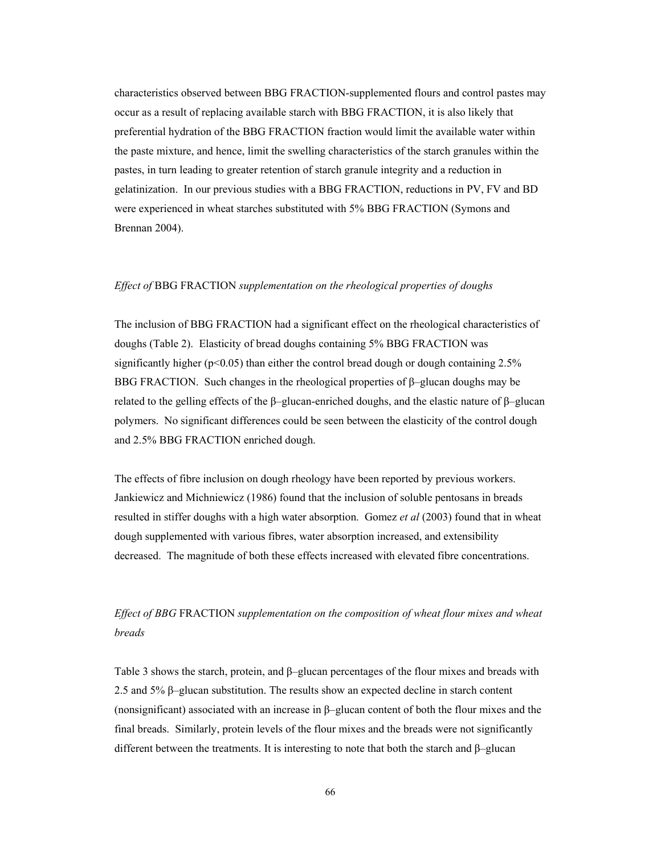characteristics observed between BBG FRACTION-supplemented flours and control pastes may occur as a result of replacing available starch with BBG FRACTION, it is also likely that preferential hydration of the BBG FRACTION fraction would limit the available water within the paste mixture, and hence, limit the swelling characteristics of the starch granules within the pastes, in turn leading to greater retention of starch granule integrity and a reduction in gelatinization. In our previous studies with a BBG FRACTION, reductions in PV, FV and BD were experienced in wheat starches substituted with 5% BBG FRACTION (Symons and Brennan 2004).

# *Effect of* BBG FRACTION *supplementation on the rheological properties of doughs*

The inclusion of BBG FRACTION had a significant effect on the rheological characteristics of doughs (Table 2). Elasticity of bread doughs containing 5% BBG FRACTION was significantly higher ( $p<0.05$ ) than either the control bread dough or dough containing 2.5% BBG FRACTION. Such changes in the rheological properties of  $β$ –glucan doughs may be related to the gelling effects of the β–glucan-enriched doughs, and the elastic nature of β–glucan polymers. No significant differences could be seen between the elasticity of the control dough and 2.5% BBG FRACTION enriched dough.

The effects of fibre inclusion on dough rheology have been reported by previous workers. Jankiewicz and Michniewicz (1986) found that the inclusion of soluble pentosans in breads resulted in stiffer doughs with a high water absorption. Gomez *et al* (2003) found that in wheat dough supplemented with various fibres, water absorption increased, and extensibility decreased. The magnitude of both these effects increased with elevated fibre concentrations.

# *Effect of BBG* FRACTION *supplementation on the composition of wheat flour mixes and wheat breads*

Table 3 shows the starch, protein, and  $\beta$ –glucan percentages of the flour mixes and breads with 2.5 and 5% β–glucan substitution. The results show an expected decline in starch content (nonsignificant) associated with an increase in β–glucan content of both the flour mixes and the final breads. Similarly, protein levels of the flour mixes and the breads were not significantly different between the treatments. It is interesting to note that both the starch and β–glucan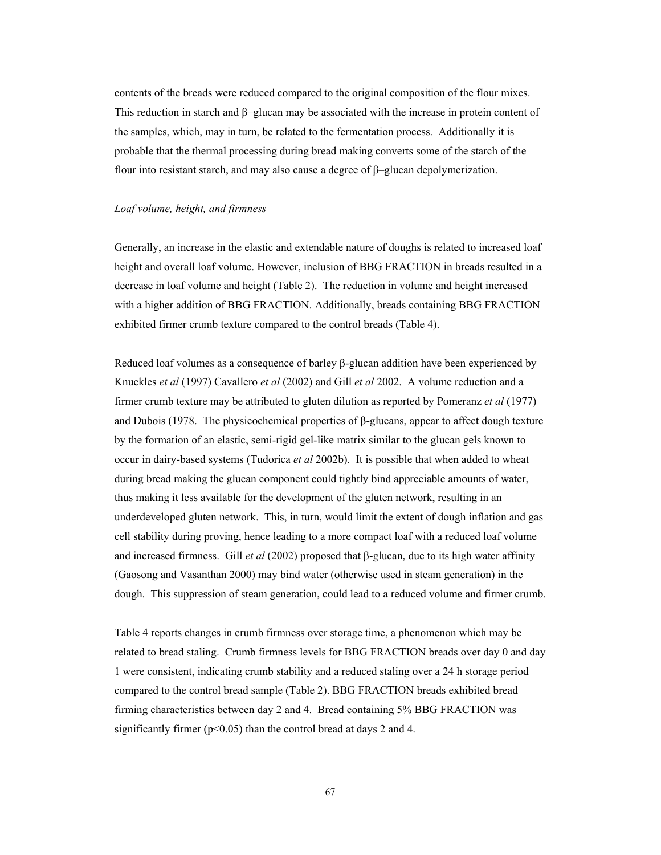contents of the breads were reduced compared to the original composition of the flour mixes. This reduction in starch and β–glucan may be associated with the increase in protein content of the samples, which, may in turn, be related to the fermentation process. Additionally it is probable that the thermal processing during bread making converts some of the starch of the flour into resistant starch, and may also cause a degree of  $\beta$ –glucan depolymerization.

## *Loaf volume, height, and firmness*

Generally, an increase in the elastic and extendable nature of doughs is related to increased loaf height and overall loaf volume. However, inclusion of BBG FRACTION in breads resulted in a decrease in loaf volume and height (Table 2). The reduction in volume and height increased with a higher addition of BBG FRACTION. Additionally, breads containing BBG FRACTION exhibited firmer crumb texture compared to the control breads (Table 4).

Reduced loaf volumes as a consequence of barley β-glucan addition have been experienced by Knuckles *et al* (1997) Cavallero *et al* (2002) and Gill *et al* 2002. A volume reduction and a firmer crumb texture may be attributed to gluten dilution as reported by Pomeranz *et al* (1977) and Dubois (1978. The physicochemical properties of  $\beta$ -glucans, appear to affect dough texture by the formation of an elastic, semi-rigid gel-like matrix similar to the glucan gels known to occur in dairy-based systems (Tudorica *et al* 2002b). It is possible that when added to wheat during bread making the glucan component could tightly bind appreciable amounts of water, thus making it less available for the development of the gluten network, resulting in an underdeveloped gluten network. This, in turn, would limit the extent of dough inflation and gas cell stability during proving, hence leading to a more compact loaf with a reduced loaf volume and increased firmness. Gill *et al* (2002) proposed that β-glucan, due to its high water affinity (Gaosong and Vasanthan 2000) may bind water (otherwise used in steam generation) in the dough. This suppression of steam generation, could lead to a reduced volume and firmer crumb.

Table 4 reports changes in crumb firmness over storage time, a phenomenon which may be related to bread staling. Crumb firmness levels for BBG FRACTION breads over day 0 and day 1 were consistent, indicating crumb stability and a reduced staling over a 24 h storage period compared to the control bread sample (Table 2). BBG FRACTION breads exhibited bread firming characteristics between day 2 and 4. Bread containing 5% BBG FRACTION was significantly firmer  $(p<0.05)$  than the control bread at days 2 and 4.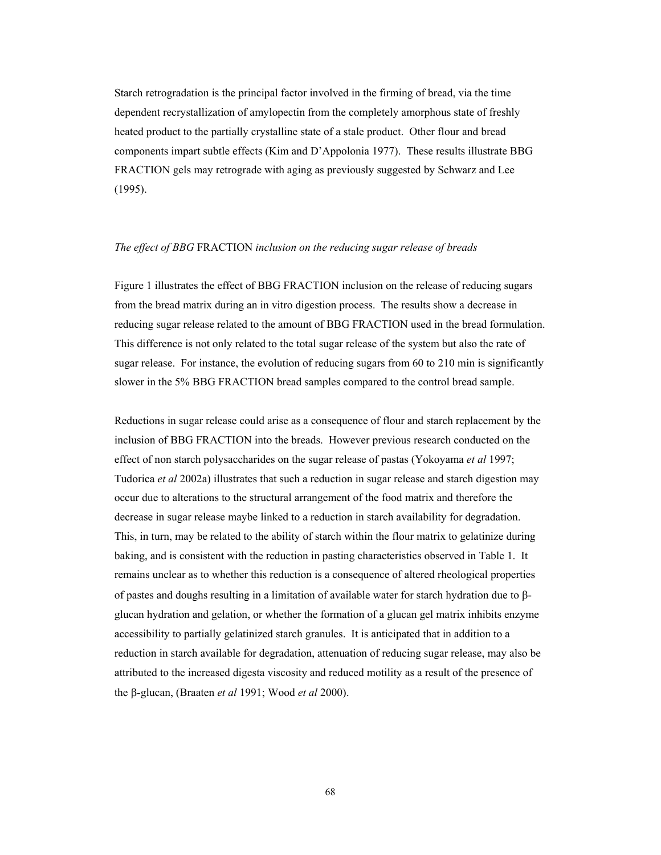Starch retrogradation is the principal factor involved in the firming of bread, via the time dependent recrystallization of amylopectin from the completely amorphous state of freshly heated product to the partially crystalline state of a stale product. Other flour and bread components impart subtle effects (Kim and D'Appolonia 1977). These results illustrate BBG FRACTION gels may retrograde with aging as previously suggested by Schwarz and Lee (1995).

#### *The effect of BBG* FRACTION *inclusion on the reducing sugar release of breads*

Figure 1 illustrates the effect of BBG FRACTION inclusion on the release of reducing sugars from the bread matrix during an in vitro digestion process. The results show a decrease in reducing sugar release related to the amount of BBG FRACTION used in the bread formulation. This difference is not only related to the total sugar release of the system but also the rate of sugar release. For instance, the evolution of reducing sugars from 60 to 210 min is significantly slower in the 5% BBG FRACTION bread samples compared to the control bread sample.

Reductions in sugar release could arise as a consequence of flour and starch replacement by the inclusion of BBG FRACTION into the breads. However previous research conducted on the effect of non starch polysaccharides on the sugar release of pastas (Yokoyama *et al* 1997; Tudorica *et al* 2002a) illustrates that such a reduction in sugar release and starch digestion may occur due to alterations to the structural arrangement of the food matrix and therefore the decrease in sugar release maybe linked to a reduction in starch availability for degradation. This, in turn, may be related to the ability of starch within the flour matrix to gelatinize during baking, and is consistent with the reduction in pasting characteristics observed in Table 1. It remains unclear as to whether this reduction is a consequence of altered rheological properties of pastes and doughs resulting in a limitation of available water for starch hydration due to βglucan hydration and gelation, or whether the formation of a glucan gel matrix inhibits enzyme accessibility to partially gelatinized starch granules. It is anticipated that in addition to a reduction in starch available for degradation, attenuation of reducing sugar release, may also be attributed to the increased digesta viscosity and reduced motility as a result of the presence of the β-glucan, (Braaten *et al* 1991; Wood *et al* 2000).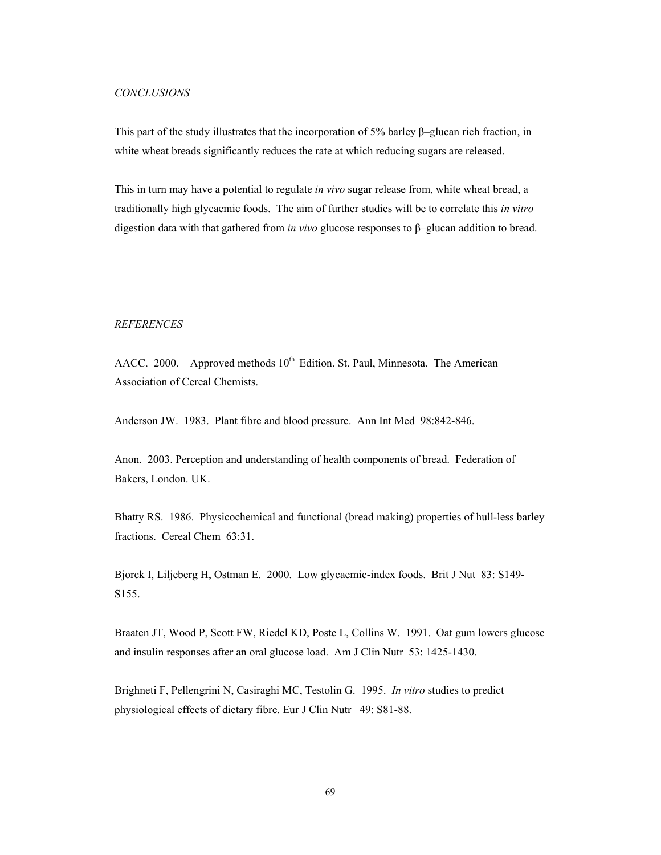#### *CONCLUSIONS*

This part of the study illustrates that the incorporation of 5% barley  $\beta$ –glucan rich fraction, in white wheat breads significantly reduces the rate at which reducing sugars are released.

This in turn may have a potential to regulate *in vivo* sugar release from, white wheat bread, a traditionally high glycaemic foods. The aim of further studies will be to correlate this *in vitro* digestion data with that gathered from *in vivo* glucose responses to β–glucan addition to bread.

## *REFERENCES*

AACC. 2000. Approved methods 10<sup>th</sup> Edition. St. Paul, Minnesota. The American Association of Cereal Chemists.

Anderson JW. 1983. Plant fibre and blood pressure. Ann Int Med 98:842-846.

Anon. 2003. Perception and understanding of health components of bread. Federation of Bakers, London. UK.

Bhatty RS. 1986. Physicochemical and functional (bread making) properties of hull-less barley fractions. Cereal Chem 63:31.

Bjorck I, Liljeberg H, Ostman E. 2000. Low glycaemic-index foods. Brit J Nut 83: S149- S155.

Braaten JT, Wood P, Scott FW, Riedel KD, Poste L, Collins W. 1991. Oat gum lowers glucose and insulin responses after an oral glucose load. Am J Clin Nutr 53: 1425-1430.

Brighneti F, Pellengrini N, Casiraghi MC, Testolin G. 1995. *In vitro* studies to predict physiological effects of dietary fibre. Eur J Clin Nutr 49: S81-88.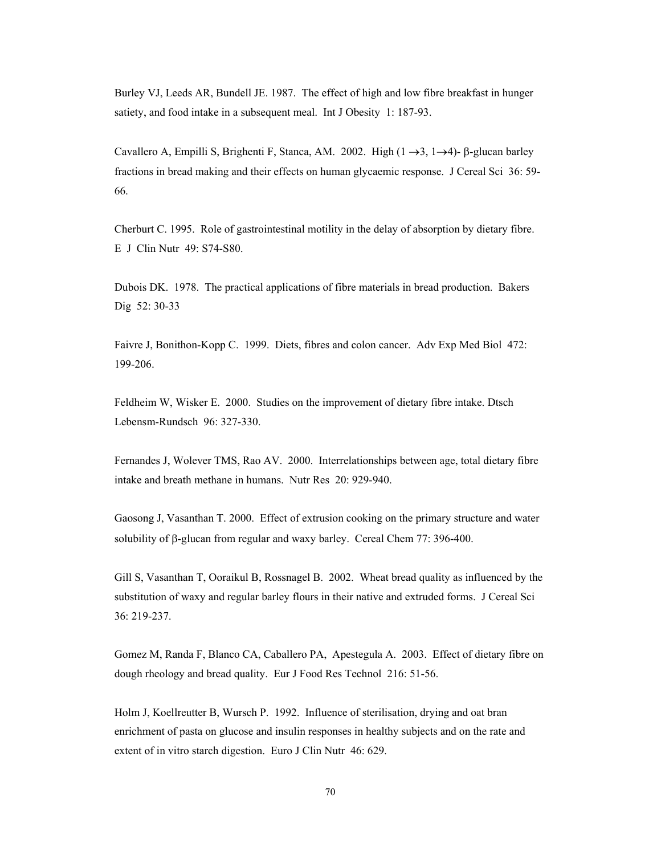Burley VJ, Leeds AR, Bundell JE. 1987. The effect of high and low fibre breakfast in hunger satiety, and food intake in a subsequent meal. Int J Obesity 1: 187-93.

Cavallero A, Empilli S, Brighenti F, Stanca, AM. 2002. High  $(1 \rightarrow 3, 1 \rightarrow 4)$ - β-glucan barley fractions in bread making and their effects on human glycaemic response. J Cereal Sci 36: 59- 66.

Cherburt C. 1995. Role of gastrointestinal motility in the delay of absorption by dietary fibre. E J Clin Nutr 49: S74-S80.

Dubois DK. 1978. The practical applications of fibre materials in bread production. Bakers Dig 52: 30-33

Faivre J, Bonithon-Kopp C. 1999. Diets, fibres and colon cancer. Adv Exp Med Biol 472: 199-206.

Feldheim W, Wisker E. 2000. Studies on the improvement of dietary fibre intake. Dtsch Lebensm-Rundsch 96: 327-330.

Fernandes J, Wolever TMS, Rao AV. 2000. Interrelationships between age, total dietary fibre intake and breath methane in humans. Nutr Res 20: 929-940.

Gaosong J, Vasanthan T. 2000. Effect of extrusion cooking on the primary structure and water solubility of β-glucan from regular and waxy barley. Cereal Chem 77: 396-400.

Gill S, Vasanthan T, Ooraikul B, Rossnagel B. 2002. Wheat bread quality as influenced by the substitution of waxy and regular barley flours in their native and extruded forms. J Cereal Sci 36: 219-237.

Gomez M, Randa F, Blanco CA, Caballero PA, Apestegula A. 2003. Effect of dietary fibre on dough rheology and bread quality. Eur J Food Res Technol 216: 51-56.

Holm J, Koellreutter B, Wursch P. 1992. Influence of sterilisation, drying and oat bran enrichment of pasta on glucose and insulin responses in healthy subjects and on the rate and extent of in vitro starch digestion. Euro J Clin Nutr 46: 629.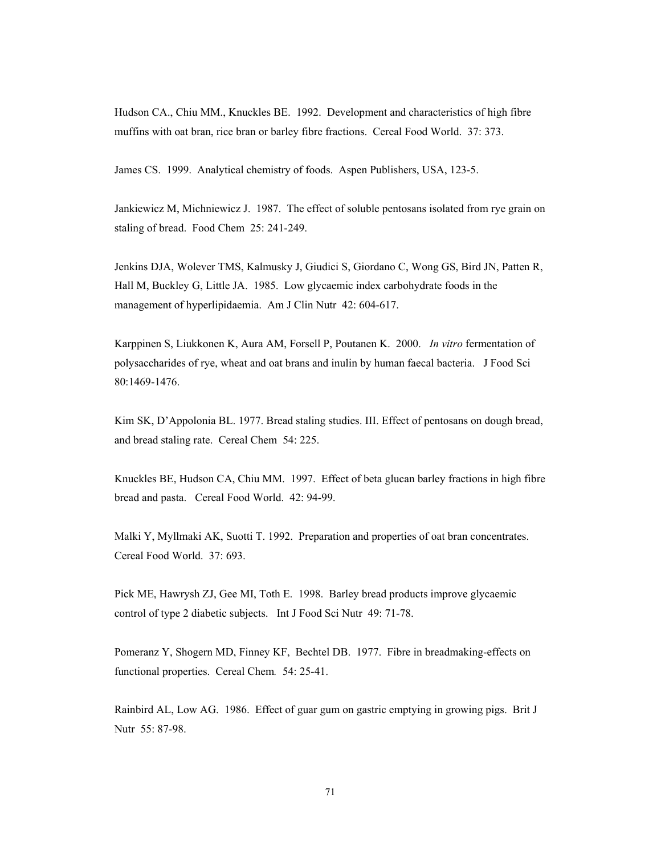Hudson CA., Chiu MM., Knuckles BE. 1992. Development and characteristics of high fibre muffins with oat bran, rice bran or barley fibre fractions. Cereal Food World. 37: 373.

James CS. 1999. Analytical chemistry of foods. Aspen Publishers, USA, 123-5.

Jankiewicz M, Michniewicz J. 1987. The effect of soluble pentosans isolated from rye grain on staling of bread. Food Chem 25: 241-249.

Jenkins DJA, Wolever TMS, Kalmusky J, Giudici S, Giordano C, Wong GS, Bird JN, Patten R, Hall M, Buckley G, Little JA. 1985. Low glycaemic index carbohydrate foods in the management of hyperlipidaemia. Am J Clin Nutr 42: 604-617.

Karppinen S, Liukkonen K, Aura AM, Forsell P, Poutanen K. 2000. *In vitro* fermentation of polysaccharides of rye, wheat and oat brans and inulin by human faecal bacteria. J Food Sci 80:1469-1476.

Kim SK, D'Appolonia BL. 1977. Bread staling studies. III. Effect of pentosans on dough bread, and bread staling rate. Cereal Chem 54: 225.

Knuckles BE, Hudson CA, Chiu MM. 1997. Effect of beta glucan barley fractions in high fibre bread and pasta. Cereal Food World. 42: 94-99.

Malki Y, Myllmaki AK, Suotti T. 1992. Preparation and properties of oat bran concentrates. Cereal Food World. 37: 693.

Pick ME, Hawrysh ZJ, Gee MI, Toth E. 1998. Barley bread products improve glycaemic control of type 2 diabetic subjects. Int J Food Sci Nutr 49: 71-78.

Pomeranz Y, Shogern MD, Finney KF, Bechtel DB. 1977. Fibre in breadmaking-effects on functional properties. Cereal Chem*.* 54: 25-41.

Rainbird AL, Low AG. 1986. Effect of guar gum on gastric emptying in growing pigs. Brit J Nutr 55: 87-98.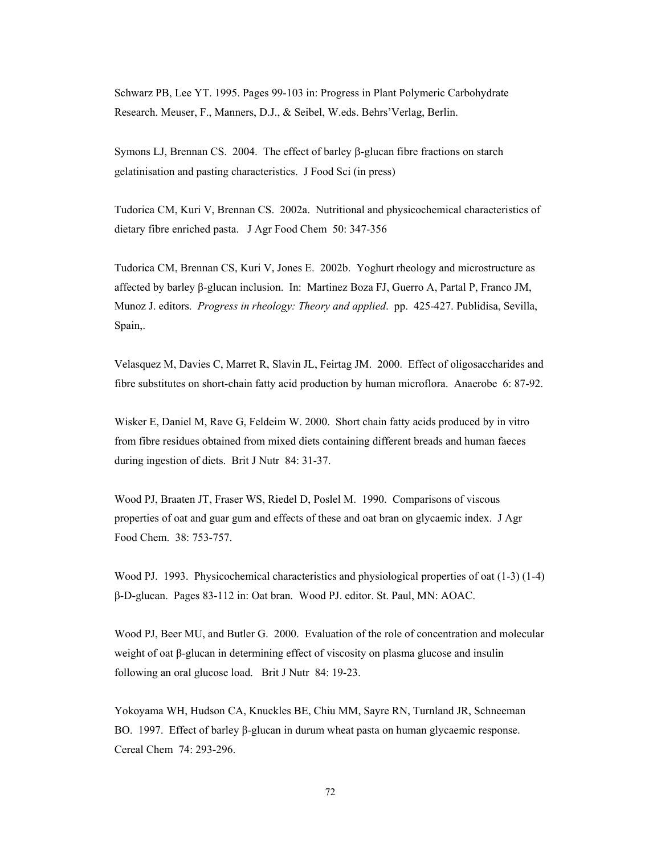Schwarz PB, Lee YT. 1995. Pages 99-103 in: Progress in Plant Polymeric Carbohydrate Research. Meuser, F., Manners, D.J., & Seibel, W.eds. Behrs'Verlag, Berlin.

Symons LJ, Brennan CS. 2004. The effect of barley β-glucan fibre fractions on starch gelatinisation and pasting characteristics. J Food Sci (in press)

Tudorica CM, Kuri V, Brennan CS. 2002a. Nutritional and physicochemical characteristics of dietary fibre enriched pasta. J Agr Food Chem 50: 347-356

Tudorica CM, Brennan CS, Kuri V, Jones E. 2002b. Yoghurt rheology and microstructure as affected by barley β-glucan inclusion. In: Martinez Boza FJ, Guerro A, Partal P, Franco JM, Munoz J. editors. *Progress in rheology: Theory and applied*. pp. 425-427. Publidisa, Sevilla, Spain,.

Velasquez M, Davies C, Marret R, Slavin JL, Feirtag JM. 2000. Effect of oligosaccharides and fibre substitutes on short-chain fatty acid production by human microflora. Anaerobe 6: 87-92.

Wisker E, Daniel M, Rave G, Feldeim W. 2000. Short chain fatty acids produced by in vitro from fibre residues obtained from mixed diets containing different breads and human faeces during ingestion of diets. Brit J Nutr 84: 31-37.

Wood PJ, Braaten JT, Fraser WS, Riedel D, Poslel M. 1990. Comparisons of viscous properties of oat and guar gum and effects of these and oat bran on glycaemic index. J Agr Food Chem. 38: 753-757.

Wood PJ. 1993. Physicochemical characteristics and physiological properties of oat (1-3) (1-4) β-D-glucan. Pages 83-112 in: Oat bran. Wood PJ. editor. St. Paul, MN: AOAC.

Wood PJ, Beer MU, and Butler G. 2000. Evaluation of the role of concentration and molecular weight of oat β-glucan in determining effect of viscosity on plasma glucose and insulin following an oral glucose load. Brit J Nutr 84: 19-23.

Yokoyama WH, Hudson CA, Knuckles BE, Chiu MM, Sayre RN, Turnland JR, Schneeman BO. 1997. Effect of barley β-glucan in durum wheat pasta on human glycaemic response. Cereal Chem 74: 293-296.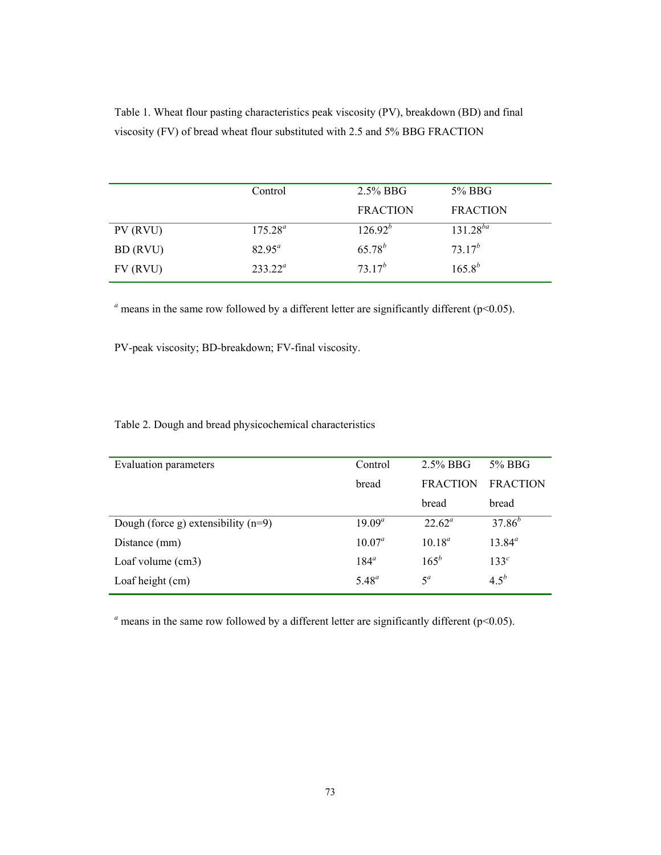Table 1. Wheat flour pasting characteristics peak viscosity (PV), breakdown (BD) and final viscosity (FV) of bread wheat flour substituted with 2.5 and 5% BBG FRACTION

|          | Control    | $2.5\%$ BBG     | 5% BBG          |
|----------|------------|-----------------|-----------------|
|          |            | <b>FRACTION</b> | <b>FRACTION</b> |
| PV (RVU) | $175.28^a$ | $126.92^{b}$    | $131.28^{ba}$   |
| BD (RVU) | $82.95^a$  | $65.78^{b}$     | $73.17^{b}$     |
| FV (RVU) | $233.22^a$ | $73.17^{b}$     | $165.8^{b}$     |

 $a$  means in the same row followed by a different letter are significantly different ( $p$ <0.05).

PV-peak viscosity; BD-breakdown; FV-final viscosity.

Table 2. Dough and bread physicochemical characteristics

| Evaluation parameters                 | Control    | $2.5\%$ BBG     | 5% BBG           |
|---------------------------------------|------------|-----------------|------------------|
|                                       | bread      | <b>FRACTION</b> | <b>FRACTION</b>  |
|                                       |            | bread           | bread            |
| Dough (force g) extensibility $(n=9)$ | $19.09^a$  | $22.62^{\circ}$ | $37.86^{b}$      |
| Distance (mm)                         | $10.07^a$  | $10^{18}$       | $13.84^{a}$      |
| Loaf volume (cm3)                     | $184^a$    | $165^{b}$       | 133 <sup>c</sup> |
| Loaf height (cm)                      | $5.48^{a}$ | $5^a$           | 4.5 <sup>b</sup> |
|                                       |            |                 |                  |

 $a$  means in the same row followed by a different letter are significantly different ( $p$ <0.05).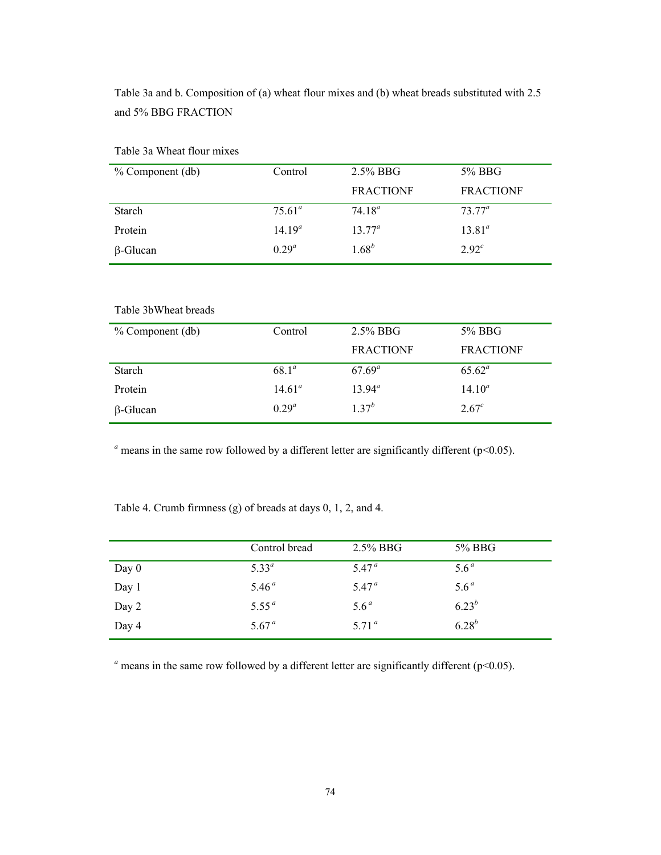Table 3a and b. Composition of (a) wheat flour mixes and (b) wheat breads substituted with 2.5 and 5% BBG FRACTION

| $%$ Component (db) | Control     | $2.5\%$ BBG      | 5% BBG            |
|--------------------|-------------|------------------|-------------------|
|                    |             | <b>FRACTIONF</b> | <b>FRACTIONF</b>  |
| <b>Starch</b>      | $75.61^a$   | 74 $18^a$        | $7377^{\circ}$    |
| Protein            | $14.19^{a}$ | $13.77^a$        | $13.81^{a}$       |
| $\beta$ -Glucan    | $0.29^{a}$  | $1.68^{b}$       | 2.92 <sup>c</sup> |

Table 3a Wheat flour mixes

Table 3bWheat breads

| $%$ Component (db) | Control        | $2.5\%$ BBG      | 5% BBG            |
|--------------------|----------------|------------------|-------------------|
|                    |                | <b>FRACTIONF</b> | <b>FRACTIONF</b>  |
| <b>Starch</b>      | $68.1^{\circ}$ | $67.69^a$        | $65.62^a$         |
| Protein            | $14.61^a$      | $13.94^{\circ}$  | $14.10^a$         |
| $\beta$ -Glucan    | $0.29^{a}$     | $1, 37^{b}$      | 2.67 <sup>c</sup> |

 $a<sup>a</sup>$  means in the same row followed by a different letter are significantly different ( $p$ <0.05).

Table 4. Crumb firmness (g) of breads at days 0, 1, 2, and 4.

|         | Control bread     | $2.5\%$ BBG       | 5% BBG           |
|---------|-------------------|-------------------|------------------|
| Day $0$ | $5.33^{a}$        | 5.47 <sup>a</sup> | 5.6 <sup>a</sup> |
| Day 1   | 5.46 <sup>a</sup> | 5.47 <sup>a</sup> | 5.6 <sup>a</sup> |
| Day 2   | 5.55 <sup>a</sup> | 5.6 <sup>a</sup>  | $6.23^{b}$       |
| Day 4   | 5.67 <sup>a</sup> | 5.71 <sup>a</sup> | $6.28^{b}$       |

 $a$  means in the same row followed by a different letter are significantly different ( $p$ <0.05).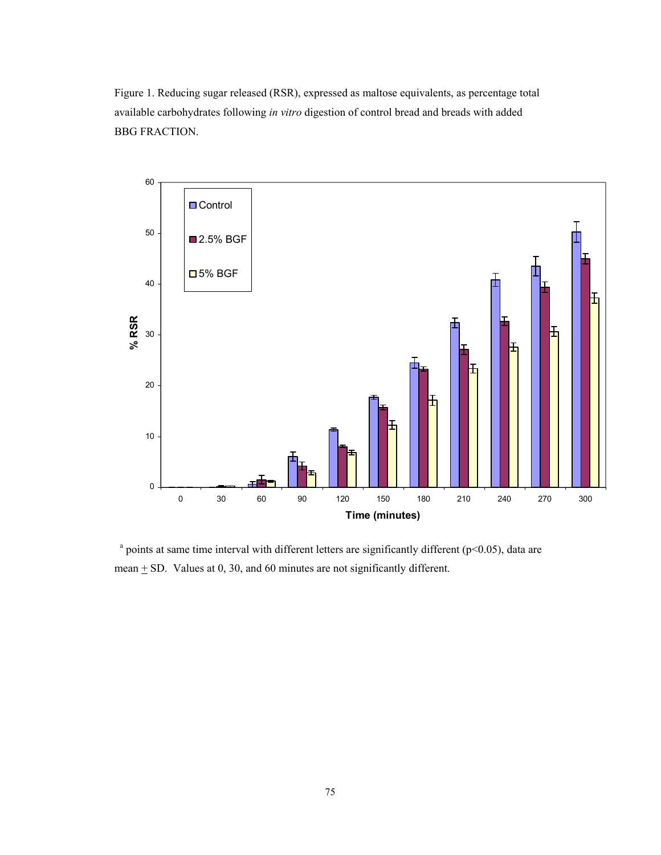Figure 1. Reducing sugar released (RSR), expressed as maltose equivalents, as percentage total available carbohydrates following *in vitro* digestion of control bread and breads with added BBG FRACTION.



 $^{\circ}$  points at same time interval with different letters are significantly different (p<0.05), data are mean  $\pm$  SD. Values at 0, 30, and 60 minutes are not significantly different.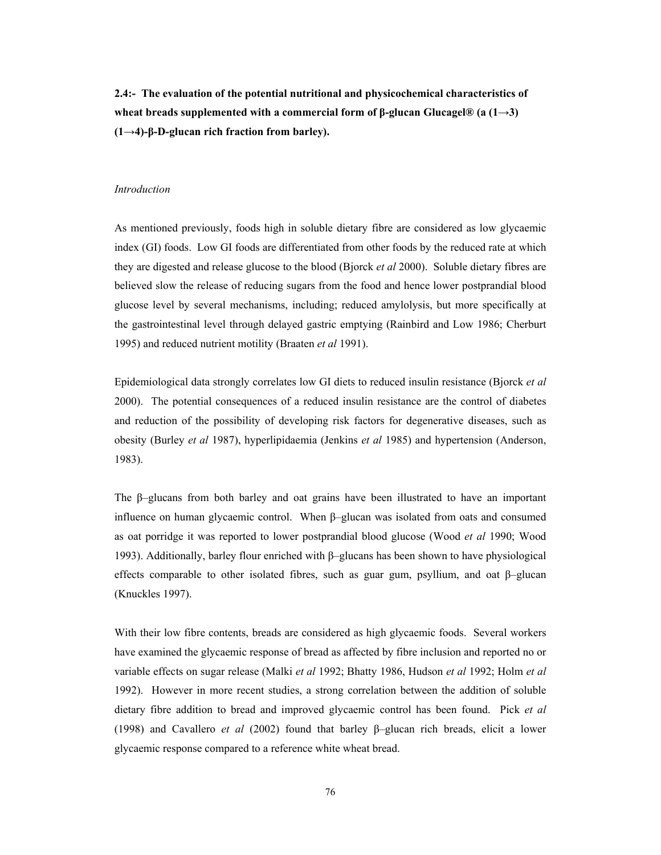**2.4:- The evaluation of the potential nutritional and physicochemical characteristics of wheat breads supplemented with a commercial form of β-glucan Glucagel® (a (1→3) (1→4)-β-D-glucan rich fraction from barley).** 

#### *Introduction*

As mentioned previously, foods high in soluble dietary fibre are considered as low glycaemic index (GI) foods. Low GI foods are differentiated from other foods by the reduced rate at which they are digested and release glucose to the blood (Bjorck *et al* 2000). Soluble dietary fibres are believed slow the release of reducing sugars from the food and hence lower postprandial blood glucose level by several mechanisms, including; reduced amylolysis, but more specifically at the gastrointestinal level through delayed gastric emptying (Rainbird and Low 1986; Cherburt 1995) and reduced nutrient motility (Braaten *et al* 1991).

Epidemiological data strongly correlates low GI diets to reduced insulin resistance (Bjorck *et al* 2000). The potential consequences of a reduced insulin resistance are the control of diabetes and reduction of the possibility of developing risk factors for degenerative diseases, such as obesity (Burley *et al* 1987), hyperlipidaemia (Jenkins *et al* 1985) and hypertension (Anderson, 1983).

The  $\beta$ -glucans from both barley and oat grains have been illustrated to have an important influence on human glycaemic control. When β–glucan was isolated from oats and consumed as oat porridge it was reported to lower postprandial blood glucose (Wood *et al* 1990; Wood 1993). Additionally, barley flour enriched with β–glucans has been shown to have physiological effects comparable to other isolated fibres, such as guar gum, psyllium, and oat β–glucan (Knuckles 1997).

With their low fibre contents, breads are considered as high glycaemic foods. Several workers have examined the glycaemic response of bread as affected by fibre inclusion and reported no or variable effects on sugar release (Malki *et al* 1992; Bhatty 1986, Hudson *et al* 1992; Holm *et al* 1992). However in more recent studies, a strong correlation between the addition of soluble dietary fibre addition to bread and improved glycaemic control has been found. Pick *et al* (1998) and Cavallero *et al* (2002) found that barley β–glucan rich breads, elicit a lower glycaemic response compared to a reference white wheat bread.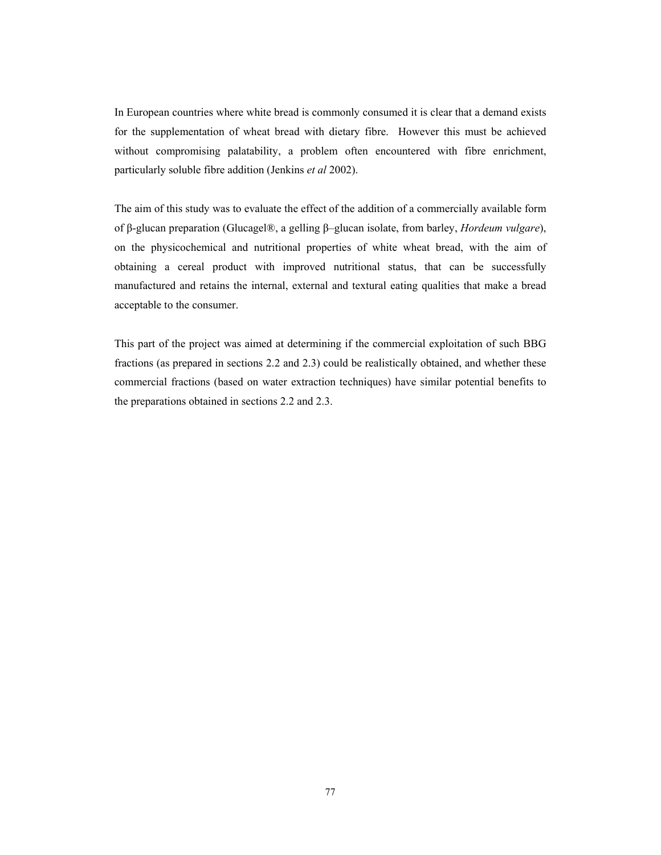In European countries where white bread is commonly consumed it is clear that a demand exists for the supplementation of wheat bread with dietary fibre. However this must be achieved without compromising palatability, a problem often encountered with fibre enrichment, particularly soluble fibre addition (Jenkins *et al* 2002).

The aim of this study was to evaluate the effect of the addition of a commercially available form of β-glucan preparation (Glucagel®, a gelling β–glucan isolate, from barley, *Hordeum vulgare*), on the physicochemical and nutritional properties of white wheat bread, with the aim of obtaining a cereal product with improved nutritional status, that can be successfully manufactured and retains the internal, external and textural eating qualities that make a bread acceptable to the consumer.

This part of the project was aimed at determining if the commercial exploitation of such BBG fractions (as prepared in sections 2.2 and 2.3) could be realistically obtained, and whether these commercial fractions (based on water extraction techniques) have similar potential benefits to the preparations obtained in sections 2.2 and 2.3.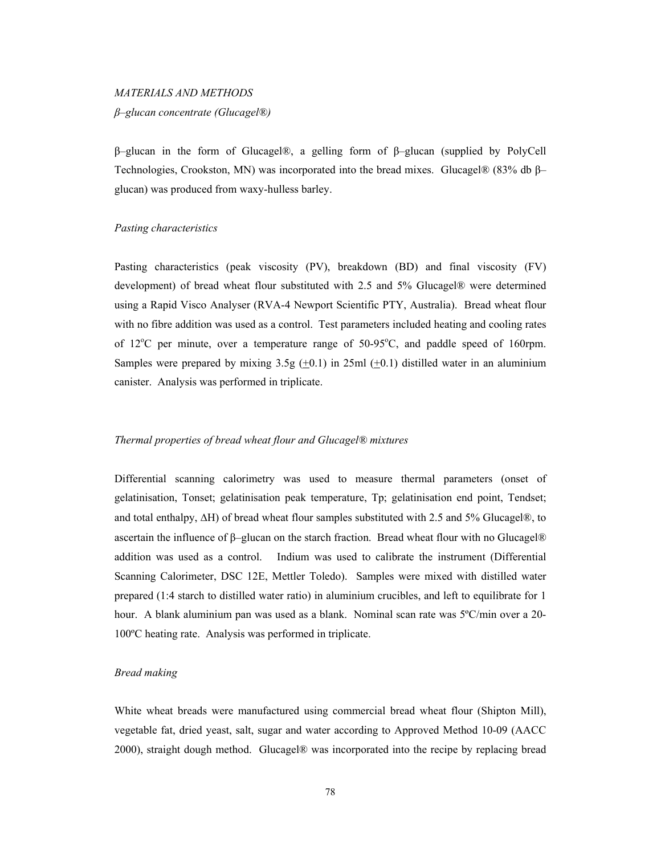# *MATERIALS AND METHODS β–glucan concentrate (Glucagel®)*

β–glucan in the form of Glucagel®, a gelling form of β–glucan (supplied by PolyCell Technologies, Crookston, MN) was incorporated into the bread mixes. Glucagel® (83% db β– glucan) was produced from waxy-hulless barley.

## *Pasting characteristics*

Pasting characteristics (peak viscosity (PV), breakdown (BD) and final viscosity (FV) development) of bread wheat flour substituted with 2.5 and 5% Glucagel® were determined using a Rapid Visco Analyser (RVA-4 Newport Scientific PTY, Australia). Bread wheat flour with no fibre addition was used as a control. Test parameters included heating and cooling rates of  $12^{\circ}$ C per minute, over a temperature range of  $50-95^{\circ}$ C, and paddle speed of 160rpm. Samples were prepared by mixing  $3.5g (+0.1)$  in  $25ml (+0.1)$  distilled water in an aluminium canister. Analysis was performed in triplicate.

# *Thermal properties of bread wheat flour and Glucagel® mixtures*

Differential scanning calorimetry was used to measure thermal parameters (onset of gelatinisation, Tonset; gelatinisation peak temperature, Tp; gelatinisation end point, Tendset; and total enthalpy, ∆H) of bread wheat flour samples substituted with 2.5 and 5% Glucagel®, to ascertain the influence of β–glucan on the starch fraction. Bread wheat flour with no Glucagel® addition was used as a control. Indium was used to calibrate the instrument (Differential Scanning Calorimeter, DSC 12E, Mettler Toledo). Samples were mixed with distilled water prepared (1:4 starch to distilled water ratio) in aluminium crucibles, and left to equilibrate for 1 hour. A blank aluminium pan was used as a blank. Nominal scan rate was 5°C/min over a 20-100ºC heating rate. Analysis was performed in triplicate.

#### *Bread making*

White wheat breads were manufactured using commercial bread wheat flour (Shipton Mill), vegetable fat, dried yeast, salt, sugar and water according to Approved Method 10-09 (AACC 2000), straight dough method. Glucagel® was incorporated into the recipe by replacing bread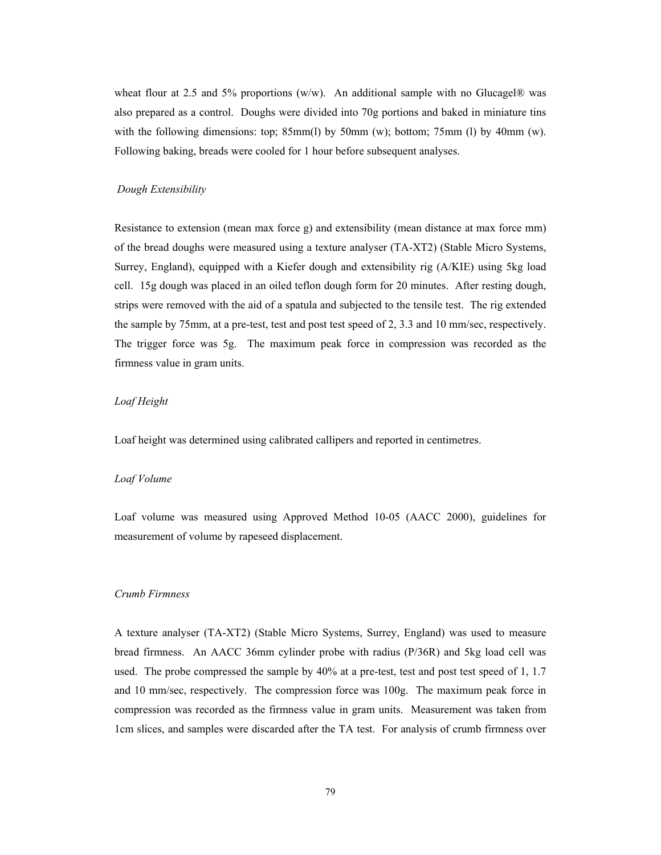wheat flour at 2.5 and 5% proportions (w/w). An additional sample with no Glucagel® was also prepared as a control. Doughs were divided into 70g portions and baked in miniature tins with the following dimensions: top; 85mm(l) by 50mm (w); bottom; 75mm (l) by 40mm (w). Following baking, breads were cooled for 1 hour before subsequent analyses.

## *Dough Extensibility*

Resistance to extension (mean max force g) and extensibility (mean distance at max force mm) of the bread doughs were measured using a texture analyser (TA-XT2) (Stable Micro Systems, Surrey, England), equipped with a Kiefer dough and extensibility rig (A/KIE) using 5kg load cell. 15g dough was placed in an oiled teflon dough form for 20 minutes. After resting dough, strips were removed with the aid of a spatula and subjected to the tensile test. The rig extended the sample by 75mm, at a pre-test, test and post test speed of 2, 3.3 and 10 mm/sec, respectively. The trigger force was 5g. The maximum peak force in compression was recorded as the firmness value in gram units.

## *Loaf Height*

Loaf height was determined using calibrated callipers and reported in centimetres.

## *Loaf Volume*

Loaf volume was measured using Approved Method 10-05 (AACC 2000), guidelines for measurement of volume by rapeseed displacement.

## *Crumb Firmness*

A texture analyser (TA-XT2) (Stable Micro Systems, Surrey, England) was used to measure bread firmness. An AACC 36mm cylinder probe with radius (P/36R) and 5kg load cell was used. The probe compressed the sample by 40% at a pre-test, test and post test speed of 1, 1.7 and 10 mm/sec, respectively. The compression force was 100g. The maximum peak force in compression was recorded as the firmness value in gram units. Measurement was taken from 1cm slices, and samples were discarded after the TA test. For analysis of crumb firmness over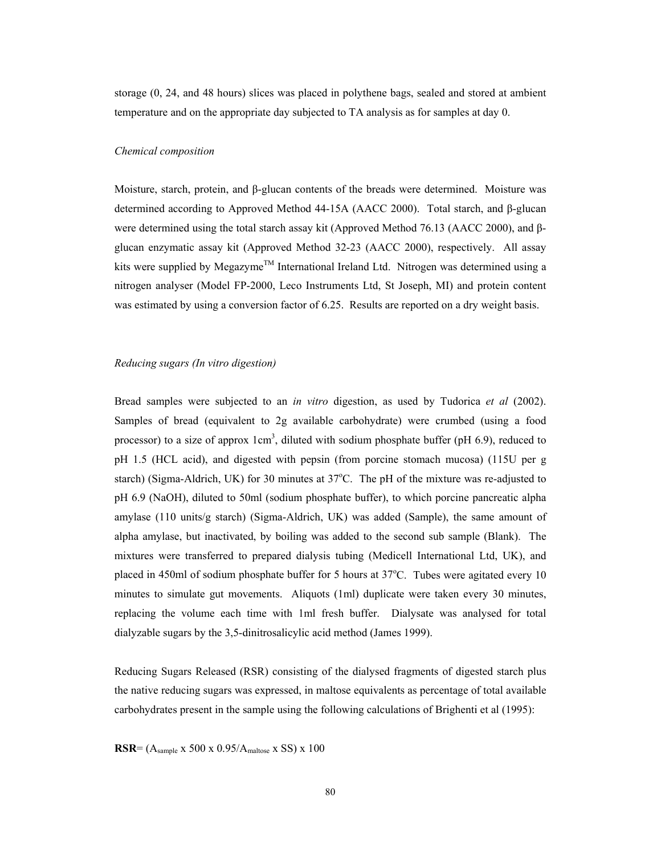storage (0, 24, and 48 hours) slices was placed in polythene bags, sealed and stored at ambient temperature and on the appropriate day subjected to TA analysis as for samples at day 0.

#### *Chemical composition*

Moisture, starch, protein, and β-glucan contents of the breads were determined. Moisture was determined according to Approved Method 44-15A (AACC 2000). Total starch, and β-glucan were determined using the total starch assay kit (Approved Method 76.13 (AACC 2000), and βglucan enzymatic assay kit (Approved Method 32-23 (AACC 2000), respectively. All assay kits were supplied by Megazyme<sup>TM</sup> International Ireland Ltd. Nitrogen was determined using a nitrogen analyser (Model FP-2000, Leco Instruments Ltd, St Joseph, MI) and protein content was estimated by using a conversion factor of 6.25. Results are reported on a dry weight basis.

#### *Reducing sugars (In vitro digestion)*

Bread samples were subjected to an *in vitro* digestion, as used by Tudorica *et al* (2002). Samples of bread (equivalent to 2g available carbohydrate) were crumbed (using a food processor) to a size of approx  $1 \text{cm}^3$ , diluted with sodium phosphate buffer (pH 6.9), reduced to pH 1.5 (HCL acid), and digested with pepsin (from porcine stomach mucosa) (115U per g starch) (Sigma-Aldrich, UK) for 30 minutes at 37°C. The pH of the mixture was re-adjusted to pH 6.9 (NaOH), diluted to 50ml (sodium phosphate buffer), to which porcine pancreatic alpha amylase (110 units/g starch) (Sigma-Aldrich, UK) was added (Sample), the same amount of alpha amylase, but inactivated, by boiling was added to the second sub sample (Blank). The mixtures were transferred to prepared dialysis tubing (Medicell International Ltd, UK), and placed in 450ml of sodium phosphate buffer for 5 hours at 37°C. Tubes were agitated every 10 minutes to simulate gut movements. Aliquots (1ml) duplicate were taken every 30 minutes, replacing the volume each time with 1ml fresh buffer. Dialysate was analysed for total dialyzable sugars by the 3,5-dinitrosalicylic acid method (James 1999).

Reducing Sugars Released (RSR) consisting of the dialysed fragments of digested starch plus the native reducing sugars was expressed, in maltose equivalents as percentage of total available carbohydrates present in the sample using the following calculations of Brighenti et al (1995):

**RSR**= (Asample x 500 x 0.95/Amaltose x SS) x 100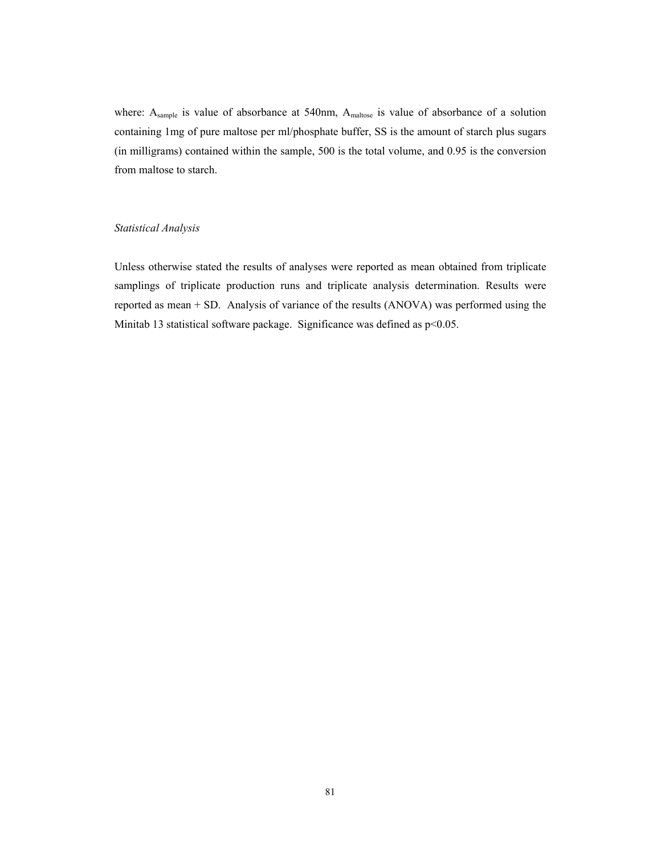where: A<sub>sample</sub> is value of absorbance at 540nm, A<sub>maltose</sub> is value of absorbance of a solution containing 1mg of pure maltose per ml/phosphate buffer, SS is the amount of starch plus sugars (in milligrams) contained within the sample, 500 is the total volume, and 0.95 is the conversion from maltose to starch.

# *Statistical Analysis*

Unless otherwise stated the results of analyses were reported as mean obtained from triplicate samplings of triplicate production runs and triplicate analysis determination. Results were reported as mean + SD. Analysis of variance of the results (ANOVA) was performed using the Minitab 13 statistical software package. Significance was defined as p<0.05.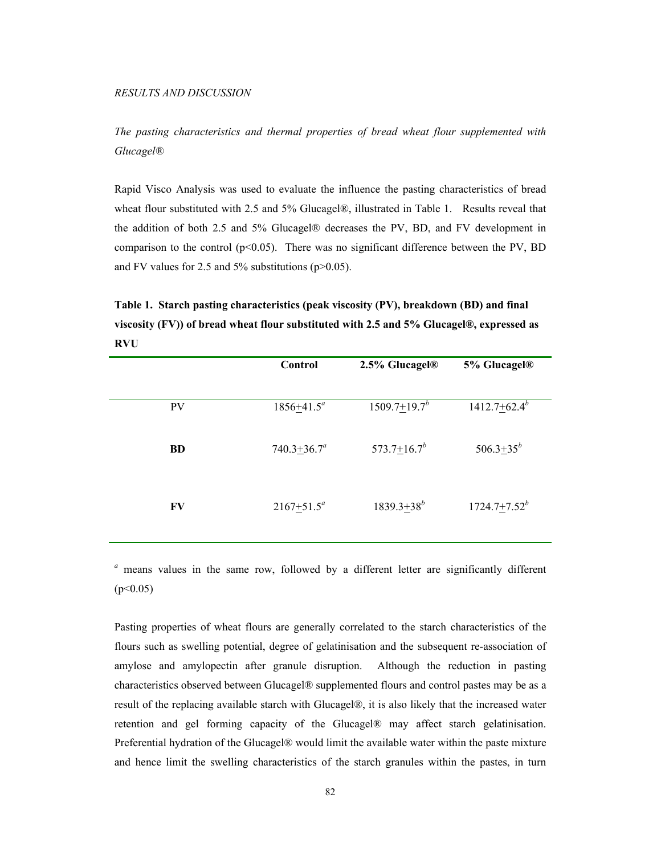*The pasting characteristics and thermal properties of bread wheat flour supplemented with Glucagel®* 

Rapid Visco Analysis was used to evaluate the influence the pasting characteristics of bread wheat flour substituted with 2.5 and 5% Glucagel®, illustrated in Table 1. Results reveal that the addition of both 2.5 and 5% Glucagel® decreases the PV, BD, and FV development in comparison to the control ( $p<0.05$ ). There was no significant difference between the PV, BD and FV values for 2.5 and  $5\%$  substitutions (p $>0.05$ ).

**Table 1. Starch pasting characteristics (peak viscosity (PV), breakdown (BD) and final viscosity (FV)) of bread wheat flour substituted with 2.5 and 5% Glucagel®, expressed as RVU** 

|           | Control            | 2.5% Glucagel <sup>®</sup>     | 5% Glucagel®      |
|-----------|--------------------|--------------------------------|-------------------|
|           |                    |                                |                   |
| <b>PV</b> | $1856 + 41.5^a$    | $1509.7 \pm 19.7$ <sup>b</sup> | $1412.7 + 62.4^b$ |
|           |                    |                                |                   |
| <b>BD</b> | $740.3 \pm 36.7^a$ | 573.7 $\pm$ 16.7 <sup>b</sup>  | $506.3 + 35^{b}$  |
|           |                    |                                |                   |
|           |                    |                                |                   |
| FV        | $2167+51.5^a$      | $1839.3+38^{b}$                | $1724.7 + 7.52^b$ |
|           |                    |                                |                   |

*<sup>a</sup>* means values in the same row, followed by a different letter are significantly different  $(p<0.05)$ 

Pasting properties of wheat flours are generally correlated to the starch characteristics of the flours such as swelling potential, degree of gelatinisation and the subsequent re-association of amylose and amylopectin after granule disruption. Although the reduction in pasting characteristics observed between Glucagel® supplemented flours and control pastes may be as a result of the replacing available starch with Glucagel®, it is also likely that the increased water retention and gel forming capacity of the Glucagel® may affect starch gelatinisation. Preferential hydration of the Glucagel® would limit the available water within the paste mixture and hence limit the swelling characteristics of the starch granules within the pastes, in turn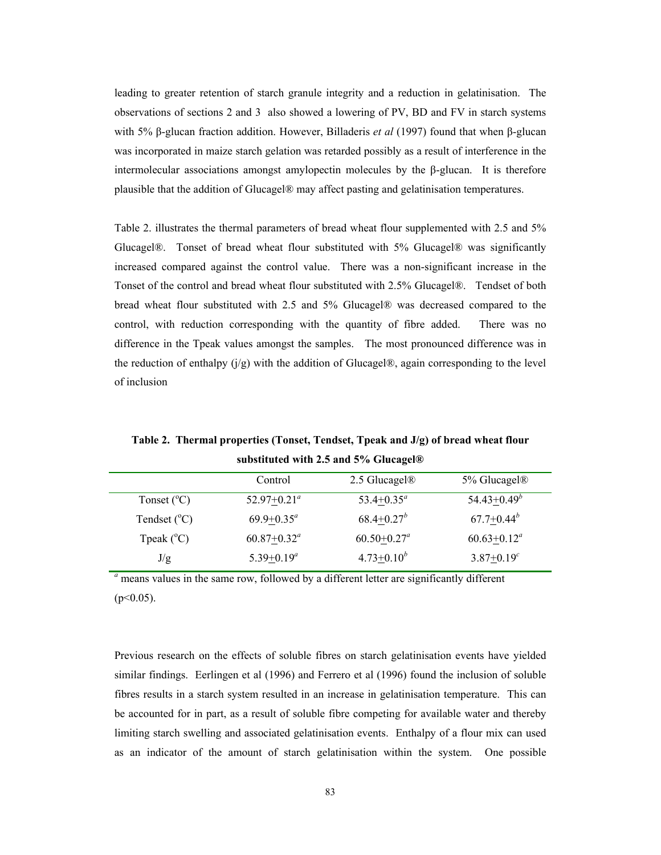leading to greater retention of starch granule integrity and a reduction in gelatinisation. The observations of sections 2 and 3 also showed a lowering of PV, BD and FV in starch systems with 5% β-glucan fraction addition. However, Billaderis *et al* (1997) found that when β-glucan was incorporated in maize starch gelation was retarded possibly as a result of interference in the intermolecular associations amongst amylopectin molecules by the β-glucan. It is therefore plausible that the addition of Glucagel® may affect pasting and gelatinisation temperatures.

Table 2. illustrates the thermal parameters of bread wheat flour supplemented with 2.5 and 5% Glucagel®. Tonset of bread wheat flour substituted with 5% Glucagel® was significantly increased compared against the control value. There was a non-significant increase in the Tonset of the control and bread wheat flour substituted with 2.5% Glucagel®. Tendset of both bread wheat flour substituted with 2.5 and 5% Glucagel® was decreased compared to the control, with reduction corresponding with the quantity of fibre added. There was no difference in the Tpeak values amongst the samples. The most pronounced difference was in the reduction of enthalpy  $(j/g)$  with the addition of Glucagel®, again corresponding to the level of inclusion

**Table 2. Thermal properties (Tonset, Tendset, Tpeak and J/g) of bread wheat flour substituted with 2.5 and 5% Glucagel®** 

|                         | Control          | 2.5 Glucagel <sup>®</sup>   | 5% Glucagel <sup>®</sup> |
|-------------------------|------------------|-----------------------------|--------------------------|
| Tonset $(^{\circ}C)$    | $52.97+0.21^a$   | $53.4 + 0.35^a$             | $54.43 + 0.49^b$         |
| Tendset $({}^{\circ}C)$ | $69.9+0.35^a$    | $68.4 + 0.27^b$             | $67.7+0.44^b$            |
| Tpeak $(^{\circ}C)$     | $60.87 + 0.32^a$ | $60.50 + 0.27$ <sup>a</sup> | $60.63 \pm 0.12^a$       |
| J/g                     | $5.39+0.19^a$    | $4.73 + 0.10^{b}$           | $3.87 + 0.19^{c}$        |

<sup>*a*</sup> means values in the same row, followed by a different letter are significantly different  $(p<0.05)$ .

Previous research on the effects of soluble fibres on starch gelatinisation events have yielded similar findings. Eerlingen et al (1996) and Ferrero et al (1996) found the inclusion of soluble fibres results in a starch system resulted in an increase in gelatinisation temperature. This can be accounted for in part, as a result of soluble fibre competing for available water and thereby limiting starch swelling and associated gelatinisation events. Enthalpy of a flour mix can used as an indicator of the amount of starch gelatinisation within the system. One possible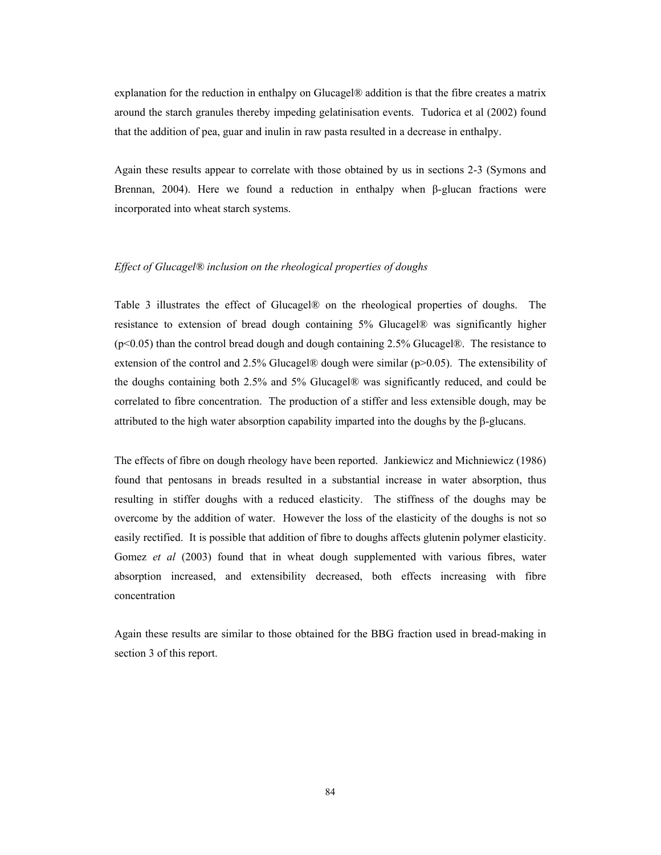explanation for the reduction in enthalpy on Glucagel® addition is that the fibre creates a matrix around the starch granules thereby impeding gelatinisation events. Tudorica et al (2002) found that the addition of pea, guar and inulin in raw pasta resulted in a decrease in enthalpy.

Again these results appear to correlate with those obtained by us in sections 2-3 (Symons and Brennan, 2004). Here we found a reduction in enthalpy when  $\beta$ -glucan fractions were incorporated into wheat starch systems.

## *Effect of Glucagel® inclusion on the rheological properties of doughs*

Table 3 illustrates the effect of Glucagel® on the rheological properties of doughs.The resistance to extension of bread dough containing 5% Glucagel® was significantly higher (p<0.05) than the control bread dough and dough containing 2.5% Glucagel®. The resistance to extension of the control and 2.5% Glucagel® dough were similar ( $p>0.05$ ). The extensibility of the doughs containing both 2.5% and 5% Glucagel® was significantly reduced, and could be correlated to fibre concentration. The production of a stiffer and less extensible dough, may be attributed to the high water absorption capability imparted into the doughs by the β-glucans.

The effects of fibre on dough rheology have been reported. Jankiewicz and Michniewicz (1986) found that pentosans in breads resulted in a substantial increase in water absorption, thus resulting in stiffer doughs with a reduced elasticity. The stiffness of the doughs may be overcome by the addition of water. However the loss of the elasticity of the doughs is not so easily rectified. It is possible that addition of fibre to doughs affects glutenin polymer elasticity. Gomez *et al* (2003) found that in wheat dough supplemented with various fibres, water absorption increased, and extensibility decreased, both effects increasing with fibre concentration

Again these results are similar to those obtained for the BBG fraction used in bread-making in section 3 of this report.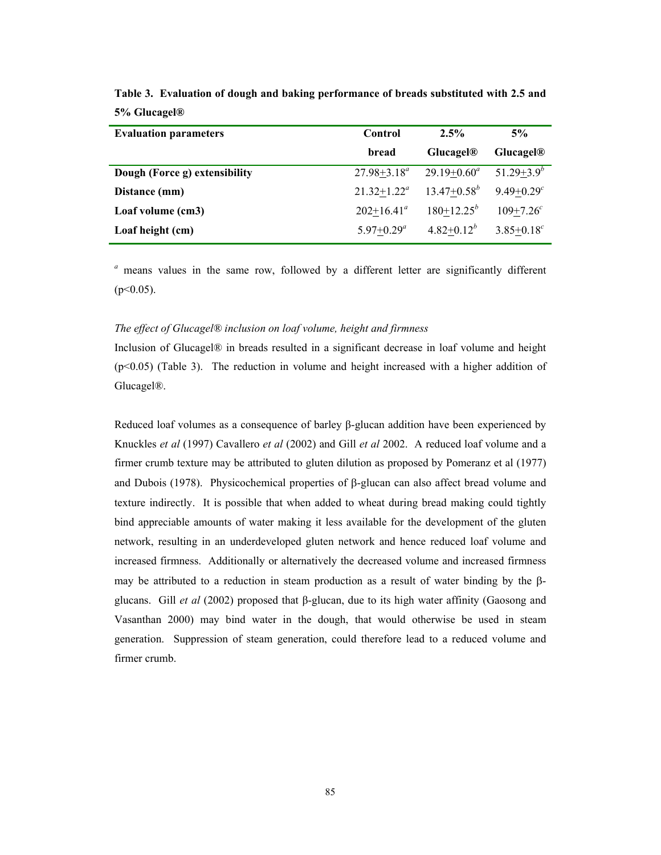| <b>Evaluation parameters</b>  | <b>Control</b>   | 2.5%                  | 5%                         |  |
|-------------------------------|------------------|-----------------------|----------------------------|--|
|                               | bread            | Glucagel <sup>®</sup> | Glucagel <sup>®</sup>      |  |
| Dough (Force g) extensibility | $27.98 + 3.18^a$ | $29.19 + 0.60^a$      | $51.29 + 3.9^b$            |  |
| Distance (mm)                 | $21.32 + 1.22^a$ | $13.47 + 0.58^{b}$    | $9.49 + 0.29$ <sup>c</sup> |  |
| Loaf volume (cm3)             | $202+16.41^a$    | $180+12.25^b$         | $109 + 7.26$ <sup>c</sup>  |  |
| Loaf height (cm)              | $5.97+0.29^a$    | $4.82 + 0.12^b$       | $3.85 + 0.18^{c}$          |  |

**Table 3. Evaluation of dough and baking performance of breads substituted with 2.5 and 5% Glucagel®** 

*<sup>a</sup>* means values in the same row, followed by a different letter are significantly different  $(p<0.05)$ .

## *The effect of Glucagel® inclusion on loaf volume, height and firmness*

Inclusion of Glucagel® in breads resulted in a significant decrease in loaf volume and height (p<0.05) (Table 3). The reduction in volume and height increased with a higher addition of Glucagel®.

Reduced loaf volumes as a consequence of barley β-glucan addition have been experienced by Knuckles *et al* (1997) Cavallero *et al* (2002) and Gill *et al* 2002. A reduced loaf volume and a firmer crumb texture may be attributed to gluten dilution as proposed by Pomeranz et al (1977) and Dubois (1978). Physicochemical properties of β-glucan can also affect bread volume and texture indirectly. It is possible that when added to wheat during bread making could tightly bind appreciable amounts of water making it less available for the development of the gluten network, resulting in an underdeveloped gluten network and hence reduced loaf volume and increased firmness. Additionally or alternatively the decreased volume and increased firmness may be attributed to a reduction in steam production as a result of water binding by the βglucans. Gill *et al* (2002) proposed that β-glucan, due to its high water affinity (Gaosong and Vasanthan 2000) may bind water in the dough, that would otherwise be used in steam generation. Suppression of steam generation, could therefore lead to a reduced volume and firmer crumb.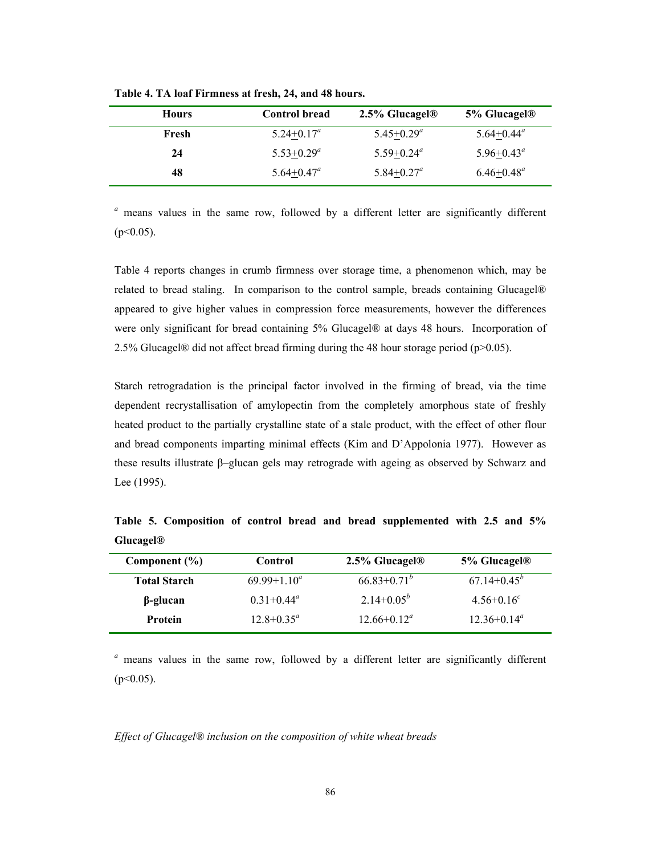| <b>Hours</b> | <b>Control bread</b>  | $2.5\%$ Glucagel <sup>®</sup> | $5\%$ Glucagel <sup>®</sup> |
|--------------|-----------------------|-------------------------------|-----------------------------|
| Fresh        | $5.24+0.17^a$         | $5.45 + 0.29^a$               | $5.64 + 0.44^a$             |
| 24           | $5.53+0.29^a$         | $5.59 + 0.24^a$               | $5.96 + 0.43^{\circ}$       |
| 48           | $5.64 + 0.47^{\circ}$ | $5.84 + 0.27^a$               | $6.46 + 0.48^a$             |

**Table 4. TA loaf Firmness at fresh, 24, and 48 hours.** 

*<sup>a</sup>* means values in the same row, followed by a different letter are significantly different  $(p<0.05)$ .

Table 4 reports changes in crumb firmness over storage time, a phenomenon which, may be related to bread staling. In comparison to the control sample, breads containing Glucagel® appeared to give higher values in compression force measurements, however the differences were only significant for bread containing 5% Glucagel® at days 48 hours. Incorporation of 2.5% Glucagel® did not affect bread firming during the 48 hour storage period ( $p$ >0.05).

Starch retrogradation is the principal factor involved in the firming of bread, via the time dependent recrystallisation of amylopectin from the completely amorphous state of freshly heated product to the partially crystalline state of a stale product, with the effect of other flour and bread components imparting minimal effects (Kim and D'Appolonia 1977). However as these results illustrate β–glucan gels may retrograde with ageing as observed by Schwarz and Lee (1995).

**Table 5. Composition of control bread and bread supplemented with 2.5 and 5% Glucagel®** 

| Component (%)       | Control          | $2.5\%$ Glucagel <sup>®</sup> | 5% Glucagel <sup>®</sup> |
|---------------------|------------------|-------------------------------|--------------------------|
| <b>Total Starch</b> | $69.99 + 1.10^a$ | $66.83 \pm 0.71^b$            | $67.14 + 0.45^b$         |
| $\beta$ -glucan     | $0.31 + 0.44^a$  | $2.14+0.05^{b}$               | $4.56 + 0.16^{c}$        |
| <b>Protein</b>      | $12.8 + 0.35^a$  | $12.66 \pm 0.12^{\circ}$      | $12.36 + 0.14^a$         |

*<sup>a</sup>* means values in the same row, followed by a different letter are significantly different  $(p<0.05)$ .

# *Effect of Glucagel® inclusion on the composition of white wheat breads*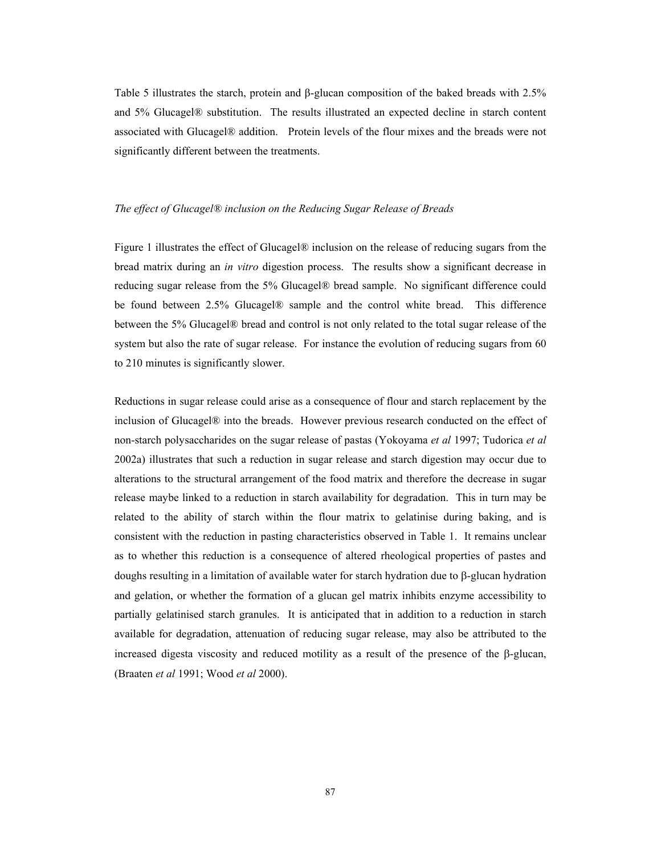Table 5 illustrates the starch, protein and β-glucan composition of the baked breads with 2.5% and 5% Glucagel® substitution. The results illustrated an expected decline in starch content associated with Glucagel® addition. Protein levels of the flour mixes and the breads were not significantly different between the treatments.

# *The effect of Glucagel® inclusion on the Reducing Sugar Release of Breads*

Figure 1 illustrates the effect of Glucagel® inclusion on the release of reducing sugars from the bread matrix during an *in vitro* digestion process. The results show a significant decrease in reducing sugar release from the 5% Glucagel® bread sample. No significant difference could be found between 2.5% Glucagel® sample and the control white bread. This difference between the 5% Glucagel® bread and control is not only related to the total sugar release of the system but also the rate of sugar release. For instance the evolution of reducing sugars from 60 to 210 minutes is significantly slower.

Reductions in sugar release could arise as a consequence of flour and starch replacement by the inclusion of Glucagel® into the breads. However previous research conducted on the effect of non-starch polysaccharides on the sugar release of pastas (Yokoyama *et al* 1997; Tudorica *et al* 2002a) illustrates that such a reduction in sugar release and starch digestion may occur due to alterations to the structural arrangement of the food matrix and therefore the decrease in sugar release maybe linked to a reduction in starch availability for degradation. This in turn may be related to the ability of starch within the flour matrix to gelatinise during baking, and is consistent with the reduction in pasting characteristics observed in Table 1. It remains unclear as to whether this reduction is a consequence of altered rheological properties of pastes and doughs resulting in a limitation of available water for starch hydration due to β-glucan hydration and gelation, or whether the formation of a glucan gel matrix inhibits enzyme accessibility to partially gelatinised starch granules. It is anticipated that in addition to a reduction in starch available for degradation, attenuation of reducing sugar release, may also be attributed to the increased digesta viscosity and reduced motility as a result of the presence of the β-glucan, (Braaten *et al* 1991; Wood *et al* 2000).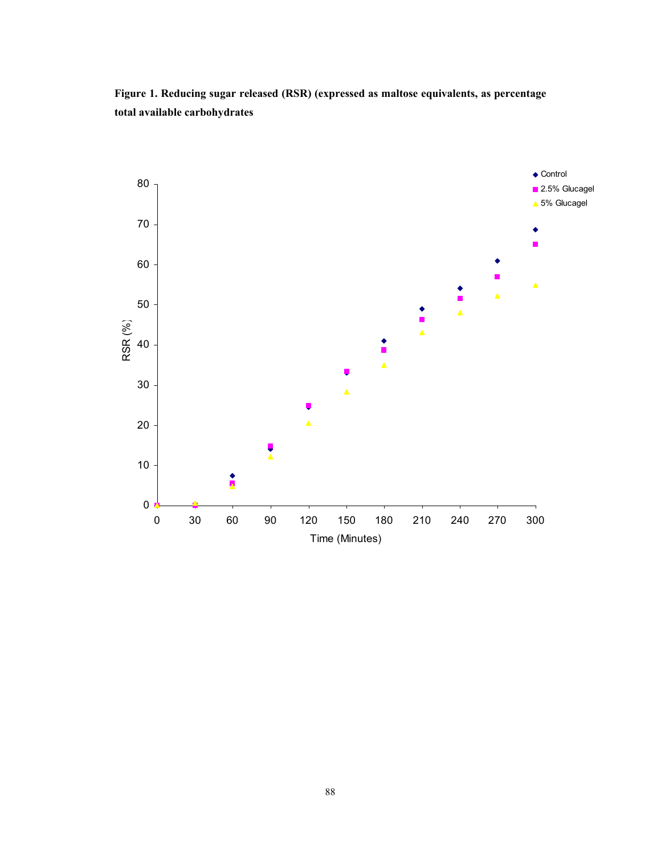**Figure 1. Reducing sugar released (RSR) (expressed as maltose equivalents, as percentage total available carbohydrates** 

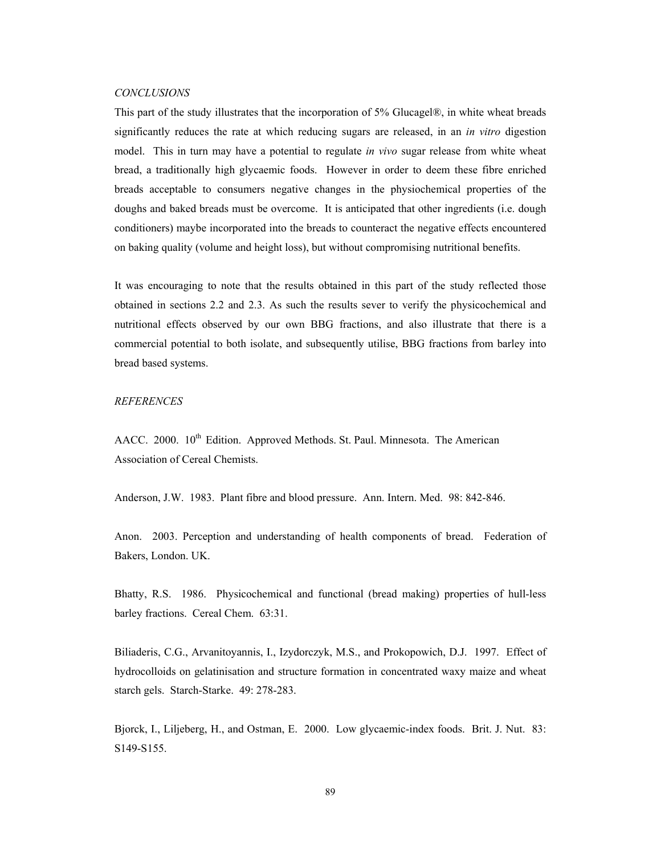#### *CONCLUSIONS*

This part of the study illustrates that the incorporation of 5% Glucagel®, in white wheat breads significantly reduces the rate at which reducing sugars are released, in an *in vitro* digestion model. This in turn may have a potential to regulate *in vivo* sugar release from white wheat bread, a traditionally high glycaemic foods. However in order to deem these fibre enriched breads acceptable to consumers negative changes in the physiochemical properties of the doughs and baked breads must be overcome. It is anticipated that other ingredients (i.e. dough conditioners) maybe incorporated into the breads to counteract the negative effects encountered on baking quality (volume and height loss), but without compromising nutritional benefits.

It was encouraging to note that the results obtained in this part of the study reflected those obtained in sections 2.2 and 2.3. As such the results sever to verify the physicochemical and nutritional effects observed by our own BBG fractions, and also illustrate that there is a commercial potential to both isolate, and subsequently utilise, BBG fractions from barley into bread based systems.

#### *REFERENCES*

AACC. 2000. 10<sup>th</sup> Edition. Approved Methods. St. Paul. Minnesota. The American Association of Cereal Chemists.

Anderson, J.W. 1983. Plant fibre and blood pressure. Ann. Intern. Med. 98: 842-846.

Anon. 2003. Perception and understanding of health components of bread. Federation of Bakers, London. UK.

Bhatty, R.S. 1986. Physicochemical and functional (bread making) properties of hull-less barley fractions. Cereal Chem. 63:31.

Biliaderis, C.G., Arvanitoyannis, I., Izydorczyk, M.S., and Prokopowich, D.J. 1997. Effect of hydrocolloids on gelatinisation and structure formation in concentrated waxy maize and wheat starch gels. Starch-Starke. 49: 278-283.

Bjorck, I., Liljeberg, H., and Ostman, E. 2000. Low glycaemic-index foods. Brit. J. Nut. 83: S149-S155.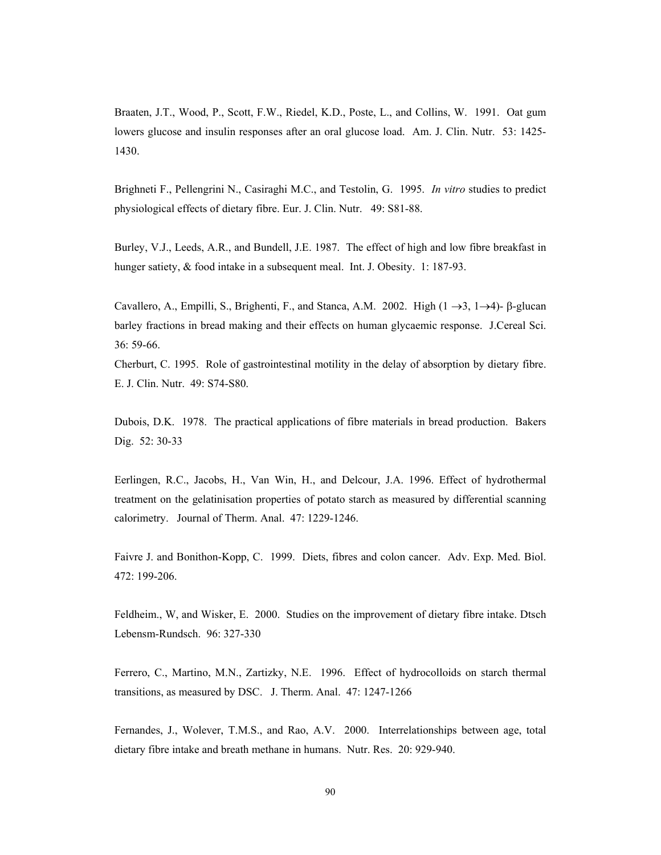Braaten, J.T., Wood, P., Scott, F.W., Riedel, K.D., Poste, L., and Collins, W. 1991. Oat gum lowers glucose and insulin responses after an oral glucose load. Am. J. Clin. Nutr. 53: 1425- 1430.

Brighneti F., Pellengrini N., Casiraghi M.C., and Testolin, G. 1995. *In vitro* studies to predict physiological effects of dietary fibre. Eur. J. Clin. Nutr. 49: S81-88.

Burley, V.J., Leeds, A.R., and Bundell, J.E. 1987. The effect of high and low fibre breakfast in hunger satiety, & food intake in a subsequent meal. Int. J. Obesity. 1: 187-93.

Cavallero, A., Empilli, S., Brighenti, F., and Stanca, A.M. 2002. High  $(1 \rightarrow 3, 1 \rightarrow 4)$ - β-glucan barley fractions in bread making and their effects on human glycaemic response. J.Cereal Sci. 36: 59-66.

Cherburt, C. 1995. Role of gastrointestinal motility in the delay of absorption by dietary fibre. E. J. Clin. Nutr. 49: S74-S80.

Dubois, D.K. 1978. The practical applications of fibre materials in bread production. Bakers Dig. 52: 30-33

Eerlingen, R.C., Jacobs, H., Van Win, H., and Delcour, J.A. 1996. Effect of hydrothermal treatment on the gelatinisation properties of potato starch as measured by differential scanning calorimetry. Journal of Therm. Anal. 47: 1229-1246.

Faivre J. and Bonithon-Kopp, C. 1999. Diets, fibres and colon cancer. Adv. Exp. Med. Biol. 472: 199-206.

Feldheim., W, and Wisker, E. 2000. Studies on the improvement of dietary fibre intake. Dtsch Lebensm-Rundsch. 96: 327-330

Ferrero, C., Martino, M.N., Zartizky, N.E. 1996. Effect of hydrocolloids on starch thermal transitions, as measured by DSC. J. Therm. Anal. 47: 1247-1266

Fernandes, J., Wolever, T.M.S., and Rao, A.V. 2000. Interrelationships between age, total dietary fibre intake and breath methane in humans. Nutr. Res. 20: 929-940.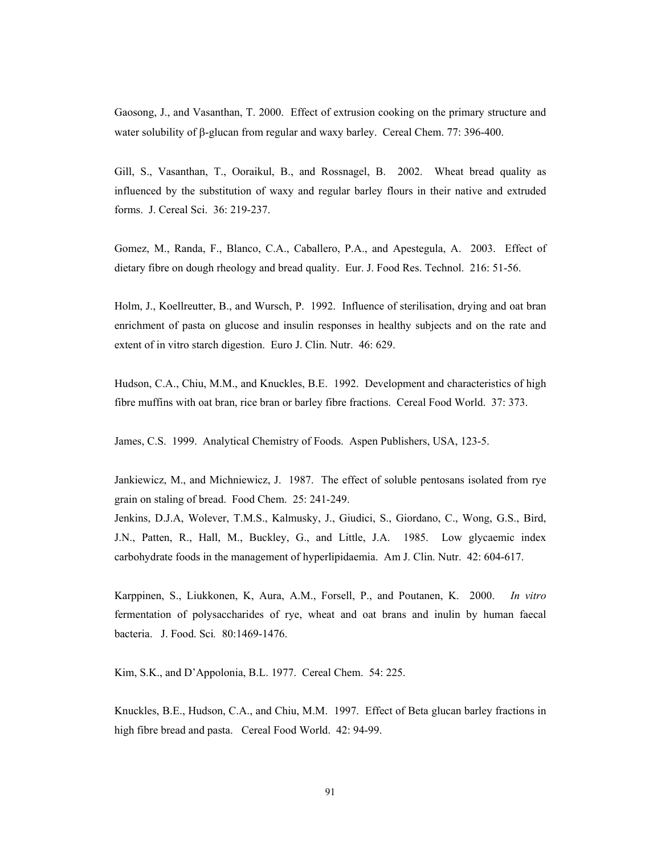Gaosong, J., and Vasanthan, T. 2000. Effect of extrusion cooking on the primary structure and water solubility of β-glucan from regular and waxy barley. Cereal Chem. 77: 396-400.

Gill, S., Vasanthan, T., Ooraikul, B., and Rossnagel, B. 2002. Wheat bread quality as influenced by the substitution of waxy and regular barley flours in their native and extruded forms. J. Cereal Sci. 36: 219-237.

Gomez, M., Randa, F., Blanco, C.A., Caballero, P.A., and Apestegula, A. 2003. Effect of dietary fibre on dough rheology and bread quality. Eur. J. Food Res. Technol. 216: 51-56.

Holm, J., Koellreutter, B., and Wursch, P. 1992. Influence of sterilisation, drying and oat bran enrichment of pasta on glucose and insulin responses in healthy subjects and on the rate and extent of in vitro starch digestion. Euro J. Clin. Nutr. 46: 629.

Hudson, C.A., Chiu, M.M., and Knuckles, B.E. 1992. Development and characteristics of high fibre muffins with oat bran, rice bran or barley fibre fractions. Cereal Food World. 37: 373.

James, C.S. 1999. Analytical Chemistry of Foods. Aspen Publishers, USA, 123-5.

Jankiewicz, M., and Michniewicz, J. 1987. The effect of soluble pentosans isolated from rye grain on staling of bread. Food Chem. 25: 241-249.

Jenkins, D.J.A, Wolever, T.M.S., Kalmusky, J., Giudici, S., Giordano, C., Wong, G.S., Bird, J.N., Patten, R., Hall, M., Buckley, G., and Little, J.A. 1985. Low glycaemic index carbohydrate foods in the management of hyperlipidaemia. Am J. Clin. Nutr. 42: 604-617.

Karppinen, S., Liukkonen, K, Aura, A.M., Forsell, P., and Poutanen, K. 2000. *In vitro* fermentation of polysaccharides of rye, wheat and oat brans and inulin by human faecal bacteria. J. Food. Sci*.* 80:1469-1476.

Kim, S.K., and D'Appolonia, B.L. 1977. Cereal Chem. 54: 225.

Knuckles, B.E., Hudson, C.A., and Chiu, M.M. 1997. Effect of Βeta glucan barley fractions in high fibre bread and pasta. Cereal Food World. 42: 94-99.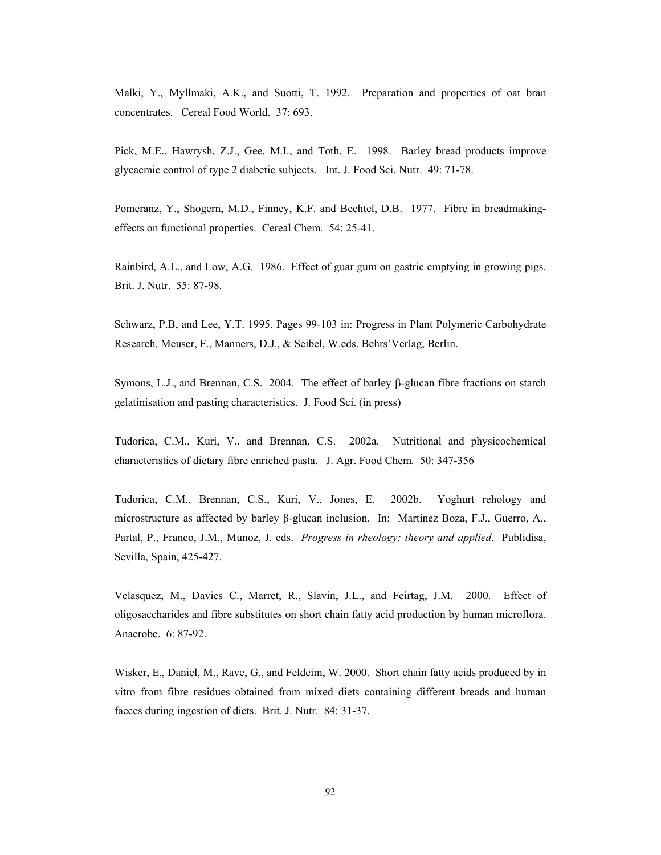Malki, Y., Myllmaki, A.K., and Suotti, T. 1992. Preparation and properties of oat bran concentrates. Cereal Food World. 37: 693.

Pick, M.E., Hawrysh, Z.J., Gee, M.I., and Toth, E. 1998. Barley bread products improve glycaemic control of type 2 diabetic subjects. Int. J. Food Sci. Nutr. 49: 71-78.

Pomeranz, Y., Shogern, M.D., Finney, K.F. and Bechtel, D.B. 1977. Fibre in breadmakingeffects on functional properties. Cereal Chem*.* 54: 25-41.

Rainbird, A.L., and Low, A.G. 1986. Effect of guar gum on gastric emptying in growing pigs. Brit. J. Nutr. 55: 87-98.

Schwarz, P.B, and Lee, Y.T. 1995. Pages 99-103 in: Progress in Plant Polymeric Carbohydrate Research. Meuser, F., Manners, D.J., & Seibel, W.eds. Behrs'Verlag, Berlin.

Symons, L.J., and Brennan, C.S. 2004. The effect of barley β-glucan fibre fractions on starch gelatinisation and pasting characteristics. J. Food Sci. (in press)

Tudorica, C.M., Kuri, V., and Brennan, C.S. 2002a. Nutritional and physicochemical characteristics of dietary fibre enriched pasta. J. Agr. Food Chem*.* 50: 347-356

Tudorica, C.M., Brennan, C.S., Kuri, V., Jones, E. 2002b. Yoghurt rehology and microstructure as affected by barley β-glucan inclusion. In: Martinez Boza, F.J., Guerro, A., Partal, P., Franco, J.M., Munoz, J. eds. *Progress in rheology: theory and applied*. Publidisa, Sevilla, Spain, 425-427.

Velasquez, M., Davies C., Marret, R., Slavin, J.L., and Feirtag, J.M. 2000. Effect of oligosaccharides and fibre substitutes on short chain fatty acid production by human microflora. Anaerobe. 6: 87-92.

Wisker, E., Daniel, M., Rave, G., and Feldeim, W. 2000. Short chain fatty acids produced by in vitro from fibre residues obtained from mixed diets containing different breads and human faeces during ingestion of diets. Brit. J. Nutr. 84: 31-37.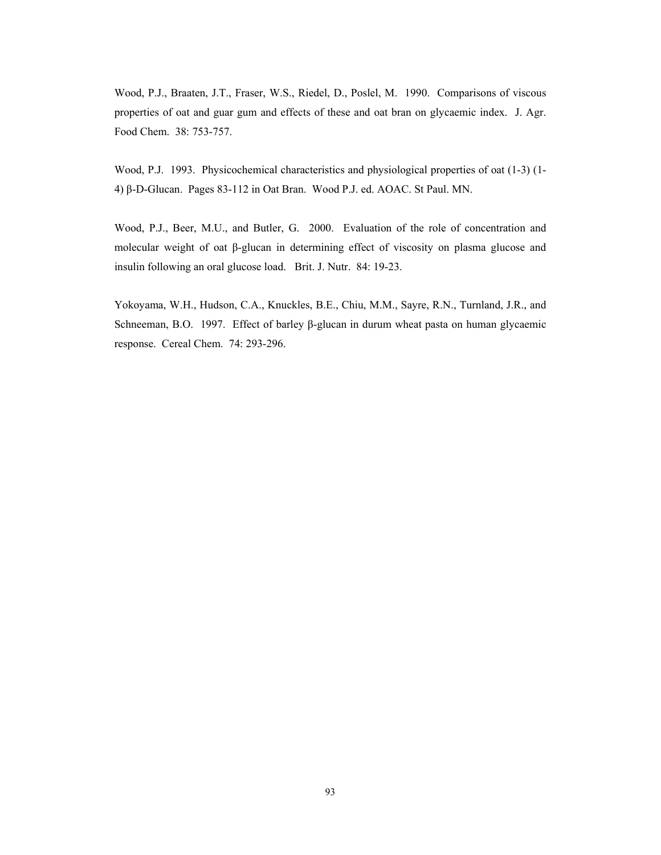Wood, P.J., Braaten, J.T., Fraser, W.S., Riedel, D., Poslel, M. 1990. Comparisons of viscous properties of oat and guar gum and effects of these and oat bran on glycaemic index. J. Agr. Food Chem. 38: 753-757.

Wood, P.J. 1993. Physicochemical characteristics and physiological properties of oat (1-3) (1- 4) β-D-Glucan. Pages 83-112 in Oat Bran. Wood P.J. ed. AOAC. St Paul. MN.

Wood, P.J., Beer, M.U., and Butler, G. 2000. Evaluation of the role of concentration and molecular weight of oat β-glucan in determining effect of viscosity on plasma glucose and insulin following an oral glucose load. Brit. J. Nutr. 84: 19-23.

Yokoyama, W.H., Hudson, C.A., Knuckles, B.E., Chiu, M.M., Sayre, R.N., Turnland, J.R., and Schneeman, B.O. 1997. Effect of barley β-glucan in durum wheat pasta on human glycaemic response. Cereal Chem. 74: 293-296.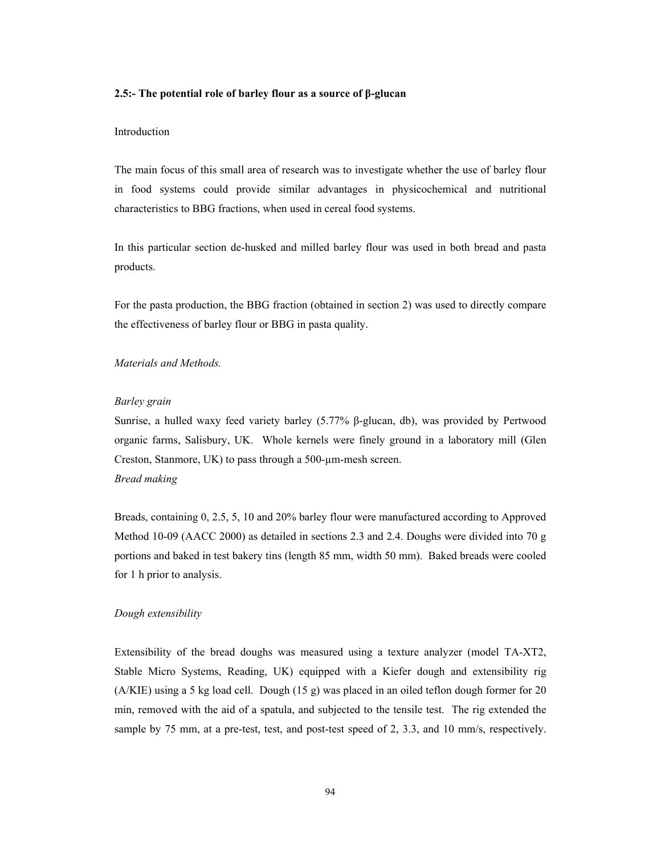#### **2.5:- The potential role of barley flour as a source of β-glucan**

## Introduction

The main focus of this small area of research was to investigate whether the use of barley flour in food systems could provide similar advantages in physicochemical and nutritional characteristics to BBG fractions, when used in cereal food systems.

In this particular section de-husked and milled barley flour was used in both bread and pasta products.

For the pasta production, the BBG fraction (obtained in section 2) was used to directly compare the effectiveness of barley flour or BBG in pasta quality.

# *Materials and Methods.*

#### *Barley grain*

Sunrise, a hulled waxy feed variety barley (5.77% β-glucan, db), was provided by Pertwood organic farms, Salisbury, UK. Whole kernels were finely ground in a laboratory mill (Glen Creston, Stanmore, UK) to pass through a 500-µm-mesh screen. *Bread making* 

Breads, containing 0, 2.5, 5, 10 and 20% barley flour were manufactured according to Approved Method 10-09 (AACC 2000) as detailed in sections 2.3 and 2.4. Doughs were divided into 70 g portions and baked in test bakery tins (length 85 mm, width 50 mm). Baked breads were cooled for 1 h prior to analysis.

#### *Dough extensibility*

Extensibility of the bread doughs was measured using a texture analyzer (model TA-XT2, Stable Micro Systems, Reading, UK) equipped with a Kiefer dough and extensibility rig (A/KIE) using a 5 kg load cell. Dough (15 g) was placed in an oiled teflon dough former for 20 min, removed with the aid of a spatula, and subjected to the tensile test. The rig extended the sample by 75 mm, at a pre-test, test, and post-test speed of 2, 3.3, and 10 mm/s, respectively.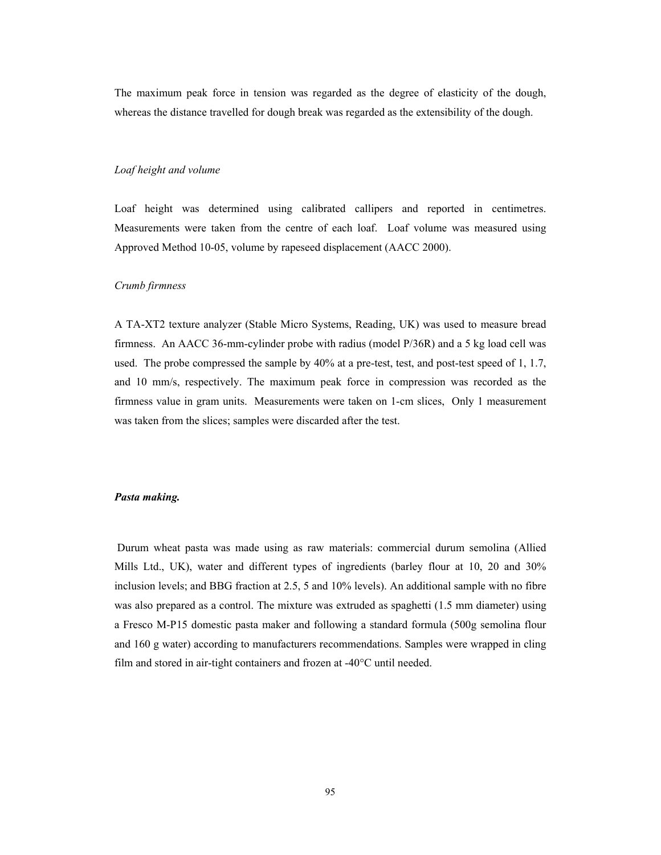The maximum peak force in tension was regarded as the degree of elasticity of the dough, whereas the distance travelled for dough break was regarded as the extensibility of the dough.

## *Loaf height and volume*

Loaf height was determined using calibrated callipers and reported in centimetres. Measurements were taken from the centre of each loaf. Loaf volume was measured using Approved Method 10-05, volume by rapeseed displacement (AACC 2000).

## *Crumb firmness*

A TA-XT2 texture analyzer (Stable Micro Systems, Reading, UK) was used to measure bread firmness. An AACC 36-mm-cylinder probe with radius (model P/36R) and a 5 kg load cell was used. The probe compressed the sample by 40% at a pre-test, test, and post-test speed of 1, 1.7, and 10 mm/s, respectively. The maximum peak force in compression was recorded as the firmness value in gram units. Measurements were taken on 1-cm slices, Only 1 measurement was taken from the slices; samples were discarded after the test.

## *Pasta making.*

Durum wheat pasta was made using as raw materials: commercial durum semolina (Allied Mills Ltd., UK), water and different types of ingredients (barley flour at 10, 20 and 30% inclusion levels; and BBG fraction at 2.5, 5 and 10% levels). An additional sample with no fibre was also prepared as a control. The mixture was extruded as spaghetti (1.5 mm diameter) using a Fresco M-P15 domestic pasta maker and following a standard formula (500g semolina flour and 160 g water) according to manufacturers recommendations. Samples were wrapped in cling film and stored in air-tight containers and frozen at -40°C until needed.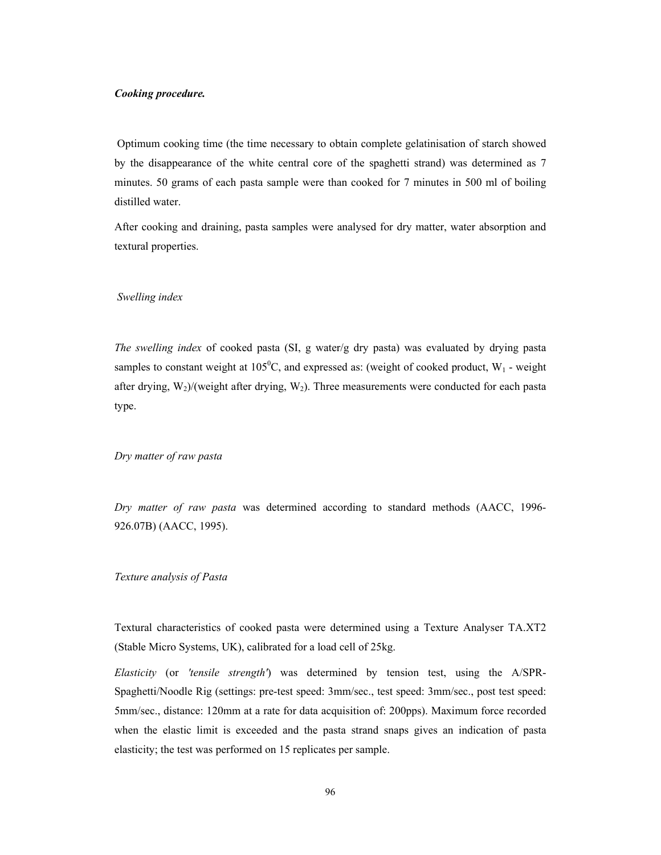#### *Cooking procedure.*

Optimum cooking time (the time necessary to obtain complete gelatinisation of starch showed by the disappearance of the white central core of the spaghetti strand) was determined as 7 minutes. 50 grams of each pasta sample were than cooked for 7 minutes in 500 ml of boiling distilled water.

After cooking and draining, pasta samples were analysed for dry matter, water absorption and textural properties.

## *Swelling index*

*The swelling index* of cooked pasta (SI, g water/g dry pasta) was evaluated by drying pasta samples to constant weight at  $105^{\circ}$ C, and expressed as: (weight of cooked product, W<sub>1</sub> - weight after drying,  $W_2$ )/(weight after drying,  $W_2$ ). Three measurements were conducted for each pasta type.

## *Dry matter of raw pasta*

*Dry matter of raw pasta* was determined according to standard methods (AACC, 1996- 926.07B) (AACC, 1995).

## *Texture analysis of Pasta*

Textural characteristics of cooked pasta were determined using a Texture Analyser TA.XT2 (Stable Micro Systems, UK), calibrated for a load cell of 25kg.

*Elasticity* (or *'tensile strength'*) was determined by tension test, using the A/SPR-Spaghetti/Noodle Rig (settings: pre-test speed: 3mm/sec., test speed: 3mm/sec., post test speed: 5mm/sec., distance: 120mm at a rate for data acquisition of: 200pps). Maximum force recorded when the elastic limit is exceeded and the pasta strand snaps gives an indication of pasta elasticity; the test was performed on 15 replicates per sample.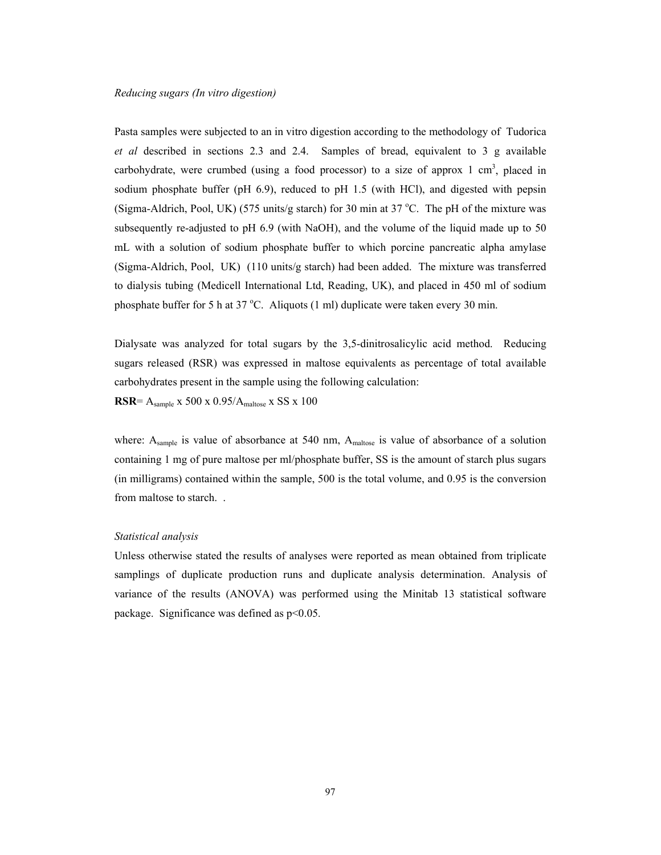Pasta samples were subjected to an in vitro digestion according to the methodology of Tudorica *et al* described in sections 2.3 and 2.4. Samples of bread, equivalent to 3 g available carbohydrate, were crumbed (using a food processor) to a size of approx  $1 \text{ cm}^3$ , placed in sodium phosphate buffer (pH 6.9), reduced to pH 1.5 (with HCl), and digested with pepsin (Sigma-Aldrich, Pool, UK) (575 units/g starch) for 30 min at 37 °C. The pH of the mixture was subsequently re-adjusted to pH 6.9 (with NaOH), and the volume of the liquid made up to 50 mL with a solution of sodium phosphate buffer to which porcine pancreatic alpha amylase (Sigma-Aldrich, Pool, UK) (110 units/g starch) had been added. The mixture was transferred to dialysis tubing (Medicell International Ltd, Reading, UK), and placed in 450 ml of sodium phosphate buffer for 5 h at 37  $^{\circ}$ C. Aliquots (1 ml) duplicate were taken every 30 min.

Dialysate was analyzed for total sugars by the 3,5-dinitrosalicylic acid method. Reducing sugars released (RSR) was expressed in maltose equivalents as percentage of total available carbohydrates present in the sample using the following calculation: **RSR**= Asample x 500 x 0.95/Amaltose x SS x 100

where:  $A_{sample}$  is value of absorbance at 540 nm,  $A_{maltose}$  is value of absorbance of a solution containing 1 mg of pure maltose per ml/phosphate buffer, SS is the amount of starch plus sugars (in milligrams) contained within the sample, 500 is the total volume, and 0.95 is the conversion from maltose to starch. .

# *Statistical analysis*

Unless otherwise stated the results of analyses were reported as mean obtained from triplicate samplings of duplicate production runs and duplicate analysis determination. Analysis of variance of the results (ANOVA) was performed using the Minitab 13 statistical software package. Significance was defined as p<0.05.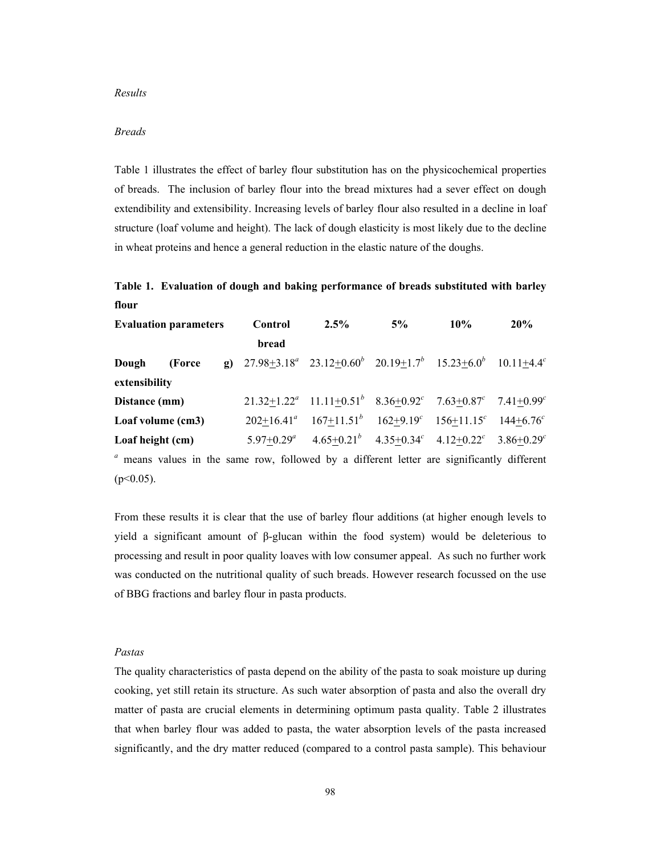#### *Results*

# *Breads*

Table 1 illustrates the effect of barley flour substitution has on the physicochemical properties of breads. The inclusion of barley flour into the bread mixtures had a sever effect on dough extendibility and extensibility. Increasing levels of barley flour also resulted in a decline in loaf structure (loaf volume and height). The lack of dough elasticity is most likely due to the decline in wheat proteins and hence a general reduction in the elastic nature of the doughs.

# **Table 1. Evaluation of dough and baking performance of breads substituted with barley flour**

| <b>Evaluation parameters</b> |                   | Control | $2.5\%$                                                                                                | $5\%$                                                                   | $10\%$ | 20% |  |
|------------------------------|-------------------|---------|--------------------------------------------------------------------------------------------------------|-------------------------------------------------------------------------|--------|-----|--|
|                              |                   |         | bread                                                                                                  |                                                                         |        |     |  |
| Dough                        | (Force)           |         | <b>g</b> ) $27.98 \pm 3.18^a$ $23.12 \pm 0.60^b$ $20.19 \pm 1.7^b$ $15.23 \pm 6.0^b$ $10.11 \pm 4.4^c$ |                                                                         |        |     |  |
| extensibility                |                   |         |                                                                                                        |                                                                         |        |     |  |
| Distance (mm)                |                   |         |                                                                                                        | $21.32+1.22^a$ $11.11+0.51^b$ $8.36+0.92^c$ $7.63+0.87^c$ $7.41+0.99^c$ |        |     |  |
|                              | Loaf volume (cm3) |         |                                                                                                        | $202+16.41^a$ $167+11.51^b$ $162+9.19^c$ $156+11.15^c$ $144+6.76^c$     |        |     |  |
| Loaf height (cm)             |                   |         | $5.97+0.29^a$                                                                                          | $4.65+0.21^{b}$ $4.35+0.34^{c}$ $4.12+0.22^{c}$ $3.86+0.29^{c}$         |        |     |  |
|                              |                   |         | <sup>a</sup> means values in the same row, followed by a different letter are significantly different  |                                                                         |        |     |  |
| $(p<0.05)$ .                 |                   |         |                                                                                                        |                                                                         |        |     |  |

From these results it is clear that the use of barley flour additions (at higher enough levels to yield a significant amount of β-glucan within the food system) would be deleterious to processing and result in poor quality loaves with low consumer appeal. As such no further work was conducted on the nutritional quality of such breads. However research focussed on the use of BBG fractions and barley flour in pasta products.

## *Pastas*

The quality characteristics of pasta depend on the ability of the pasta to soak moisture up during cooking, yet still retain its structure. As such water absorption of pasta and also the overall dry matter of pasta are crucial elements in determining optimum pasta quality. Table 2 illustrates that when barley flour was added to pasta, the water absorption levels of the pasta increased significantly, and the dry matter reduced (compared to a control pasta sample). This behaviour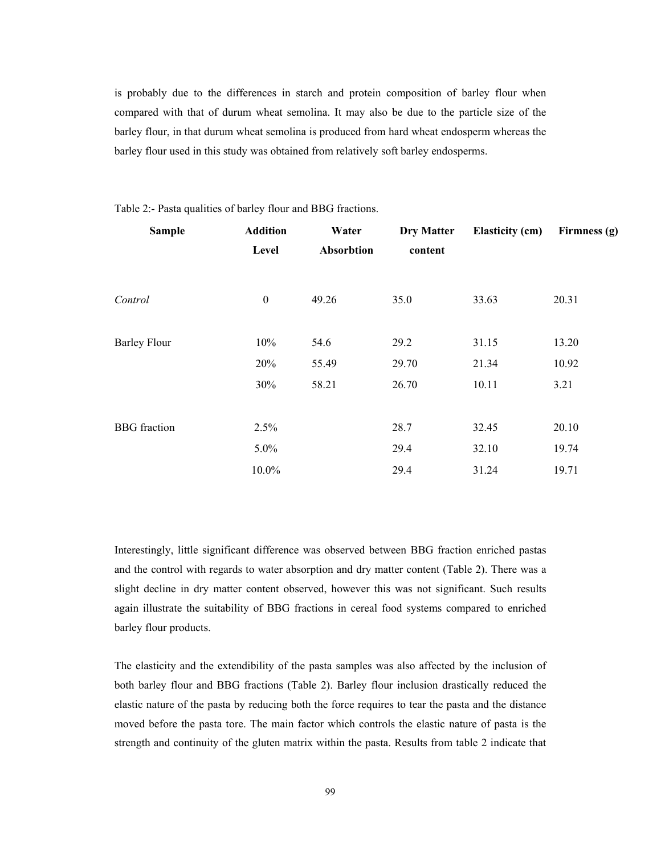is probably due to the differences in starch and protein composition of barley flour when compared with that of durum wheat semolina. It may also be due to the particle size of the barley flour, in that durum wheat semolina is produced from hard wheat endosperm whereas the barley flour used in this study was obtained from relatively soft barley endosperms.

| <b>Sample</b>       | <b>Addition</b>  | Water      | <b>Dry Matter</b> | <b>Elasticity (cm)</b> | Firmness (g) |
|---------------------|------------------|------------|-------------------|------------------------|--------------|
|                     | Level            | Absorbtion | content           |                        |              |
| Control             | $\boldsymbol{0}$ | 49.26      | 35.0              | 33.63                  | 20.31        |
|                     |                  |            |                   |                        |              |
| <b>Barley Flour</b> | 10%              | 54.6       | 29.2              | 31.15                  | 13.20        |
|                     | 20%              | 55.49      | 29.70             | 21.34                  | 10.92        |
|                     | 30%              | 58.21      | 26.70             | 10.11                  | 3.21         |
|                     |                  |            |                   |                        |              |
| <b>BBG</b> fraction | 2.5%             |            | 28.7              | 32.45                  | 20.10        |
|                     | 5.0%             |            | 29.4              | 32.10                  | 19.74        |
|                     | 10.0%            |            | 29.4              | 31.24                  | 19.71        |

Table 2:- Pasta qualities of barley flour and BBG fractions.

Interestingly, little significant difference was observed between BBG fraction enriched pastas and the control with regards to water absorption and dry matter content (Table 2). There was a slight decline in dry matter content observed, however this was not significant. Such results again illustrate the suitability of BBG fractions in cereal food systems compared to enriched barley flour products.

The elasticity and the extendibility of the pasta samples was also affected by the inclusion of both barley flour and BBG fractions (Table 2). Barley flour inclusion drastically reduced the elastic nature of the pasta by reducing both the force requires to tear the pasta and the distance moved before the pasta tore. The main factor which controls the elastic nature of pasta is the strength and continuity of the gluten matrix within the pasta. Results from table 2 indicate that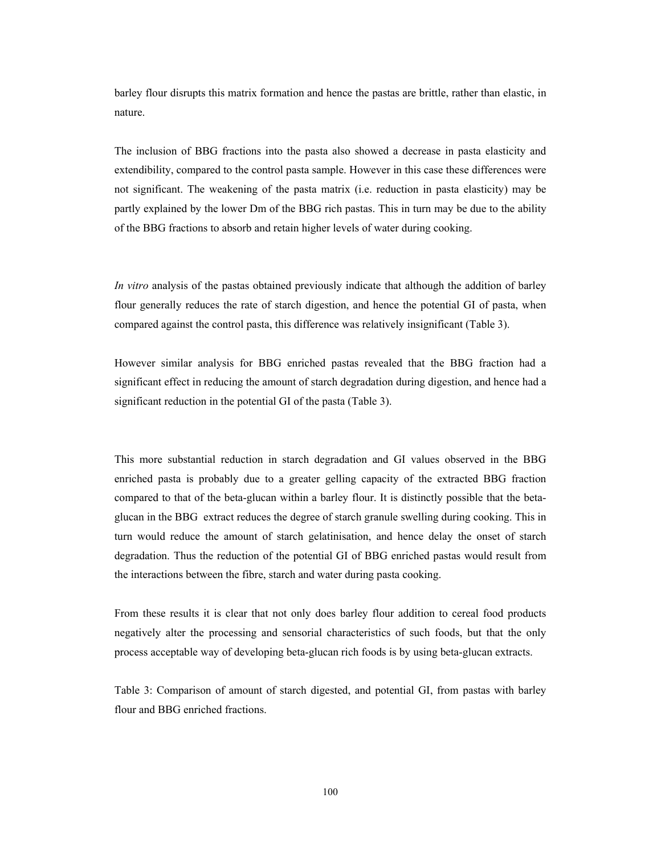barley flour disrupts this matrix formation and hence the pastas are brittle, rather than elastic, in nature.

The inclusion of BBG fractions into the pasta also showed a decrease in pasta elasticity and extendibility, compared to the control pasta sample. However in this case these differences were not significant. The weakening of the pasta matrix (i.e. reduction in pasta elasticity) may be partly explained by the lower Dm of the BBG rich pastas. This in turn may be due to the ability of the BBG fractions to absorb and retain higher levels of water during cooking.

*In vitro* analysis of the pastas obtained previously indicate that although the addition of barley flour generally reduces the rate of starch digestion, and hence the potential GI of pasta, when compared against the control pasta, this difference was relatively insignificant (Table 3).

However similar analysis for BBG enriched pastas revealed that the BBG fraction had a significant effect in reducing the amount of starch degradation during digestion, and hence had a significant reduction in the potential GI of the pasta (Table 3).

This more substantial reduction in starch degradation and GI values observed in the BBG enriched pasta is probably due to a greater gelling capacity of the extracted BBG fraction compared to that of the beta-glucan within a barley flour. It is distinctly possible that the betaglucan in the BBG extract reduces the degree of starch granule swelling during cooking. This in turn would reduce the amount of starch gelatinisation, and hence delay the onset of starch degradation. Thus the reduction of the potential GI of BBG enriched pastas would result from the interactions between the fibre, starch and water during pasta cooking.

From these results it is clear that not only does barley flour addition to cereal food products negatively alter the processing and sensorial characteristics of such foods, but that the only process acceptable way of developing beta-glucan rich foods is by using beta-glucan extracts.

Table 3: Comparison of amount of starch digested, and potential GI, from pastas with barley flour and BBG enriched fractions.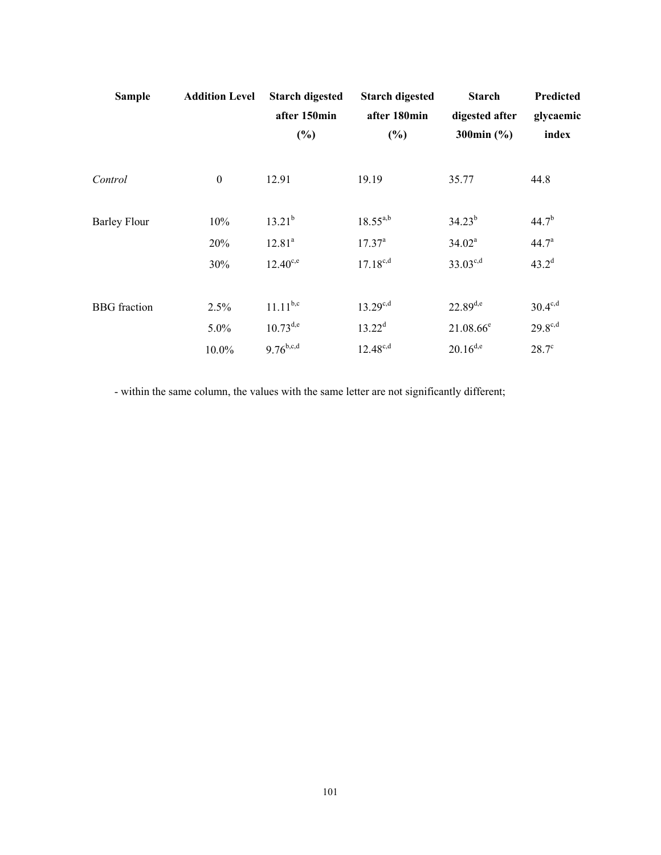| <b>Sample</b>       | <b>Addition Level</b> | <b>Starch digested</b><br>after 150min<br>(%) | <b>Starch digested</b><br>after 180min<br>(%) | <b>Starch</b><br>digested after<br>300 $min($ %) | Predicted<br>glycaemic<br>index |
|---------------------|-----------------------|-----------------------------------------------|-----------------------------------------------|--------------------------------------------------|---------------------------------|
| Control             | $\boldsymbol{0}$      | 12.91                                         | 19.19                                         | 35.77                                            | 44.8                            |
| <b>Barley Flour</b> | 10%                   | $13.21^{b}$                                   | $18.55^{a,b}$                                 | $34.23^{b}$                                      | $44.7^{b}$                      |
|                     | 20%                   | 12.81 <sup>a</sup>                            | $17.37^{\circ}$                               | $34.02^a$                                        | 44.7 <sup>a</sup>               |
|                     | 30%                   | $12.40^{c,e}$                                 | $17.18^{c,d}$                                 | $33.03^{c,d}$                                    | $43.2^d$                        |
| <b>BBG</b> fraction | 2.5%                  | $11.11^{b,c}$                                 | $13.29^{c,d}$                                 | $22.89^{d,e}$                                    | $30.4^{\text{c,d}}$             |
|                     | 5.0%                  | $10.73^{d,e}$                                 | $13.22^d$                                     | $21.08.66^e$                                     | $29.8^{c,d}$                    |
|                     | 10.0%                 | $9.76^{b,c,d}$                                | $12.48^{c,d}$                                 | $20.16^{d,e}$                                    | $28.7^\circ$                    |

- within the same column, the values with the same letter are not significantly different;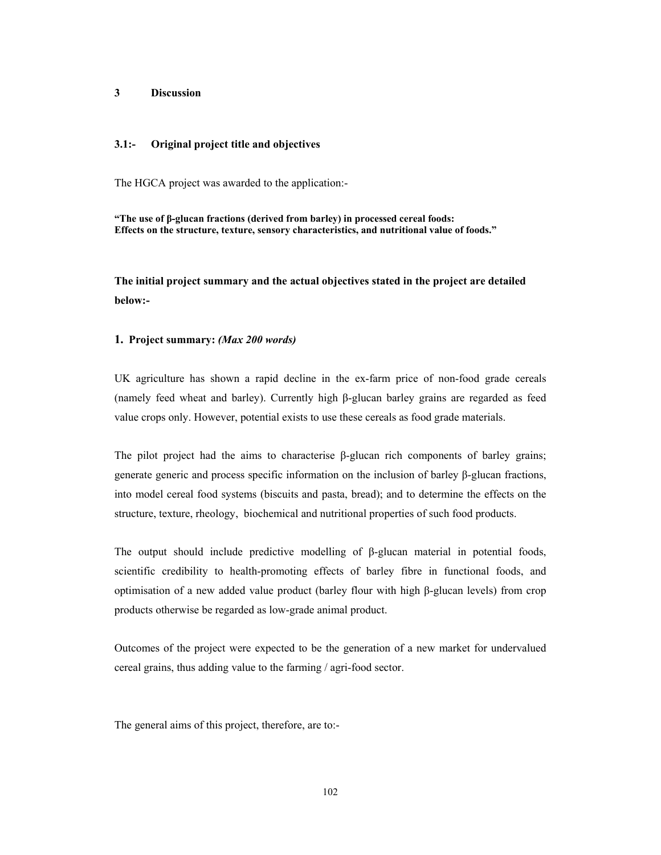## **3 Discussion**

## **3.1:- Original project title and objectives**

The HGCA project was awarded to the application:-

**"The use of β-glucan fractions (derived from barley) in processed cereal foods: Effects on the structure, texture, sensory characteristics, and nutritional value of foods."** 

**The initial project summary and the actual objectives stated in the project are detailed below:-** 

## **1. Project summary:** *(Max 200 words)*

UK agriculture has shown a rapid decline in the ex-farm price of non-food grade cereals (namely feed wheat and barley). Currently high β-glucan barley grains are regarded as feed value crops only. However, potential exists to use these cereals as food grade materials.

The pilot project had the aims to characterise  $\beta$ -glucan rich components of barley grains; generate generic and process specific information on the inclusion of barley β-glucan fractions, into model cereal food systems (biscuits and pasta, bread); and to determine the effects on the structure, texture, rheology, biochemical and nutritional properties of such food products.

The output should include predictive modelling of β-glucan material in potential foods, scientific credibility to health-promoting effects of barley fibre in functional foods, and optimisation of a new added value product (barley flour with high β-glucan levels) from crop products otherwise be regarded as low-grade animal product.

Outcomes of the project were expected to be the generation of a new market for undervalued cereal grains, thus adding value to the farming / agri-food sector.

The general aims of this project, therefore, are to:-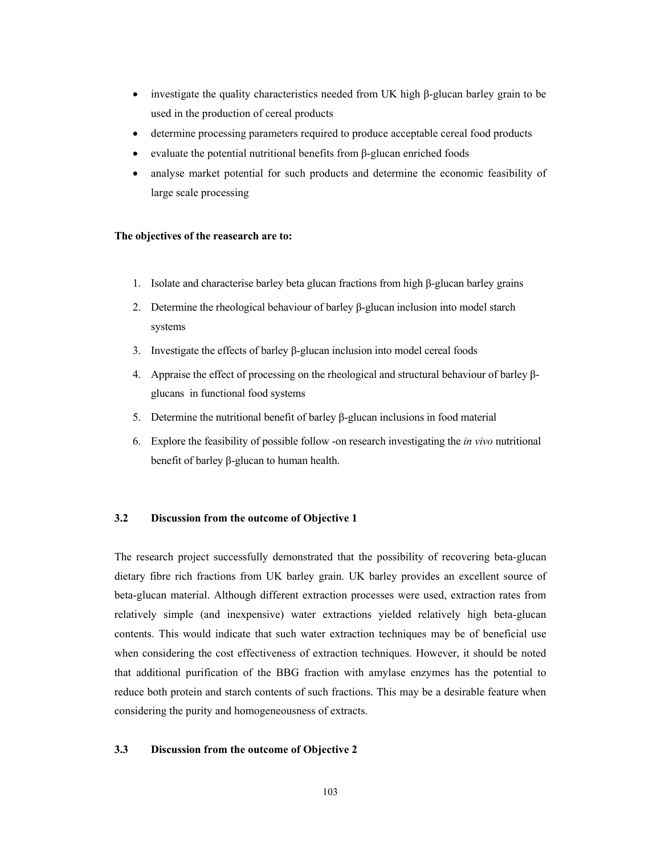- investigate the quality characteristics needed from UK high β-glucan barley grain to be used in the production of cereal products
- determine processing parameters required to produce acceptable cereal food products
- evaluate the potential nutritional benefits from β-glucan enriched foods
- analyse market potential for such products and determine the economic feasibility of large scale processing

### **The objectives of the reasearch are to:**

- 1. Isolate and characterise barley beta glucan fractions from high β-glucan barley grains
- 2. Determine the rheological behaviour of barley β-glucan inclusion into model starch systems
- 3. Investigate the effects of barley β-glucan inclusion into model cereal foods
- 4. Appraise the effect of processing on the rheological and structural behaviour of barley βglucans in functional food systems
- 5. Determine the nutritional benefit of barley β-glucan inclusions in food material
- 6. Explore the feasibility of possible follow -on research investigating the *in vivo* nutritional benefit of barley β-glucan to human health.

# **3.2 Discussion from the outcome of Objective 1**

The research project successfully demonstrated that the possibility of recovering beta-glucan dietary fibre rich fractions from UK barley grain. UK barley provides an excellent source of beta-glucan material. Although different extraction processes were used, extraction rates from relatively simple (and inexpensive) water extractions yielded relatively high beta-glucan contents. This would indicate that such water extraction techniques may be of beneficial use when considering the cost effectiveness of extraction techniques. However, it should be noted that additional purification of the BBG fraction with amylase enzymes has the potential to reduce both protein and starch contents of such fractions. This may be a desirable feature when considering the purity and homogeneousness of extracts.

## **3.3 Discussion from the outcome of Objective 2**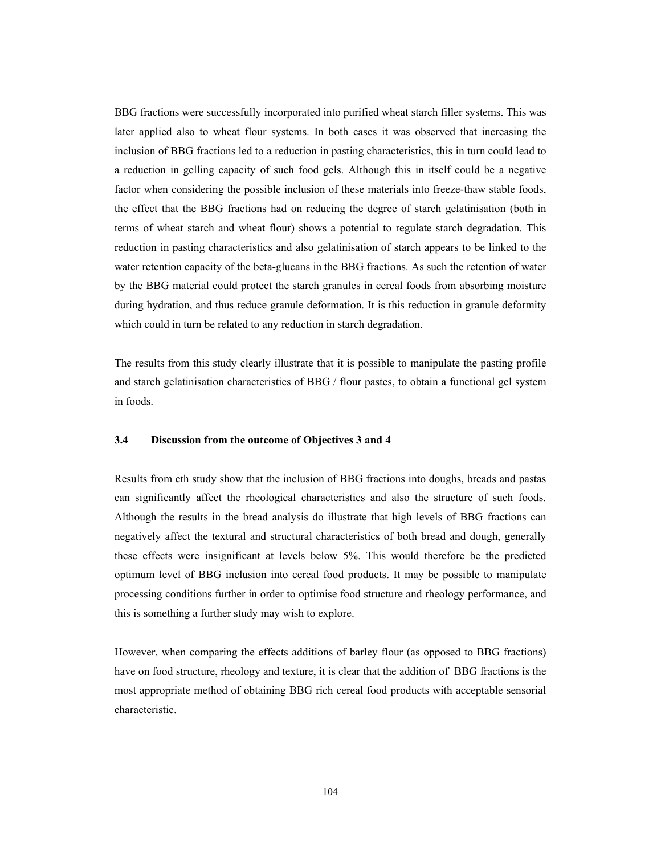BBG fractions were successfully incorporated into purified wheat starch filler systems. This was later applied also to wheat flour systems. In both cases it was observed that increasing the inclusion of BBG fractions led to a reduction in pasting characteristics, this in turn could lead to a reduction in gelling capacity of such food gels. Although this in itself could be a negative factor when considering the possible inclusion of these materials into freeze-thaw stable foods, the effect that the BBG fractions had on reducing the degree of starch gelatinisation (both in terms of wheat starch and wheat flour) shows a potential to regulate starch degradation. This reduction in pasting characteristics and also gelatinisation of starch appears to be linked to the water retention capacity of the beta-glucans in the BBG fractions. As such the retention of water by the BBG material could protect the starch granules in cereal foods from absorbing moisture during hydration, and thus reduce granule deformation. It is this reduction in granule deformity which could in turn be related to any reduction in starch degradation.

The results from this study clearly illustrate that it is possible to manipulate the pasting profile and starch gelatinisation characteristics of BBG / flour pastes, to obtain a functional gel system in foods.

# **3.4 Discussion from the outcome of Objectives 3 and 4**

Results from eth study show that the inclusion of BBG fractions into doughs, breads and pastas can significantly affect the rheological characteristics and also the structure of such foods. Although the results in the bread analysis do illustrate that high levels of BBG fractions can negatively affect the textural and structural characteristics of both bread and dough, generally these effects were insignificant at levels below 5%. This would therefore be the predicted optimum level of BBG inclusion into cereal food products. It may be possible to manipulate processing conditions further in order to optimise food structure and rheology performance, and this is something a further study may wish to explore.

However, when comparing the effects additions of barley flour (as opposed to BBG fractions) have on food structure, rheology and texture, it is clear that the addition of BBG fractions is the most appropriate method of obtaining BBG rich cereal food products with acceptable sensorial characteristic.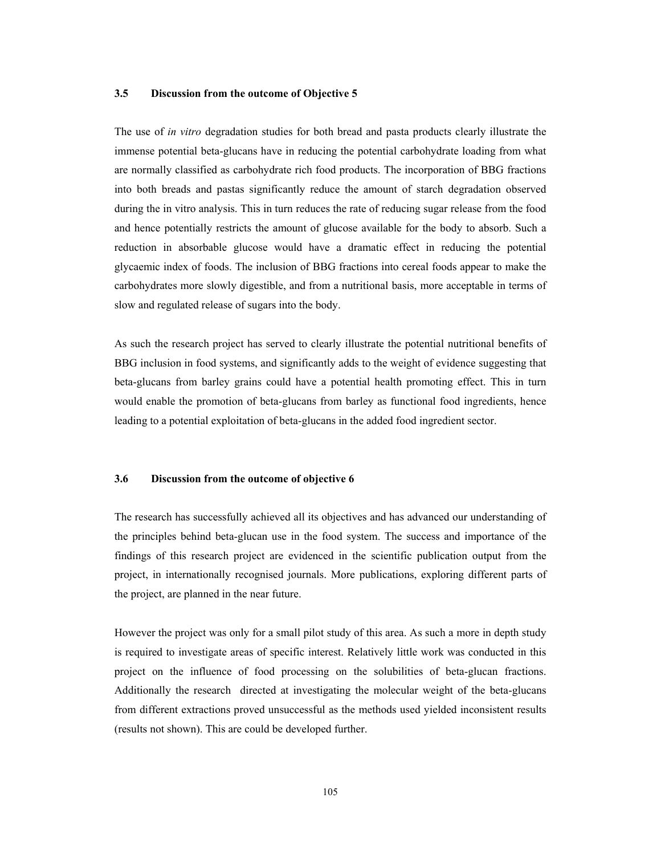#### **3.5 Discussion from the outcome of Objective 5**

The use of *in vitro* degradation studies for both bread and pasta products clearly illustrate the immense potential beta-glucans have in reducing the potential carbohydrate loading from what are normally classified as carbohydrate rich food products. The incorporation of BBG fractions into both breads and pastas significantly reduce the amount of starch degradation observed during the in vitro analysis. This in turn reduces the rate of reducing sugar release from the food and hence potentially restricts the amount of glucose available for the body to absorb. Such a reduction in absorbable glucose would have a dramatic effect in reducing the potential glycaemic index of foods. The inclusion of BBG fractions into cereal foods appear to make the carbohydrates more slowly digestible, and from a nutritional basis, more acceptable in terms of slow and regulated release of sugars into the body.

As such the research project has served to clearly illustrate the potential nutritional benefits of BBG inclusion in food systems, and significantly adds to the weight of evidence suggesting that beta-glucans from barley grains could have a potential health promoting effect. This in turn would enable the promotion of beta-glucans from barley as functional food ingredients, hence leading to a potential exploitation of beta-glucans in the added food ingredient sector.

#### **3.6 Discussion from the outcome of objective 6**

The research has successfully achieved all its objectives and has advanced our understanding of the principles behind beta-glucan use in the food system. The success and importance of the findings of this research project are evidenced in the scientific publication output from the project, in internationally recognised journals. More publications, exploring different parts of the project, are planned in the near future.

However the project was only for a small pilot study of this area. As such a more in depth study is required to investigate areas of specific interest. Relatively little work was conducted in this project on the influence of food processing on the solubilities of beta-glucan fractions. Additionally the research directed at investigating the molecular weight of the beta-glucans from different extractions proved unsuccessful as the methods used yielded inconsistent results (results not shown). This are could be developed further.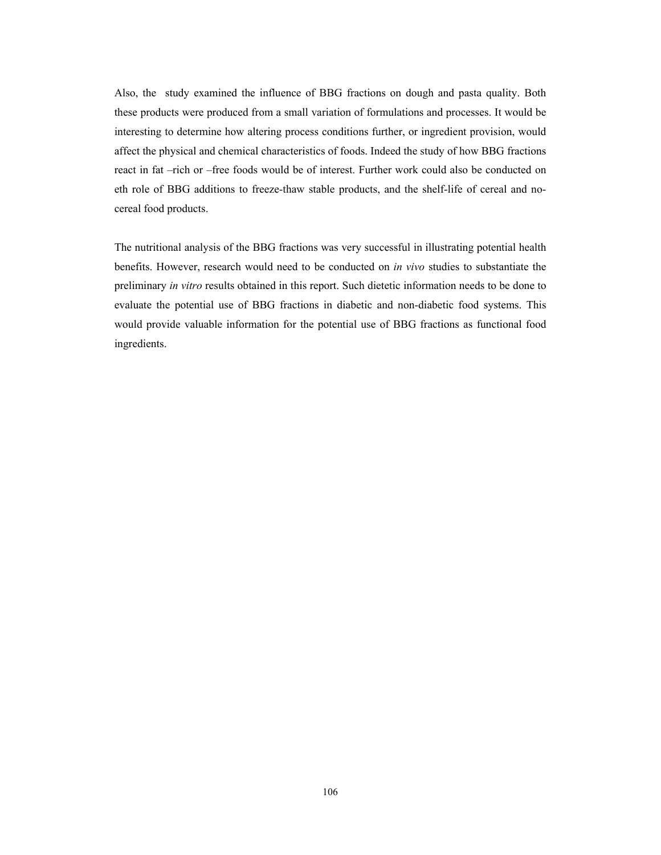Also, the study examined the influence of BBG fractions on dough and pasta quality. Both these products were produced from a small variation of formulations and processes. It would be interesting to determine how altering process conditions further, or ingredient provision, would affect the physical and chemical characteristics of foods. Indeed the study of how BBG fractions react in fat –rich or –free foods would be of interest. Further work could also be conducted on eth role of BBG additions to freeze-thaw stable products, and the shelf-life of cereal and nocereal food products.

The nutritional analysis of the BBG fractions was very successful in illustrating potential health benefits. However, research would need to be conducted on *in vivo* studies to substantiate the preliminary *in vitro* results obtained in this report. Such dietetic information needs to be done to evaluate the potential use of BBG fractions in diabetic and non-diabetic food systems. This would provide valuable information for the potential use of BBG fractions as functional food ingredients.